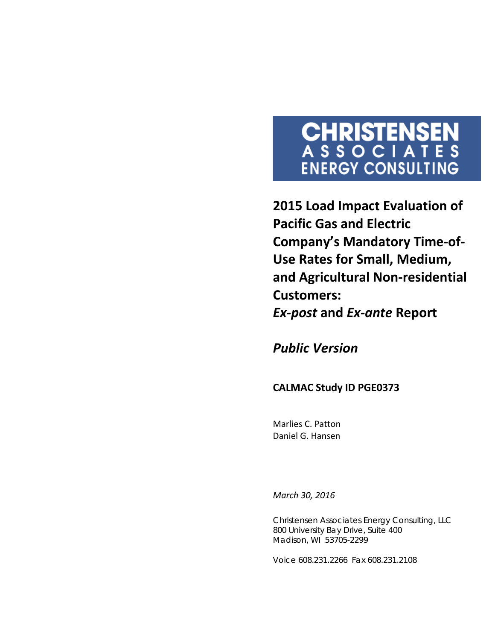# **CHRISTENSEN**<br>ASSOCIATES **ENERGY CONSULTING**

**2015 Load Impact Evaluation of Pacific Gas and Electric Company's Mandatory Time-of-Use Rates for Small, Medium, and Agricultural Non-residential Customers:**  *Ex-post* **and** *Ex-ante* **Report**

*Public Version*

#### **CALMAC Study ID PGE0373**

Marlies C. Patton Daniel G. Hansen

*March 30, 2016*

Christensen Associates Energy Consulting, LLC 800 University Bay Drive, Suite 400 Madison, WI 53705-2299

Voice 608.231.2266 Fax 608.231.2108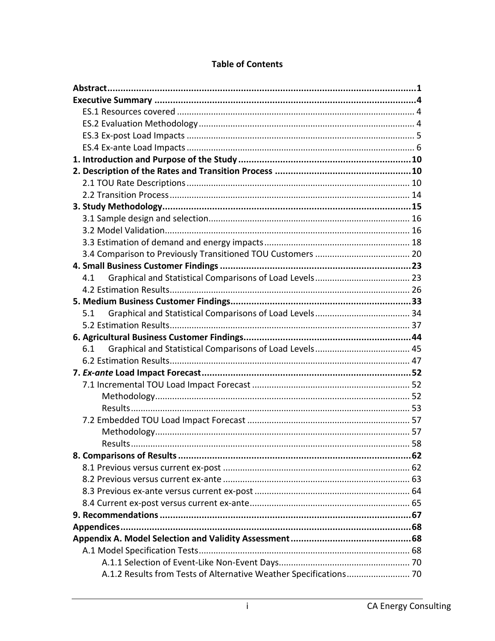| 4.1 |  |
|-----|--|
|     |  |
|     |  |
| 5.1 |  |
|     |  |
|     |  |
|     |  |
| 6.1 |  |
|     |  |
|     |  |
|     |  |
|     |  |
|     |  |
|     |  |
|     |  |
|     |  |
|     |  |
|     |  |
|     |  |
|     |  |
|     |  |
|     |  |
|     |  |
|     |  |
|     |  |
|     |  |

#### **Table of Contents**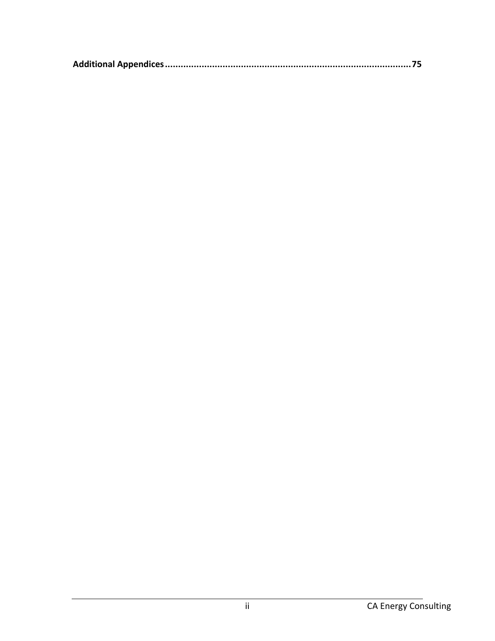|--|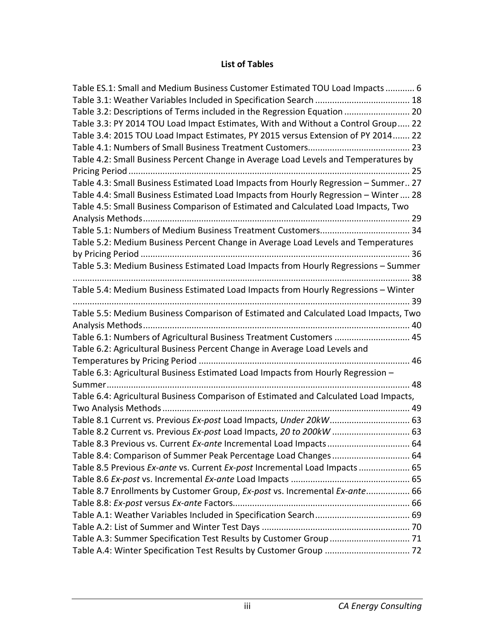#### **List of Tables**

| Table ES.1: Small and Medium Business Customer Estimated TOU Load Impacts  6          |  |
|---------------------------------------------------------------------------------------|--|
|                                                                                       |  |
| Table 3.2: Descriptions of Terms included in the Regression Equation  20              |  |
| Table 3.3: PY 2014 TOU Load Impact Estimates, With and Without a Control Group 22     |  |
| Table 3.4: 2015 TOU Load Impact Estimates, PY 2015 versus Extension of PY 2014 22     |  |
|                                                                                       |  |
| Table 4.2: Small Business Percent Change in Average Load Levels and Temperatures by   |  |
|                                                                                       |  |
| Table 4.3: Small Business Estimated Load Impacts from Hourly Regression - Summer 27   |  |
| Table 4.4: Small Business Estimated Load Impacts from Hourly Regression - Winter  28  |  |
| Table 4.5: Small Business Comparison of Estimated and Calculated Load Impacts, Two    |  |
|                                                                                       |  |
|                                                                                       |  |
| Table 5.2: Medium Business Percent Change in Average Load Levels and Temperatures     |  |
|                                                                                       |  |
| Table 5.3: Medium Business Estimated Load Impacts from Hourly Regressions - Summer    |  |
|                                                                                       |  |
| Table 5.4: Medium Business Estimated Load Impacts from Hourly Regressions - Winter    |  |
| Table 5.5: Medium Business Comparison of Estimated and Calculated Load Impacts, Two   |  |
|                                                                                       |  |
| Table 6.1: Numbers of Agricultural Business Treatment Customers  45                   |  |
| Table 6.2: Agricultural Business Percent Change in Average Load Levels and            |  |
|                                                                                       |  |
| Table 6.3: Agricultural Business Estimated Load Impacts from Hourly Regression -      |  |
|                                                                                       |  |
| Table 6.4: Agricultural Business Comparison of Estimated and Calculated Load Impacts, |  |
|                                                                                       |  |
| Table 8.1 Current vs. Previous Ex-post Load Impacts, Under 20kW 63                    |  |
| Table 8.2 Current vs. Previous Ex-post Load Impacts, 20 to 200kW  63                  |  |
| Table 8.3 Previous vs. Current Ex-ante Incremental Load Impacts 64                    |  |
|                                                                                       |  |
| Table 8.5 Previous Ex-ante vs. Current Ex-post Incremental Load Impacts  65           |  |
|                                                                                       |  |
| Table 8.7 Enrollments by Customer Group, Ex-post vs. Incremental Ex-ante 66           |  |
|                                                                                       |  |
|                                                                                       |  |
|                                                                                       |  |
|                                                                                       |  |
|                                                                                       |  |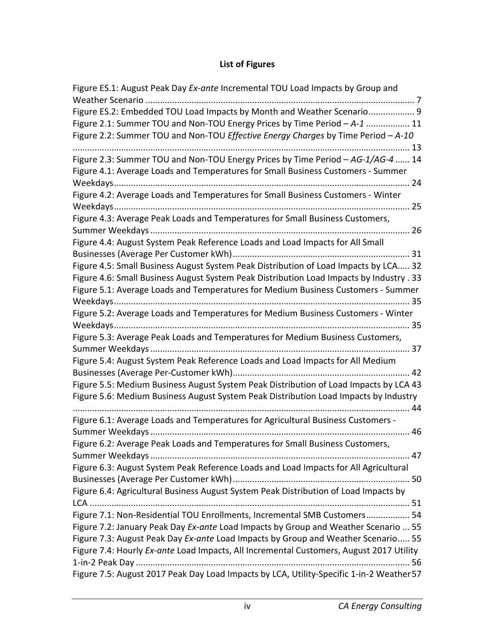### **List of Figures**

| Figure ES.2: Embedded TOU Load Impacts by Month and Weather Scenario 9<br>Figure 2.1: Summer TOU and Non-TOU Energy Prices by Time Period - A-1  11<br>Figure 2.2: Summer TOU and Non-TOU Effective Energy Charges by Time Period - A-10<br>Figure 2.3: Summer TOU and Non-TOU Energy Prices by Time Period - AG-1/AG-4  14 |
|-----------------------------------------------------------------------------------------------------------------------------------------------------------------------------------------------------------------------------------------------------------------------------------------------------------------------------|
|                                                                                                                                                                                                                                                                                                                             |
|                                                                                                                                                                                                                                                                                                                             |
|                                                                                                                                                                                                                                                                                                                             |
|                                                                                                                                                                                                                                                                                                                             |
|                                                                                                                                                                                                                                                                                                                             |
| Figure 4.1: Average Loads and Temperatures for Small Business Customers - Summer                                                                                                                                                                                                                                            |
|                                                                                                                                                                                                                                                                                                                             |
| Figure 4.2: Average Loads and Temperatures for Small Business Customers - Winter                                                                                                                                                                                                                                            |
|                                                                                                                                                                                                                                                                                                                             |
| Figure 4.3: Average Peak Loads and Temperatures for Small Business Customers,                                                                                                                                                                                                                                               |
|                                                                                                                                                                                                                                                                                                                             |
| Figure 4.4: August System Peak Reference Loads and Load Impacts for All Small                                                                                                                                                                                                                                               |
|                                                                                                                                                                                                                                                                                                                             |
| Figure 4.5: Small Business August System Peak Distribution of Load Impacts by LCA 32                                                                                                                                                                                                                                        |
| Figure 4.6: Small Business August System Peak Distribution Load Impacts by Industry . 33                                                                                                                                                                                                                                    |
| Figure 5.1: Average Loads and Temperatures for Medium Business Customers - Summer                                                                                                                                                                                                                                           |
|                                                                                                                                                                                                                                                                                                                             |
| Figure 5.2: Average Loads and Temperatures for Medium Business Customers - Winter                                                                                                                                                                                                                                           |
|                                                                                                                                                                                                                                                                                                                             |
| Figure 5.3: Average Peak Loads and Temperatures for Medium Business Customers,                                                                                                                                                                                                                                              |
|                                                                                                                                                                                                                                                                                                                             |
| Figure 5.4: August System Peak Reference Loads and Load Impacts for All Medium                                                                                                                                                                                                                                              |
|                                                                                                                                                                                                                                                                                                                             |
| Figure 5.5: Medium Business August System Peak Distribution of Load Impacts by LCA 43                                                                                                                                                                                                                                       |
| Figure 5.6: Medium Business August System Peak Distribution Load Impacts by Industry                                                                                                                                                                                                                                        |
|                                                                                                                                                                                                                                                                                                                             |
| Figure 6.1: Average Loads and Temperatures for Agricultural Business Customers -                                                                                                                                                                                                                                            |
|                                                                                                                                                                                                                                                                                                                             |
| Figure 6.2: Average Peak Loads and Temperatures for Small Business Customers,                                                                                                                                                                                                                                               |
|                                                                                                                                                                                                                                                                                                                             |
| Figure 6.3: August System Peak Reference Loads and Load Impacts for All Agricultural                                                                                                                                                                                                                                        |
|                                                                                                                                                                                                                                                                                                                             |
| Figure 6.4: Agricultural Business August System Peak Distribution of Load Impacts by                                                                                                                                                                                                                                        |
|                                                                                                                                                                                                                                                                                                                             |
| Figure 7.1: Non-Residential TOU Enrollments, Incremental SMB Customers 54                                                                                                                                                                                                                                                   |
| Figure 7.2: January Peak Day Ex-ante Load Impacts by Group and Weather Scenario  55                                                                                                                                                                                                                                         |
| Figure 7.3: August Peak Day Ex-ante Load Impacts by Group and Weather Scenario 55                                                                                                                                                                                                                                           |
| Figure 7.4: Hourly Ex-ante Load Impacts, All Incremental Customers, August 2017 Utility                                                                                                                                                                                                                                     |
|                                                                                                                                                                                                                                                                                                                             |
| Figure 7.5: August 2017 Peak Day Load Impacts by LCA, Utility-Specific 1-in-2 Weather 57                                                                                                                                                                                                                                    |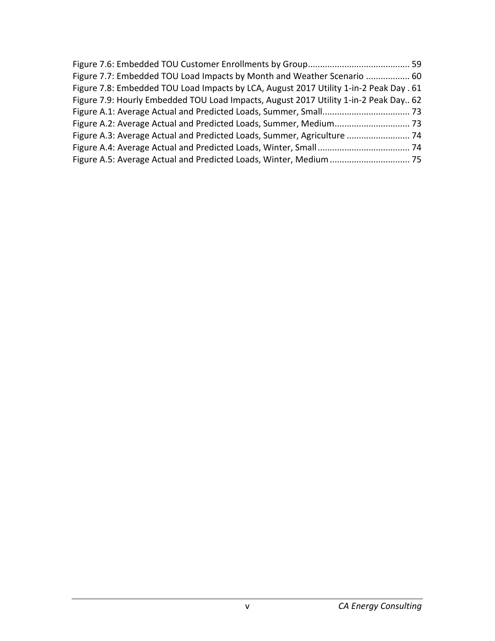| Figure 7.7: Embedded TOU Load Impacts by Month and Weather Scenario  60                |  |
|----------------------------------------------------------------------------------------|--|
| Figure 7.8: Embedded TOU Load Impacts by LCA, August 2017 Utility 1-in-2 Peak Day . 61 |  |
| Figure 7.9: Hourly Embedded TOU Load Impacts, August 2017 Utility 1-in-2 Peak Day 62   |  |
|                                                                                        |  |
|                                                                                        |  |
|                                                                                        |  |
|                                                                                        |  |
|                                                                                        |  |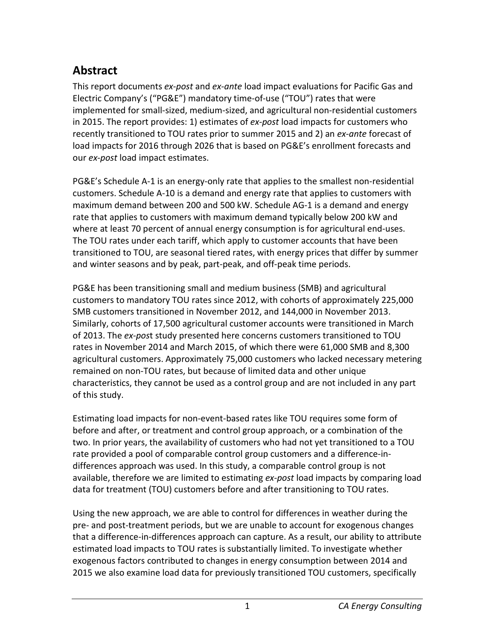# <span id="page-6-0"></span>**Abstract**

This report documents *ex-post* and *ex-ante* load impact evaluations for Pacific Gas and Electric Company's ("PG&E") mandatory time-of-use ("TOU") rates that were implemented for small-sized, medium-sized, and agricultural non-residential customers in 2015. The report provides: 1) estimates of *ex-post* load impacts for customers who recently transitioned to TOU rates prior to summer 2015 and 2) an *ex-ante* forecast of load impacts for 2016 through 2026 that is based on PG&E's enrollment forecasts and our *ex-post* load impact estimates.

PG&E's Schedule A-1 is an energy-only rate that applies to the smallest non-residential customers. Schedule A-10 is a demand and energy rate that applies to customers with maximum demand between 200 and 500 kW. Schedule AG-1 is a demand and energy rate that applies to customers with maximum demand typically below 200 kW and where at least 70 percent of annual energy consumption is for agricultural end-uses. The TOU rates under each tariff, which apply to customer accounts that have been transitioned to TOU, are seasonal tiered rates, with energy prices that differ by summer and winter seasons and by peak, part-peak, and off-peak time periods.

PG&E has been transitioning small and medium business (SMB) and agricultural customers to mandatory TOU rates since 2012, with cohorts of approximately 225,000 SMB customers transitioned in November 2012, and 144,000 in November 2013. Similarly, cohorts of 17,500 agricultural customer accounts were transitioned in March of 2013. The *ex-pos*t study presented here concerns customers transitioned to TOU rates in November 2014 and March 2015, of which there were 61,000 SMB and 8,300 agricultural customers. Approximately 75,000 customers who lacked necessary metering remained on non-TOU rates, but because of limited data and other unique characteristics, they cannot be used as a control group and are not included in any part of this study.

Estimating load impacts for non-event-based rates like TOU requires some form of before and after, or treatment and control group approach, or a combination of the two. In prior years, the availability of customers who had not yet transitioned to a TOU rate provided a pool of comparable control group customers and a difference-indifferences approach was used. In this study, a comparable control group is not available, therefore we are limited to estimating *ex-post* load impacts by comparing load data for treatment (TOU) customers before and after transitioning to TOU rates.

Using the new approach, we are able to control for differences in weather during the pre- and post-treatment periods, but we are unable to account for exogenous changes that a difference-in-differences approach can capture. As a result, our ability to attribute estimated load impacts to TOU rates is substantially limited. To investigate whether exogenous factors contributed to changes in energy consumption between 2014 and 2015 we also examine load data for previously transitioned TOU customers, specifically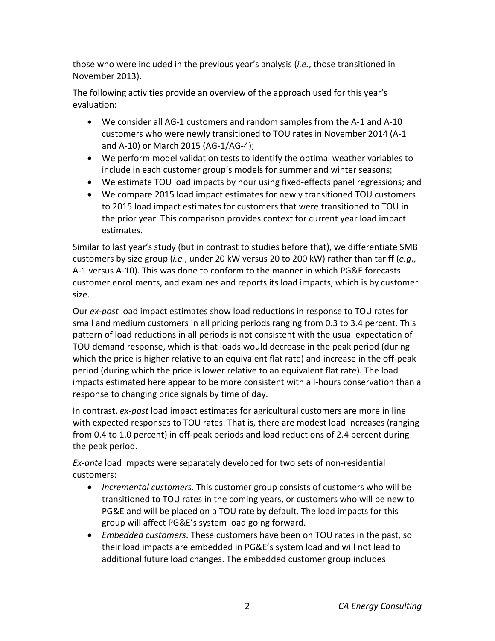those who were included in the previous year's analysis (*i.e.*, those transitioned in November 2013).

The following activities provide an overview of the approach used for this year's evaluation:

- We consider all AG-1 customers and random samples from the A-1 and A-10 customers who were newly transitioned to TOU rates in November 2014 (A-1 and A-10) or March 2015 (AG-1/AG-4);
- We perform model validation tests to identify the optimal weather variables to include in each customer group's models for summer and winter seasons;
- We estimate TOU load impacts by hour using fixed-effects panel regressions; and
- We compare 2015 load impact estimates for newly transitioned TOU customers to 2015 load impact estimates for customers that were transitioned to TOU in the prior year. This comparison provides context for current year load impact estimates.

Similar to last year's study (but in contrast to studies before that), we differentiate SMB customers by size group (*i.e.*, under 20 kW versus 20 to 200 kW) rather than tariff (*e.g*., A-1 versus A-10). This was done to conform to the manner in which PG&E forecasts customer enrollments, and examines and reports its load impacts, which is by customer size.

Our *ex-post* load impact estimates show load reductions in response to TOU rates for small and medium customers in all pricing periods ranging from 0.3 to 3.4 percent. This pattern of load reductions in all periods is not consistent with the usual expectation of TOU demand response, which is that loads would decrease in the peak period (during which the price is higher relative to an equivalent flat rate) and increase in the off-peak period (during which the price is lower relative to an equivalent flat rate). The load impacts estimated here appear to be more consistent with all-hours conservation than a response to changing price signals by time of day.

In contrast, *ex-post* load impact estimates for agricultural customers are more in line with expected responses to TOU rates. That is, there are modest load increases (ranging from 0.4 to 1.0 percent) in off-peak periods and load reductions of 2.4 percent during the peak period.

*Ex-ante* load impacts were separately developed for two sets of non-residential customers:

- *Incremental customers*. This customer group consists of customers who will be transitioned to TOU rates in the coming years, or customers who will be new to PG&E and will be placed on a TOU rate by default. The load impacts for this group will affect PG&E's system load going forward.
- *Embedded customers*. These customers have been on TOU rates in the past, so their load impacts are embedded in PG&E's system load and will not lead to additional future load changes. The embedded customer group includes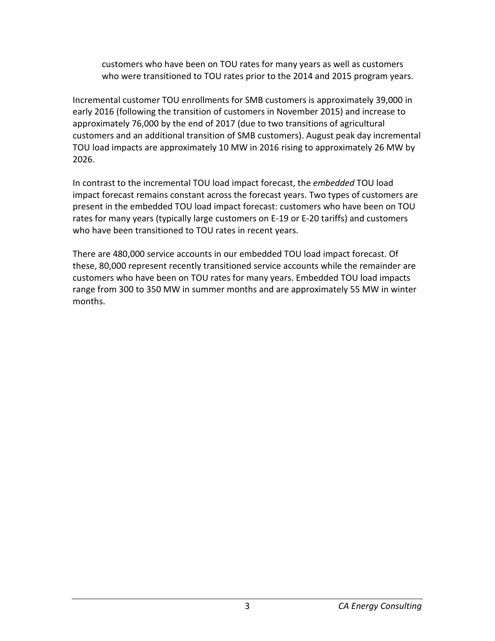customers who have been on TOU rates for many years as well as customers who were transitioned to TOU rates prior to the 2014 and 2015 program years.

Incremental customer TOU enrollments for SMB customers is approximately 39,000 in early 2016 (following the transition of customers in November 2015) and increase to approximately 76,000 by the end of 2017 (due to two transitions of agricultural customers and an additional transition of SMB customers). August peak day incremental TOU load impacts are approximately 10 MW in 2016 rising to approximately 26 MW by 2026.

In contrast to the incremental TOU load impact forecast, the *embedded* TOU load impact forecast remains constant across the forecast years. Two types of customers are present in the embedded TOU load impact forecast: customers who have been on TOU rates for many years (typically large customers on E-19 or E-20 tariffs) and customers who have been transitioned to TOU rates in recent years.

There are 480,000 service accounts in our embedded TOU load impact forecast. Of these, 80,000 represent recently transitioned service accounts while the remainder are customers who have been on TOU rates for many years. Embedded TOU load impacts range from 300 to 350 MW in summer months and are approximately 55 MW in winter months.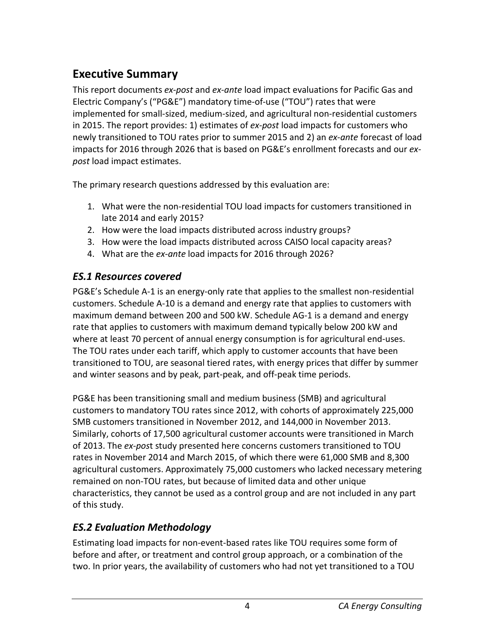# <span id="page-9-0"></span>**Executive Summary**

This report documents *ex-post* and *ex-ante* load impact evaluations for Pacific Gas and Electric Company's ("PG&E") mandatory time-of-use ("TOU") rates that were implemented for small-sized, medium-sized, and agricultural non-residential customers in 2015. The report provides: 1) estimates of *ex-post* load impacts for customers who newly transitioned to TOU rates prior to summer 2015 and 2) an *ex-ante* forecast of load impacts for 2016 through 2026 that is based on PG&E's enrollment forecasts and our *expost* load impact estimates.

The primary research questions addressed by this evaluation are:

- 1. What were the non-residential TOU load impacts for customers transitioned in late 2014 and early 2015?
- 2. How were the load impacts distributed across industry groups?
- 3. How were the load impacts distributed across CAISO local capacity areas?
- 4. What are the *ex-ante* load impacts for 2016 through 2026?

# <span id="page-9-1"></span>*ES.1 Resources covered*

PG&E's Schedule A-1 is an energy-only rate that applies to the smallest non-residential customers. Schedule A-10 is a demand and energy rate that applies to customers with maximum demand between 200 and 500 kW. Schedule AG-1 is a demand and energy rate that applies to customers with maximum demand typically below 200 kW and where at least 70 percent of annual energy consumption is for agricultural end-uses. The TOU rates under each tariff, which apply to customer accounts that have been transitioned to TOU, are seasonal tiered rates, with energy prices that differ by summer and winter seasons and by peak, part-peak, and off-peak time periods.

PG&E has been transitioning small and medium business (SMB) and agricultural customers to mandatory TOU rates since 2012, with cohorts of approximately 225,000 SMB customers transitioned in November 2012, and 144,000 in November 2013. Similarly, cohorts of 17,500 agricultural customer accounts were transitioned in March of 2013. The *ex-pos*t study presented here concerns customers transitioned to TOU rates in November 2014 and March 2015, of which there were 61,000 SMB and 8,300 agricultural customers. Approximately 75,000 customers who lacked necessary metering remained on non-TOU rates, but because of limited data and other unique characteristics, they cannot be used as a control group and are not included in any part of this study.

# <span id="page-9-2"></span>*ES.2 Evaluation Methodology*

Estimating load impacts for non-event-based rates like TOU requires some form of before and after, or treatment and control group approach, or a combination of the two. In prior years, the availability of customers who had not yet transitioned to a TOU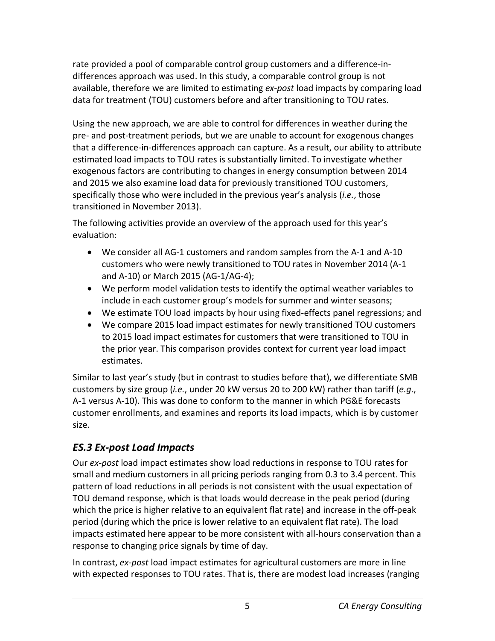rate provided a pool of comparable control group customers and a difference-indifferences approach was used. In this study, a comparable control group is not available, therefore we are limited to estimating *ex-post* load impacts by comparing load data for treatment (TOU) customers before and after transitioning to TOU rates.

Using the new approach, we are able to control for differences in weather during the pre- and post-treatment periods, but we are unable to account for exogenous changes that a difference-in-differences approach can capture. As a result, our ability to attribute estimated load impacts to TOU rates is substantially limited. To investigate whether exogenous factors are contributing to changes in energy consumption between 2014 and 2015 we also examine load data for previously transitioned TOU customers, specifically those who were included in the previous year's analysis (*i.e.*, those transitioned in November 2013).

The following activities provide an overview of the approach used for this year's evaluation:

- We consider all AG-1 customers and random samples from the A-1 and A-10 customers who were newly transitioned to TOU rates in November 2014 (A-1 and A-10) or March 2015 (AG-1/AG-4);
- We perform model validation tests to identify the optimal weather variables to include in each customer group's models for summer and winter seasons;
- We estimate TOU load impacts by hour using fixed-effects panel regressions; and
- We compare 2015 load impact estimates for newly transitioned TOU customers to 2015 load impact estimates for customers that were transitioned to TOU in the prior year. This comparison provides context for current year load impact estimates.

Similar to last year's study (but in contrast to studies before that), we differentiate SMB customers by size group (*i.e.*, under 20 kW versus 20 to 200 kW) rather than tariff (*e.g*., A-1 versus A-10). This was done to conform to the manner in which PG&E forecasts customer enrollments, and examines and reports its load impacts, which is by customer size.

# <span id="page-10-0"></span>*ES.3 Ex-post Load Impacts*

Our *ex-post* load impact estimates show load reductions in response to TOU rates for small and medium customers in all pricing periods ranging from 0.3 to 3.4 percent. This pattern of load reductions in all periods is not consistent with the usual expectation of TOU demand response, which is that loads would decrease in the peak period (during which the price is higher relative to an equivalent flat rate) and increase in the off-peak period (during which the price is lower relative to an equivalent flat rate). The load impacts estimated here appear to be more consistent with all-hours conservation than a response to changing price signals by time of day.

In contrast, *ex-post* load impact estimates for agricultural customers are more in line with expected responses to TOU rates. That is, there are modest load increases (ranging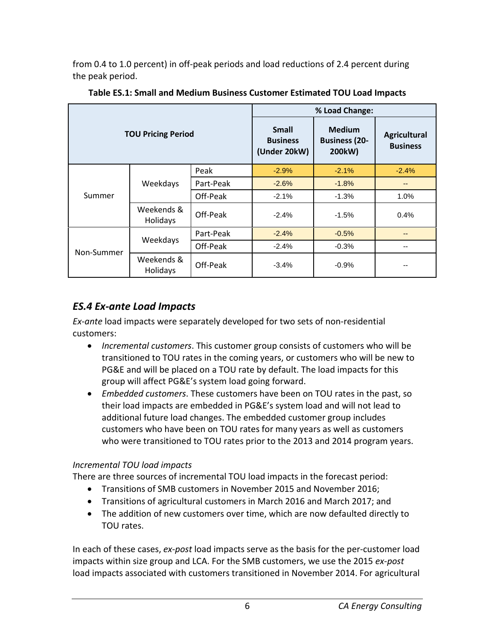from 0.4 to 1.0 percent) in off-peak periods and load reductions of 2.4 percent during the peak period.

|                           |                        |           | % Load Change:                                  |                                                 |                                        |  |
|---------------------------|------------------------|-----------|-------------------------------------------------|-------------------------------------------------|----------------------------------------|--|
| <b>TOU Pricing Period</b> |                        |           | <b>Small</b><br><b>Business</b><br>(Under 20kW) | <b>Medium</b><br><b>Business (20-</b><br>200kW) | <b>Agricultural</b><br><b>Business</b> |  |
|                           |                        | Peak      | $-2.9%$                                         | $-2.1%$                                         | $-2.4%$                                |  |
|                           | Weekdays               | Part-Peak | $-2.6%$                                         | $-1.8%$                                         | --                                     |  |
| Summer                    |                        | Off-Peak  | $-2.1%$                                         | $-1.3%$                                         | 1.0%                                   |  |
|                           | Weekends &<br>Holidays | Off-Peak  | $-2.4%$                                         | $-1.5%$                                         | 0.4%                                   |  |
|                           | Weekdays               | Part-Peak | $-2.4%$                                         | $-0.5%$                                         | --                                     |  |
| Non-Summer                |                        | Off-Peak  | $-2.4%$                                         | $-0.3%$                                         | --                                     |  |
|                           | Weekends &<br>Holidays | Off-Peak  | $-3.4%$                                         | $-0.9%$                                         |                                        |  |

<span id="page-11-1"></span>**Table ES.1: Small and Medium Business Customer Estimated TOU Load Impacts**

## <span id="page-11-0"></span>*ES.4 Ex-ante Load Impacts*

*Ex-ante* load impacts were separately developed for two sets of non-residential customers:

- *Incremental customers*. This customer group consists of customers who will be transitioned to TOU rates in the coming years, or customers who will be new to PG&E and will be placed on a TOU rate by default. The load impacts for this group will affect PG&E's system load going forward.
- *Embedded customers*. These customers have been on TOU rates in the past, so their load impacts are embedded in PG&E's system load and will not lead to additional future load changes. The embedded customer group includes customers who have been on TOU rates for many years as well as customers who were transitioned to TOU rates prior to the 2013 and 2014 program years.

#### *Incremental TOU load impacts*

There are three sources of incremental TOU load impacts in the forecast period:

- Transitions of SMB customers in November 2015 and November 2016;
- Transitions of agricultural customers in March 2016 and March 2017; and
- The addition of new customers over time, which are now defaulted directly to TOU rates.

In each of these cases, *ex-post* load impacts serve as the basis for the per-customer load impacts within size group and LCA. For the SMB customers, we use the 2015 *ex-post* load impacts associated with customers transitioned in November 2014. For agricultural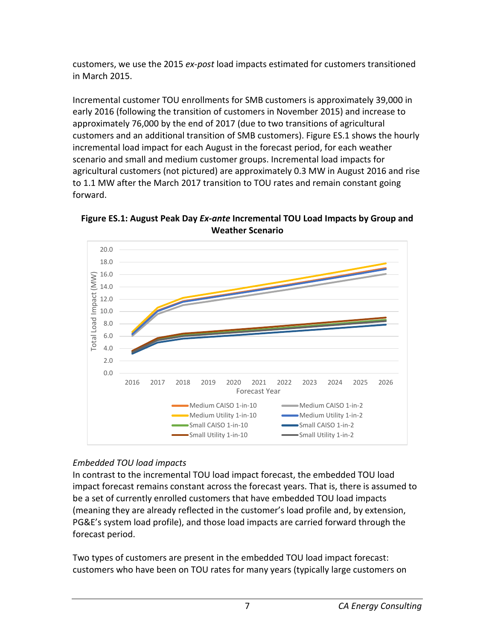customers, we use the 2015 *ex-post* load impacts estimated for customers transitioned in March 2015.

Incremental customer TOU enrollments for SMB customers is approximately 39,000 in early 2016 (following the transition of customers in November 2015) and increase to approximately 76,000 by the end of 2017 (due to two transitions of agricultural customers and an additional transition of SMB customers). Figure ES.1 shows the hourly incremental load impact for each August in the forecast period, for each weather scenario and small and medium customer groups. Incremental load impacts for agricultural customers (not pictured) are approximately 0.3 MW in August 2016 and rise to 1.1 MW after the March 2017 transition to TOU rates and remain constant going forward.

20.0 18.0  $(MW)$ 16.0 Total Load Impact (MW) 14.0 Impact 12.0 10.0 Total Load 8.0 6.0 4.0 2.0  $0.0$ 2016 2017 2018 2019 2020 2021 2022 2023 2024 2025 2026 Forecast Year Medium CAISO 1-in-10 Medium CAISO 1-in-2 Medium Utility 1-in-10 Medium Utility 1-in-2 Small CAISO 1-in-10 Small CAISO 1-in-2 Small Utility 1-in-10 Small Utility 1-in-2

<span id="page-12-0"></span>**Figure ES.1: August Peak Day** *Ex-ante* **Incremental TOU Load Impacts by Group and Weather Scenario**

## *Embedded TOU load impacts*

In contrast to the incremental TOU load impact forecast, the embedded TOU load impact forecast remains constant across the forecast years. That is, there is assumed to be a set of currently enrolled customers that have embedded TOU load impacts (meaning they are already reflected in the customer's load profile and, by extension, PG&E's system load profile), and those load impacts are carried forward through the forecast period.

Two types of customers are present in the embedded TOU load impact forecast: customers who have been on TOU rates for many years (typically large customers on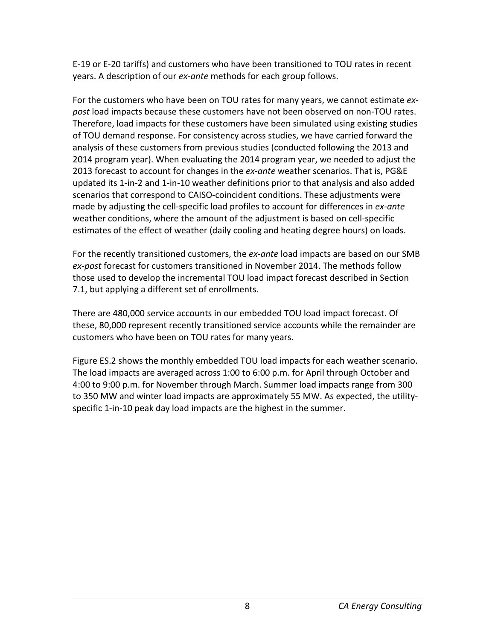E-19 or E-20 tariffs) and customers who have been transitioned to TOU rates in recent years. A description of our *ex-ante* methods for each group follows.

For the customers who have been on TOU rates for many years, we cannot estimate *expost* load impacts because these customers have not been observed on non-TOU rates. Therefore, load impacts for these customers have been simulated using existing studies of TOU demand response. For consistency across studies, we have carried forward the analysis of these customers from previous studies (conducted following the 2013 and 2014 program year). When evaluating the 2014 program year, we needed to adjust the 2013 forecast to account for changes in the *ex-ante* weather scenarios. That is, PG&E updated its 1-in-2 and 1-in-10 weather definitions prior to that analysis and also added scenarios that correspond to CAISO-coincident conditions. These adjustments were made by adjusting the cell-specific load profiles to account for differences in *ex-ante* weather conditions, where the amount of the adjustment is based on cell-specific estimates of the effect of weather (daily cooling and heating degree hours) on loads.

For the recently transitioned customers, the *ex-ante* load impacts are based on our SMB *ex-post* forecast for customers transitioned in November 2014. The methods follow those used to develop the incremental TOU load impact forecast described in Section 7.1, but applying a different set of enrollments.

There are 480,000 service accounts in our embedded TOU load impact forecast. Of these, 80,000 represent recently transitioned service accounts while the remainder are customers who have been on TOU rates for many years.

Figure ES.2 shows the monthly embedded TOU load impacts for each weather scenario. The load impacts are averaged across 1:00 to 6:00 p.m. for April through October and 4:00 to 9:00 p.m. for November through March. Summer load impacts range from 300 to 350 MW and winter load impacts are approximately 55 MW. As expected, the utilityspecific 1-in-10 peak day load impacts are the highest in the summer.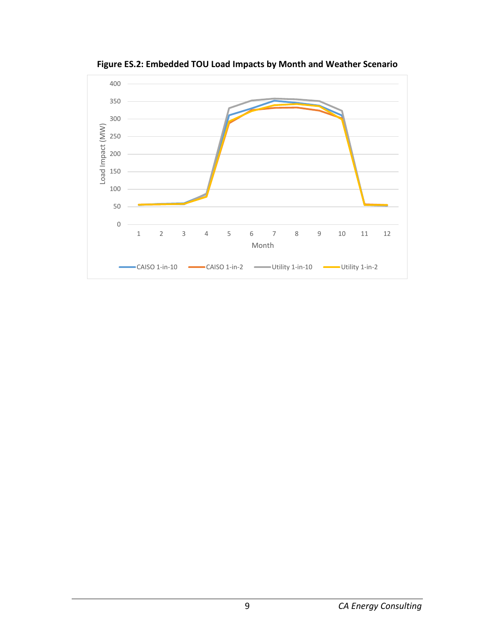<span id="page-14-0"></span>

**Figure ES.2: Embedded TOU Load Impacts by Month and Weather Scenario**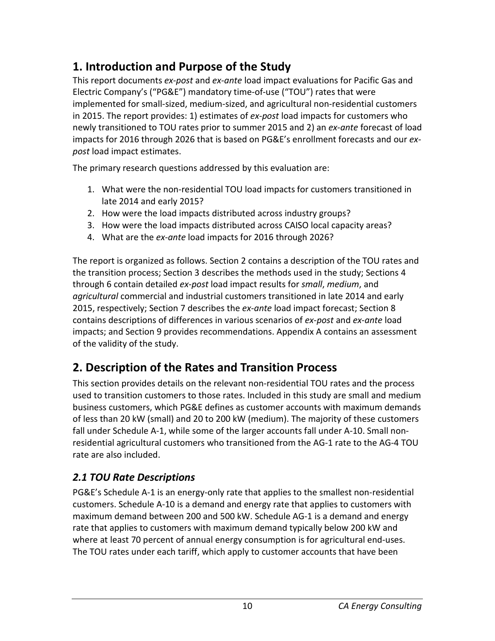# <span id="page-15-0"></span>**1. Introduction and Purpose of the Study**

This report documents *ex-post* and *ex-ante* load impact evaluations for Pacific Gas and Electric Company's ("PG&E") mandatory time-of-use ("TOU") rates that were implemented for small-sized, medium-sized, and agricultural non-residential customers in 2015. The report provides: 1) estimates of *ex-post* load impacts for customers who newly transitioned to TOU rates prior to summer 2015 and 2) an *ex-ante* forecast of load impacts for 2016 through 2026 that is based on PG&E's enrollment forecasts and our *expost* load impact estimates.

The primary research questions addressed by this evaluation are:

- 1. What were the non-residential TOU load impacts for customers transitioned in late 2014 and early 2015?
- 2. How were the load impacts distributed across industry groups?
- 3. How were the load impacts distributed across CAISO local capacity areas?
- 4. What are the *ex-ante* load impacts for 2016 through 2026?

The report is organized as follows. Section 2 contains a description of the TOU rates and the transition process; Section 3 describes the methods used in the study; Sections 4 through 6 contain detailed *ex-post* load impact results for *small*, *medium*, and *agricultural* commercial and industrial customers transitioned in late 2014 and early 2015, respectively; Section 7 describes the *ex-ante* load impact forecast; Section 8 contains descriptions of differences in various scenarios of *ex-post* and *ex-ante* load impacts; and Section 9 provides recommendations. Appendix A contains an assessment of the validity of the study.

# <span id="page-15-1"></span>**2. Description of the Rates and Transition Process**

This section provides details on the relevant non-residential TOU rates and the process used to transition customers to those rates. Included in this study are small and medium business customers, which PG&E defines as customer accounts with maximum demands of less than 20 kW (small) and 20 to 200 kW (medium). The majority of these customers fall under Schedule A-1, while some of the larger accounts fall under A-10. Small nonresidential agricultural customers who transitioned from the AG-1 rate to the AG-4 TOU rate are also included.

# <span id="page-15-2"></span>*2.1 TOU Rate Descriptions*

PG&E's Schedule A-1 is an energy-only rate that applies to the smallest non-residential customers. Schedule A-10 is a demand and energy rate that applies to customers with maximum demand between 200 and 500 kW. Schedule AG-1 is a demand and energy rate that applies to customers with maximum demand typically below 200 kW and where at least 70 percent of annual energy consumption is for agricultural end-uses. The TOU rates under each tariff, which apply to customer accounts that have been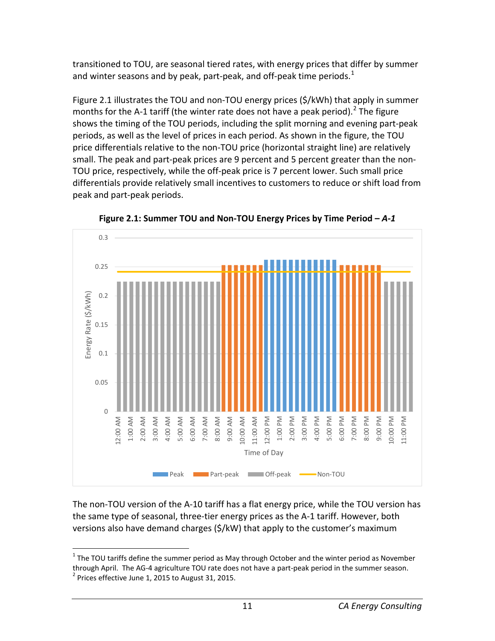transitioned to TOU, are seasonal tiered rates, with energy prices that differ by summer and winter seasons and by peak, part-peak, and off-peak time periods. $<sup>1</sup>$  $<sup>1</sup>$  $<sup>1</sup>$ </sup>

Figure 2.1 illustrates the TOU and non-TOU energy prices (\$/kWh) that apply in summer months for the A-1 tariff (the winter rate does not have a peak period).<sup>[2](#page-16-2)</sup> The figure shows the timing of the TOU periods, including the split morning and evening part-peak periods, as well as the level of prices in each period. As shown in the figure, the TOU price differentials relative to the non-TOU price (horizontal straight line) are relatively small. The peak and part-peak prices are 9 percent and 5 percent greater than the non-TOU price, respectively, while the off-peak price is 7 percent lower. Such small price differentials provide relatively small incentives to customers to reduce or shift load from peak and part-peak periods.

<span id="page-16-0"></span>

**Figure 2.1: Summer TOU and Non-TOU Energy Prices by Time Period –** *A-1*

The non-TOU version of the A-10 tariff has a flat energy price, while the TOU version has the same type of seasonal, three-tier energy prices as the A-1 tariff. However, both versions also have demand charges (\$/kW) that apply to the customer's maximum

<span id="page-16-2"></span><span id="page-16-1"></span> $1$  The TOU tariffs define the summer period as May through October and the winter period as November through April. The AG-4 agriculture TOU rate does not have a part-peak period in the summer season.<br><sup>2</sup> Prices effective June 1, 2015 to August 31, 2015.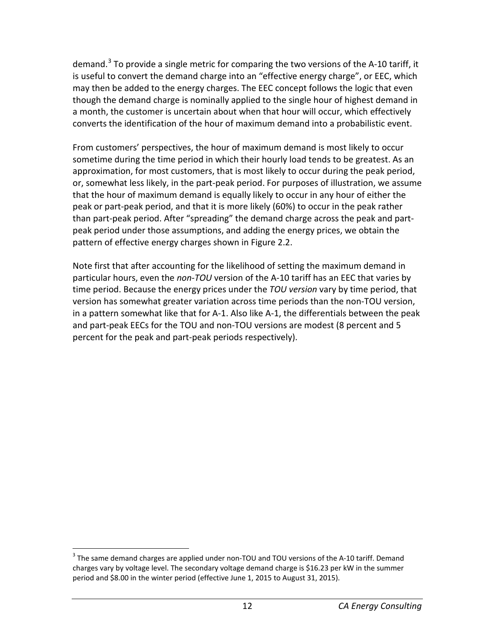demand.<sup>[3](#page-17-0)</sup> To provide a single metric for comparing the two versions of the A-10 tariff, it is useful to convert the demand charge into an "effective energy charge", or EEC, which may then be added to the energy charges. The EEC concept follows the logic that even though the demand charge is nominally applied to the single hour of highest demand in a month, the customer is uncertain about when that hour will occur, which effectively converts the identification of the hour of maximum demand into a probabilistic event.

From customers' perspectives, the hour of maximum demand is most likely to occur sometime during the time period in which their hourly load tends to be greatest. As an approximation, for most customers, that is most likely to occur during the peak period, or, somewhat less likely, in the part-peak period. For purposes of illustration, we assume that the hour of maximum demand is equally likely to occur in any hour of either the peak or part-peak period, and that it is more likely (60%) to occur in the peak rather than part-peak period. After "spreading" the demand charge across the peak and partpeak period under those assumptions, and adding the energy prices, we obtain the pattern of effective energy charges shown in Figure 2.2.

Note first that after accounting for the likelihood of setting the maximum demand in particular hours, even the *non-TOU* version of the A-10 tariff has an EEC that varies by time period. Because the energy prices under the *TOU version* vary by time period, that version has somewhat greater variation across time periods than the non-TOU version, in a pattern somewhat like that for A-1. Also like A-1, the differentials between the peak and part-peak EECs for the TOU and non-TOU versions are modest (8 percent and 5 percent for the peak and part-peak periods respectively).

<span id="page-17-0"></span><sup>&</sup>lt;sup>3</sup> The same demand charges are applied under non-TOU and TOU versions of the A-10 tariff. Demand charges vary by voltage level. The secondary voltage demand charge is \$16.23 per kW in the summer period and \$8.00 in the winter period (effective June 1, 2015 to August 31, 2015).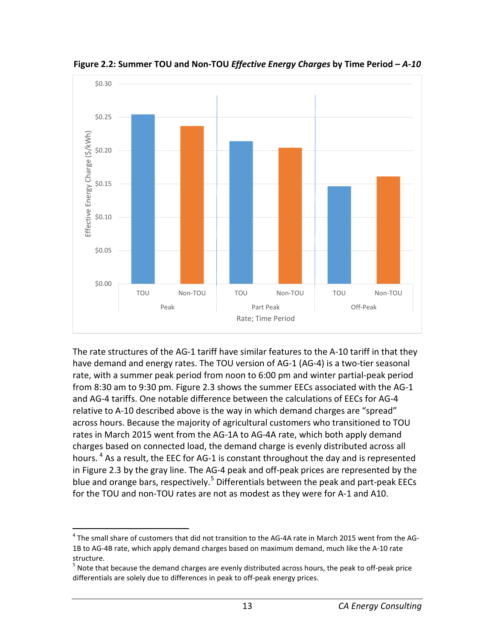

<span id="page-18-0"></span>**Figure 2.2: Summer TOU and Non-TOU** *Effective Energy Charges* **by Time Period –** *A-10*

The rate structures of the AG-1 tariff have similar features to the A-10 tariff in that they have demand and energy rates. The TOU version of AG-1 (AG-4) is a two-tier seasonal rate, with a summer peak period from noon to 6:00 pm and winter partial-peak period from 8:30 am to 9:30 pm. Figure 2.3 shows the summer EECs associated with the AG-1 and AG-4 tariffs. One notable difference between the calculations of EECs for AG-4 relative to A-10 described above is the way in which demand charges are "spread" across hours. Because the majority of agricultural customers who transitioned to TOU rates in March 2015 went from the AG-1A to AG-4A rate, which both apply demand charges based on connected load, the demand charge is evenly distributed across all hours. <sup>[4](#page-18-1)</sup> As a result, the EEC for AG-1 is constant throughout the day and is represented in Figure 2.3 by the gray line. The AG-4 peak and off-peak prices are represented by the blue and orange bars, respectively.<sup>[5](#page-18-2)</sup> Differentials between the peak and part-peak EECs for the TOU and non-TOU rates are not as modest as they were for A-1 and A10.

<span id="page-18-1"></span><sup>&</sup>lt;sup>4</sup> The small share of customers that did not transition to the AG-4A rate in March 2015 went from the AG-1B to AG-4B rate, which apply demand charges based on maximum demand, much like the A-10 rate structure.

<span id="page-18-2"></span><sup>&</sup>lt;sup>5</sup> Note that because the demand charges are evenly distributed across hours, the peak to off-peak price differentials are solely due to differences in peak to off-peak energy prices.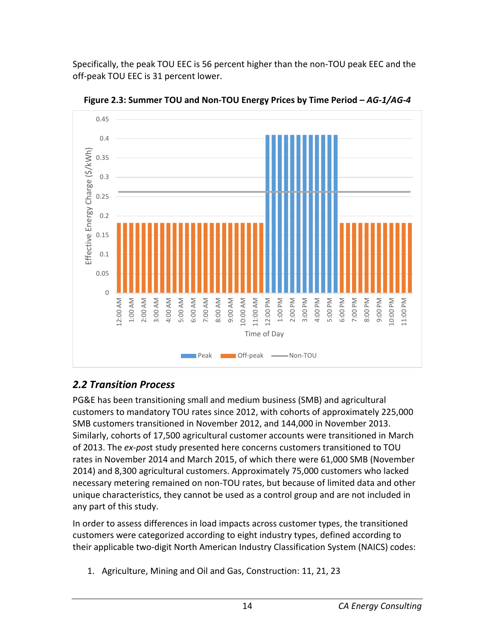Specifically, the peak TOU EEC is 56 percent higher than the non-TOU peak EEC and the off-peak TOU EEC is 31 percent lower.



<span id="page-19-1"></span>**Figure 2.3: Summer TOU and Non-TOU Energy Prices by Time Period –** *AG-1/AG-4*

# <span id="page-19-0"></span>*2.2 Transition Process*

PG&E has been transitioning small and medium business (SMB) and agricultural customers to mandatory TOU rates since 2012, with cohorts of approximately 225,000 SMB customers transitioned in November 2012, and 144,000 in November 2013. Similarly, cohorts of 17,500 agricultural customer accounts were transitioned in March of 2013. The *ex-pos*t study presented here concerns customers transitioned to TOU rates in November 2014 and March 2015, of which there were 61,000 SMB (November 2014) and 8,300 agricultural customers. Approximately 75,000 customers who lacked necessary metering remained on non-TOU rates, but because of limited data and other unique characteristics, they cannot be used as a control group and are not included in any part of this study.

In order to assess differences in load impacts across customer types, the transitioned customers were categorized according to eight industry types, defined according to their applicable two-digit North American Industry Classification System (NAICS) codes:

1. Agriculture, Mining and Oil and Gas, Construction: 11, 21, 23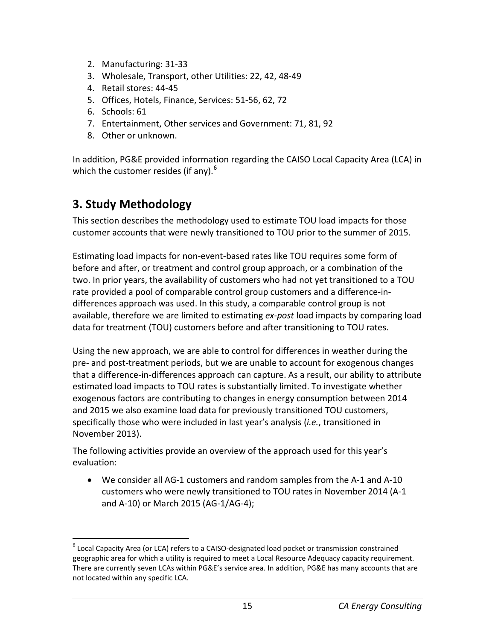- 2. Manufacturing: 31-33
- 3. Wholesale, Transport, other Utilities: 22, 42, 48-49
- 4. Retail stores: 44-45
- 5. Offices, Hotels, Finance, Services: 51-56, 62, 72
- 6. Schools: 61
- 7. Entertainment, Other services and Government: 71, 81, 92
- 8. Other or unknown.

In addition, PG&E provided information regarding the CAISO Local Capacity Area (LCA) in which the customer resides (if any).  $6\overline{6}$  $6\overline{6}$ 

# <span id="page-20-0"></span>**3. Study Methodology**

This section describes the methodology used to estimate TOU load impacts for those customer accounts that were newly transitioned to TOU prior to the summer of 2015.

Estimating load impacts for non-event-based rates like TOU requires some form of before and after, or treatment and control group approach, or a combination of the two. In prior years, the availability of customers who had not yet transitioned to a TOU rate provided a pool of comparable control group customers and a difference-indifferences approach was used. In this study, a comparable control group is not available, therefore we are limited to estimating *ex-post* load impacts by comparing load data for treatment (TOU) customers before and after transitioning to TOU rates.

Using the new approach, we are able to control for differences in weather during the pre- and post-treatment periods, but we are unable to account for exogenous changes that a difference-in-differences approach can capture. As a result, our ability to attribute estimated load impacts to TOU rates is substantially limited. To investigate whether exogenous factors are contributing to changes in energy consumption between 2014 and 2015 we also examine load data for previously transitioned TOU customers, specifically those who were included in last year's analysis (*i.e.*, transitioned in November 2013).

The following activities provide an overview of the approach used for this year's evaluation:

• We consider all AG-1 customers and random samples from the A-1 and A-10 customers who were newly transitioned to TOU rates in November 2014 (A-1 and A-10) or March 2015 (AG-1/AG-4);

<span id="page-20-1"></span> $6$  Local Capacity Area (or LCA) refers to a CAISO-designated load pocket or transmission constrained geographic area for which a utility is required to meet a Local Resource Adequacy capacity requirement. There are currently seven LCAs within PG&E's service area. In addition, PG&E has many accounts that are not located within any specific LCA.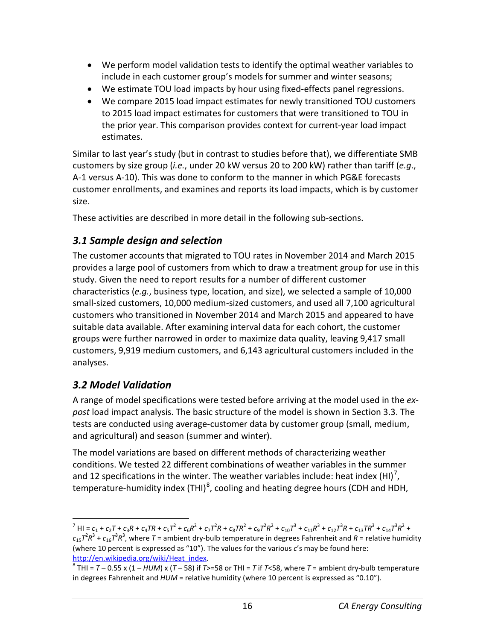- We perform model validation tests to identify the optimal weather variables to include in each customer group's models for summer and winter seasons;
- We estimate TOU load impacts by hour using fixed-effects panel regressions.
- We compare 2015 load impact estimates for newly transitioned TOU customers to 2015 load impact estimates for customers that were transitioned to TOU in the prior year. This comparison provides context for current-year load impact estimates.

Similar to last year's study (but in contrast to studies before that), we differentiate SMB customers by size group (*i.e.*, under 20 kW versus 20 to 200 kW) rather than tariff (*e.g*., A-1 versus A-10). This was done to conform to the manner in which PG&E forecasts customer enrollments, and examines and reports its load impacts, which is by customer size.

These activities are described in more detail in the following sub-sections.

## <span id="page-21-0"></span>*3.1 Sample design and selection*

The customer accounts that migrated to TOU rates in November 2014 and March 2015 provides a large pool of customers from which to draw a treatment group for use in this study. Given the need to report results for a number of different customer characteristics (*e.g.*, business type, location, and size), we selected a sample of 10,000 small-sized customers, 10,000 medium-sized customers, and used all 7,100 agricultural customers who transitioned in November 2014 and March 2015 and appeared to have suitable data available. After examining interval data for each cohort, the customer groups were further narrowed in order to maximize data quality, leaving 9,417 small customers, 9,919 medium customers, and 6,143 agricultural customers included in the analyses.

## <span id="page-21-1"></span>*3.2 Model Validation*

A range of model specifications were tested before arriving at the model used in the *expost* load impact analysis. The basic structure of the model is shown in Section 3.3. The tests are conducted using average-customer data by customer group (small, medium, and agricultural) and season (summer and winter).

The model variations are based on different methods of characterizing weather conditions. We tested 22 different combinations of weather variables in the summer and 12 specifications in the winter. The weather variables include: heat index (HI)<sup>[7](#page-21-2)</sup>, temperature-humidity index (THI)<sup>[8](#page-21-3)</sup>, cooling and heating degree hours (CDH and HDH,

<span id="page-21-2"></span><sup>&</sup>lt;sup>7</sup> HI =  $c_1$  +  $c_2$ T +  $c_3$ R +  $c_4$ TR +  $c_5T^2$  +  $c_6R^2$  +  $c_7T^2R$  +  $c_8TR^2$  +  $c_9T^2R^2$  +  $c_{10}T^3$  +  $c_{11}R^3$  +  $c_{12}T^3R$  +  $c_{13}TR^3$  +  $c_{14}T^3R^2$  +  $c_{15}$  $7^2R^3$  +  $c_{16}$  $7^3R^3$ , where  $T$  = ambient dry-bulb temperature in degrees Fahrenheit and  $R$  = relative humidity (where 10 percent is expressed as "10"). The values for the various *c*'s may be found here:

<span id="page-21-3"></span>[http://en.wikipedia.org/wiki/Heat\\_index.](http://en.wikipedia.org/wiki/Heat_index)<br><sup>8</sup> THI = *T* – 0.55 x (1 – *HUM*) x (*T* – 58) if *T*>=58 or THI = *T* if *T*<58, where *T* = ambient dry-bulb temperature in degrees Fahrenheit and *HUM* = relative humidity (where 10 percent is expressed as "0.10").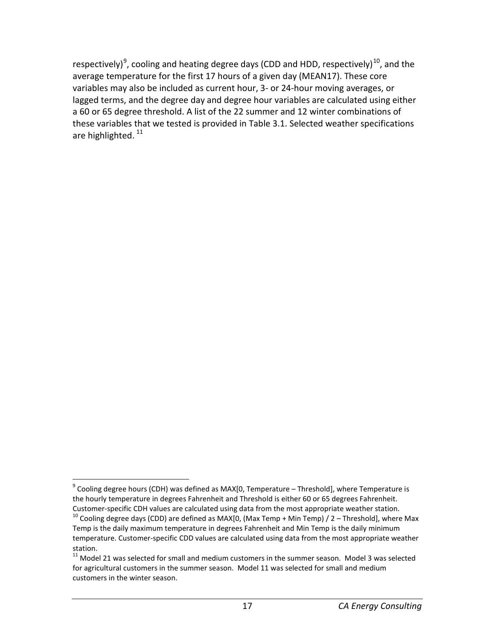respectively)<sup>[9](#page-22-0)</sup>, cooling and heating degree days (CDD and HDD, respectively)<sup>10</sup>, and the average temperature for the first 17 hours of a given day (MEAN17). These core variables may also be included as current hour, 3- or 24-hour moving averages, or lagged terms, and the degree day and degree hour variables are calculated using either a 60 or 65 degree threshold. A list of the 22 summer and 12 winter combinations of these variables that we tested is provided in Table 3.1. Selected weather specifications are highlighted.<sup>[11](#page-22-2)</sup>

<span id="page-22-0"></span> $9^9$  Cooling degree hours (CDH) was defined as MAX[0, Temperature – Threshold], where Temperature is the hourly temperature in degrees Fahrenheit and Threshold is either 60 or 65 degrees Fahrenheit. Customer-specific CDH values are calculated using data from the most appropriate weather station.<br><sup>10</sup> Cooling degree days (CDD) are defined as MAX[0, (Max Temp + Min Temp) / 2 – Threshold], where Max

<span id="page-22-1"></span>Temp is the daily maximum temperature in degrees Fahrenheit and Min Temp is the daily minimum temperature. Customer-specific CDD values are calculated using data from the most appropriate weather station.

<span id="page-22-2"></span> $11$  Model 21 was selected for small and medium customers in the summer season. Model 3 was selected for agricultural customers in the summer season. Model 11 was selected for small and medium customers in the winter season.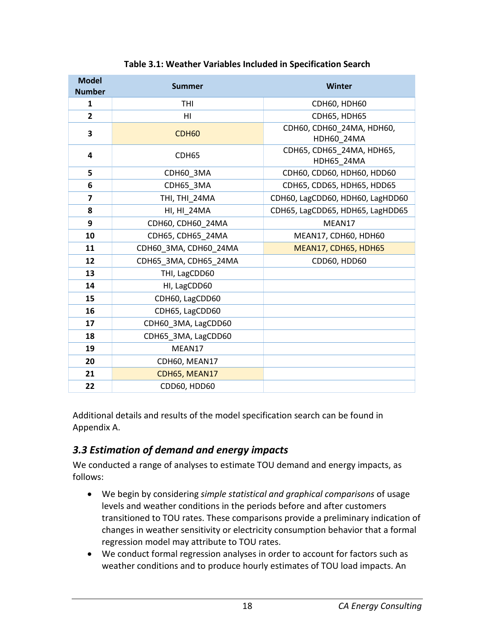<span id="page-23-1"></span>

| <b>Model</b><br><b>Number</b> | <b>Summer</b>         | Winter                                         |
|-------------------------------|-----------------------|------------------------------------------------|
| 1                             | <b>THI</b>            | <b>CDH60, HDH60</b>                            |
| $\overline{2}$                | H <sub>l</sub>        | <b>CDH65, HDH65</b>                            |
| 3                             | <b>CDH60</b>          | CDH60, CDH60 24MA, HDH60,<br><b>HDH60 24MA</b> |
| 4                             | CDH <sub>65</sub>     | CDH65, CDH65 24MA, HDH65,<br>HDH65 24MA        |
| 5                             | CDH60_3MA             | CDH60, CDD60, HDH60, HDD60                     |
| 6                             | CDH65 3MA             | CDH65, CDD65, HDH65, HDD65                     |
| $\overline{\mathbf{z}}$       | THI, THI 24MA         | CDH60, LagCDD60, HDH60, LagHDD60               |
| 8                             | HI, HI_24MA           | CDH65, LagCDD65, HDH65, LagHDD65               |
| 9                             | CDH60, CDH60 24MA     | MEAN17                                         |
| 10                            | CDH65, CDH65_24MA     | MEAN17, CDH60, HDH60                           |
| 11                            | CDH60 3MA, CDH60 24MA | MEAN17, CDH65, HDH65                           |
| 12                            | CDH65 3MA, CDH65 24MA | CDD60, HDD60                                   |
| 13                            | THI, LagCDD60         |                                                |
| 14                            | HI, LagCDD60          |                                                |
| 15                            | CDH60, LagCDD60       |                                                |
| 16                            | CDH65, LagCDD60       |                                                |
| 17                            | CDH60 3MA, LagCDD60   |                                                |
| 18                            | CDH65 3MA, LagCDD60   |                                                |
| 19                            | MEAN17                |                                                |
| 20                            | CDH60, MEAN17         |                                                |
| 21                            | CDH65, MEAN17         |                                                |
| 22                            | CDD60, HDD60          |                                                |

#### **Table 3.1: Weather Variables Included in Specification Search**

Additional details and results of the model specification search can be found in Appendix A.

## <span id="page-23-0"></span>*3.3 Estimation of demand and energy impacts*

We conducted a range of analyses to estimate TOU demand and energy impacts, as follows:

- We begin by considering *simple statistical and graphical comparisons* of usage levels and weather conditions in the periods before and after customers transitioned to TOU rates. These comparisons provide a preliminary indication of changes in weather sensitivity or electricity consumption behavior that a formal regression model may attribute to TOU rates.
- We conduct formal regression analyses in order to account for factors such as weather conditions and to produce hourly estimates of TOU load impacts. An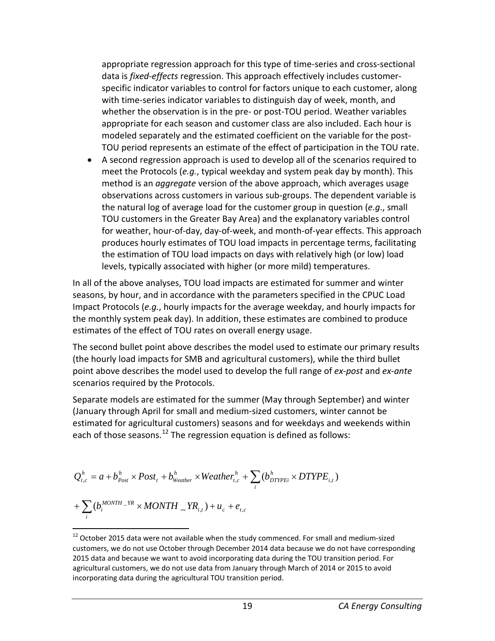appropriate regression approach for this type of time-series and cross-sectional data is *fixed-effects* regression. This approach effectively includes customerspecific indicator variables to control for factors unique to each customer, along with time-series indicator variables to distinguish day of week, month, and whether the observation is in the pre- or post-TOU period. Weather variables appropriate for each season and customer class are also included. Each hour is modeled separately and the estimated coefficient on the variable for the post-TOU period represents an estimate of the effect of participation in the TOU rate.

• A second regression approach is used to develop all of the scenarios required to meet the Protocols (*e.g.*, typical weekday and system peak day by month). This method is an *aggregate* version of the above approach, which averages usage observations across customers in various sub-groups. The dependent variable is the natural log of average load for the customer group in question (*e.g*., small TOU customers in the Greater Bay Area) and the explanatory variables control for weather, hour-of-day, day-of-week, and month-of-year effects. This approach produces hourly estimates of TOU load impacts in percentage terms, facilitating the estimation of TOU load impacts on days with relatively high (or low) load levels, typically associated with higher (or more mild) temperatures.

In all of the above analyses, TOU load impacts are estimated for summer and winter seasons, by hour, and in accordance with the parameters specified in the CPUC Load Impact Protocols (*e.g.*, hourly impacts for the average weekday, and hourly impacts for the monthly system peak day). In addition, these estimates are combined to produce estimates of the effect of TOU rates on overall energy usage.

The second bullet point above describes the model used to estimate our primary results (the hourly load impacts for SMB and agricultural customers), while the third bullet point above describes the model used to develop the full range of *ex-post* and *ex-ante* scenarios required by the Protocols.

Separate models are estimated for the summer (May through September) and winter (January through April for small and medium-sized customers, winter cannot be estimated for agricultural customers) seasons and for weekdays and weekends within each of those seasons.<sup>[12](#page-24-0)</sup> The regression equation is defined as follows:

$$
Q_{t,c}^{h} = a + b_{Post}^{h} \times Post_{t} + b_{Weather}^{h} \times Weather_{t,c}^{h} + \sum_{i} (b_{DTYPEi}^{h} \times DTYPE_{i,t})
$$
  
+ 
$$
\sum_{i} (b_{i}^{MONTH} - YR \times MONTH - YR_{i,t}) + u_{c} + e_{t,c}
$$

<span id="page-24-0"></span><sup>&</sup>lt;sup>12</sup> October 2015 data were not available when the study commenced. For small and medium-sized customers, we do not use October through December 2014 data because we do not have corresponding 2015 data and because we want to avoid incorporating data during the TOU transition period. For agricultural customers, we do not use data from January through March of 2014 or 2015 to avoid incorporating data during the agricultural TOU transition period.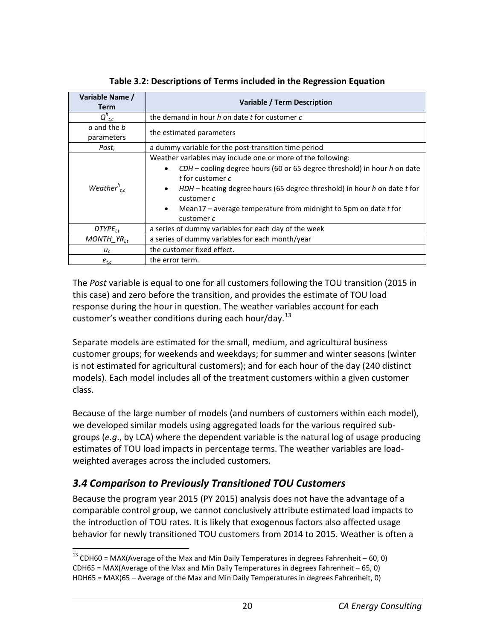<span id="page-25-1"></span>

| Variable Name /<br><b>Term</b> | Variable / Term Description                                                                                                                                                                                                                                                                                                                                        |  |  |
|--------------------------------|--------------------------------------------------------------------------------------------------------------------------------------------------------------------------------------------------------------------------------------------------------------------------------------------------------------------------------------------------------------------|--|--|
| $Q_{t,c}^h$                    | the demand in hour h on date t for customer c                                                                                                                                                                                                                                                                                                                      |  |  |
| a and the b<br>parameters      | the estimated parameters                                                                                                                                                                                                                                                                                                                                           |  |  |
| $Post_t$                       | a dummy variable for the post-transition time period                                                                                                                                                                                                                                                                                                               |  |  |
| Weather $r_{tc}$               | Weather variables may include one or more of the following:<br>CDH – cooling degree hours (60 or 65 degree threshold) in hour h on date<br>t for customer c<br>HDH – heating degree hours (65 degree threshold) in hour h on date t for<br>$\bullet$<br>customer c<br>Mean17 – average temperature from midnight to 5pm on date $t$ for<br>$\bullet$<br>customer c |  |  |
| $DTYPE_{i.t}$                  | a series of dummy variables for each day of the week                                                                                                                                                                                                                                                                                                               |  |  |
| MONTH $YR_{i,t}$               | a series of dummy variables for each month/year                                                                                                                                                                                                                                                                                                                    |  |  |
| $u_c$                          | the customer fixed effect.                                                                                                                                                                                                                                                                                                                                         |  |  |
| $e_{t,c}$                      | the error term.                                                                                                                                                                                                                                                                                                                                                    |  |  |

**Table 3.2: Descriptions of Terms included in the Regression Equation**

The *Post* variable is equal to one for all customers following the TOU transition (2015 in this case) and zero before the transition, and provides the estimate of TOU load response during the hour in question. The weather variables account for each customer's weather conditions during each hour/day.<sup>[13](#page-25-2)</sup>

Separate models are estimated for the small, medium, and agricultural business customer groups; for weekends and weekdays; for summer and winter seasons (winter is not estimated for agricultural customers); and for each hour of the day (240 distinct models). Each model includes all of the treatment customers within a given customer class.

Because of the large number of models (and numbers of customers within each model), we developed similar models using aggregated loads for the various required subgroups (*e.g*., by LCA) where the dependent variable is the natural log of usage producing estimates of TOU load impacts in percentage terms. The weather variables are loadweighted averages across the included customers.

## <span id="page-25-0"></span>*3.4 Comparison to Previously Transitioned TOU Customers*

Because the program year 2015 (PY 2015) analysis does not have the advantage of a comparable control group, we cannot conclusively attribute estimated load impacts to the introduction of TOU rates. It is likely that exogenous factors also affected usage behavior for newly transitioned TOU customers from 2014 to 2015. Weather is often a

<span id="page-25-2"></span> $13$  CDH60 = MAX(Average of the Max and Min Daily Temperatures in degrees Fahrenheit – 60, 0) CDH65 = MAX(Average of the Max and Min Daily Temperatures in degrees Fahrenheit – 65, 0) HDH65 = MAX(65 – Average of the Max and Min Daily Temperatures in degrees Fahrenheit, 0)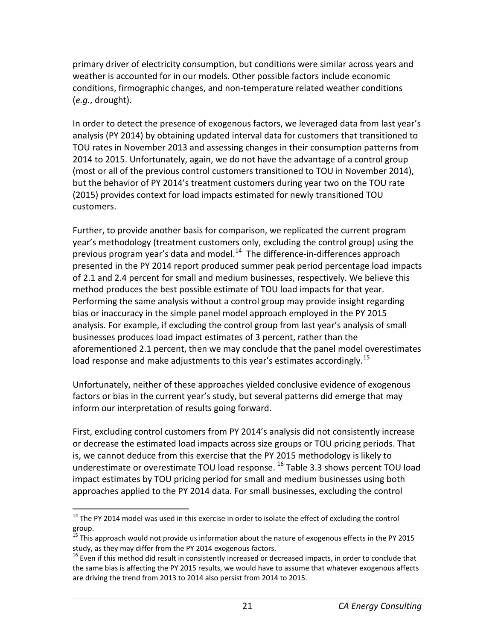primary driver of electricity consumption, but conditions were similar across years and weather is accounted for in our models. Other possible factors include economic conditions, firmographic changes, and non-temperature related weather conditions (*e.g.*, drought).

In order to detect the presence of exogenous factors, we leveraged data from last year's analysis (PY 2014) by obtaining updated interval data for customers that transitioned to TOU rates in November 2013 and assessing changes in their consumption patterns from 2014 to 2015. Unfortunately, again, we do not have the advantage of a control group (most or all of the previous control customers transitioned to TOU in November 2014), but the behavior of PY 2014's treatment customers during year two on the TOU rate (2015) provides context for load impacts estimated for newly transitioned TOU customers.

Further, to provide another basis for comparison, we replicated the current program year's methodology (treatment customers only, excluding the control group) using the previous program year's data and model.<sup>[14](#page-26-0)</sup> The difference-in-differences approach presented in the PY 2014 report produced summer peak period percentage load impacts of 2.1 and 2.4 percent for small and medium businesses, respectively. We believe this method produces the best possible estimate of TOU load impacts for that year. Performing the same analysis without a control group may provide insight regarding bias or inaccuracy in the simple panel model approach employed in the PY 2015 analysis. For example, if excluding the control group from last year's analysis of small businesses produces load impact estimates of 3 percent, rather than the aforementioned 2.1 percent, then we may conclude that the panel model overestimates load response and make adjustments to this year's estimates accordingly.<sup>[15](#page-26-1)</sup>

Unfortunately, neither of these approaches yielded conclusive evidence of exogenous factors or bias in the current year's study, but several patterns did emerge that may inform our interpretation of results going forward.

First, excluding control customers from PY 2014's analysis did not consistently increase or decrease the estimated load impacts across size groups or TOU pricing periods. That is, we cannot deduce from this exercise that the PY 2015 methodology is likely to underestimate or overestimate TOU load response. <sup>[16](#page-26-2)</sup> Table 3.3 shows percent TOU load impact estimates by TOU pricing period for small and medium businesses using both approaches applied to the PY 2014 data. For small businesses, excluding the control

<span id="page-26-0"></span><sup>&</sup>lt;sup>14</sup> The PY 2014 model was used in this exercise in order to isolate the effect of excluding the control  $\text{group.}$ <br> $\frac{15}{15}$ 

<span id="page-26-1"></span><sup>15</sup> This approach would not provide us information about the nature of exogenous effects in the PY 2015 study, as they may differ from the PY 2014 exogenous factors.<br><sup>16</sup> Even if this method did result in consistently increased or decreased impacts, in order to conclude that

<span id="page-26-2"></span>the same bias is affecting the PY 2015 results, we would have to assume that whatever exogenous affects are driving the trend from 2013 to 2014 also persist from 2014 to 2015.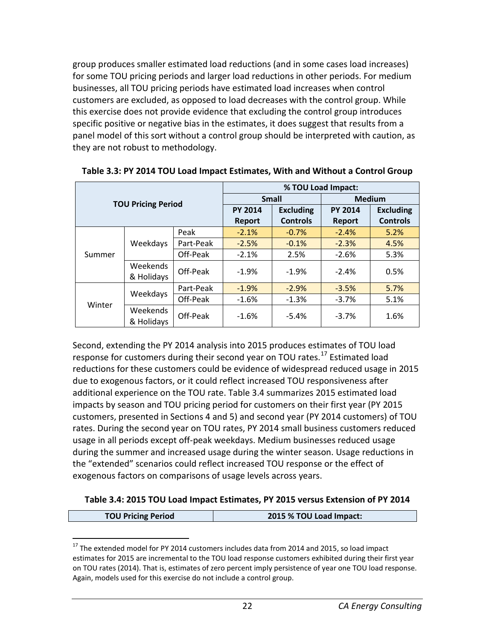group produces smaller estimated load reductions (and in some cases load increases) for some TOU pricing periods and larger load reductions in other periods. For medium businesses, all TOU pricing periods have estimated load increases when control customers are excluded, as opposed to load decreases with the control group. While this exercise does not provide evidence that excluding the control group introduces specific positive or negative bias in the estimates, it does suggest that results from a panel model of this sort without a control group should be interpreted with caution, as they are not robust to methodology.

|                           |            | % TOU Load Impact:            |                  |                 |                  |                 |
|---------------------------|------------|-------------------------------|------------------|-----------------|------------------|-----------------|
| <b>TOU Pricing Period</b> |            | <b>Small</b><br><b>Medium</b> |                  |                 |                  |                 |
|                           |            | <b>PY 2014</b>                | <b>Excluding</b> | <b>PY 2014</b>  | <b>Excluding</b> |                 |
|                           |            |                               | <b>Report</b>    | <b>Controls</b> | <b>Report</b>    | <b>Controls</b> |
|                           |            | Peak                          | $-2.1%$          | $-0.7%$         | $-2.4%$          | 5.2%            |
|                           | Weekdays   | Part-Peak                     | $-2.5%$          | $-0.1%$         | $-2.3%$          | 4.5%            |
| Summer                    |            | Off-Peak                      | $-2.1%$          | 2.5%            | $-2.6%$          | 5.3%            |
|                           | Weekends   | Off-Peak                      | $-1.9%$          | $-1.9%$         | $-2.4%$          | 0.5%            |
|                           | & Holidays |                               |                  |                 |                  |                 |
|                           |            | Part-Peak                     | $-1.9%$          | $-2.9%$         | $-3.5%$          | 5.7%            |
| Winter                    | Weekdays   | Off-Peak                      | $-1.6%$          | $-1.3%$         | $-3.7%$          | 5.1%            |
|                           | Weekends   | Off-Peak                      | $-1.6%$          | $-5.4%$         | $-3.7%$          | 1.6%            |
|                           | & Holidays |                               |                  |                 |                  |                 |

<span id="page-27-0"></span>**Table 3.3: PY 2014 TOU Load Impact Estimates, With and Without a Control Group**

Second, extending the PY 2014 analysis into 2015 produces estimates of TOU load response for customers during their second year on TOU rates.<sup>[17](#page-27-2)</sup> Estimated load reductions for these customers could be evidence of widespread reduced usage in 2015 due to exogenous factors, or it could reflect increased TOU responsiveness after additional experience on the TOU rate. Table 3.4 summarizes 2015 estimated load impacts by season and TOU pricing period for customers on their first year (PY 2015 customers, presented in Sections 4 and 5) and second year (PY 2014 customers) of TOU rates. During the second year on TOU rates, PY 2014 small business customers reduced usage in all periods except off-peak weekdays. Medium businesses reduced usage during the summer and increased usage during the winter season. Usage reductions in the "extended" scenarios could reflect increased TOU response or the effect of exogenous factors on comparisons of usage levels across years.

#### <span id="page-27-1"></span>**Table 3.4: 2015 TOU Load Impact Estimates, PY 2015 versus Extension of PY 2014**

|  | <b>TOU Pricing Period</b> | 2015 % TOU Load Impact: |
|--|---------------------------|-------------------------|
|--|---------------------------|-------------------------|

<span id="page-27-2"></span><sup>&</sup>lt;sup>17</sup> The extended model for PY 2014 customers includes data from 2014 and 2015, so load impact estimates for 2015 are incremental to the TOU load response customers exhibited during their first year on TOU rates (2014). That is, estimates of zero percent imply persistence of year one TOU load response. Again, models used for this exercise do not include a control group.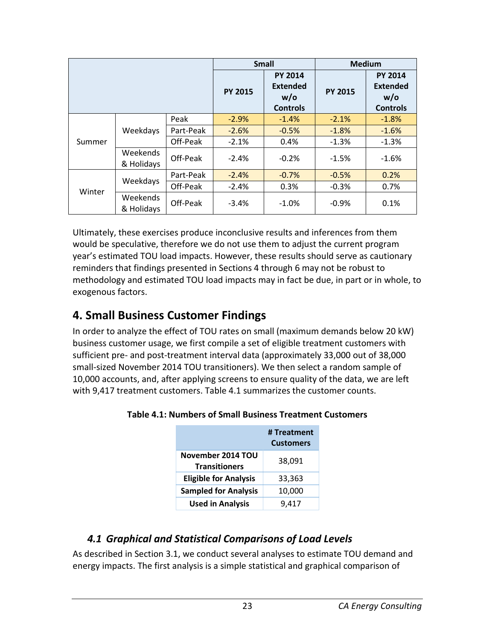|        |                        |                |                                                             | <b>Small</b>   | <b>Medium</b>                                               |         |
|--------|------------------------|----------------|-------------------------------------------------------------|----------------|-------------------------------------------------------------|---------|
|        |                        | <b>PY 2015</b> | <b>PY 2014</b><br><b>Extended</b><br>w/o<br><b>Controls</b> | <b>PY 2015</b> | <b>PY 2014</b><br><b>Extended</b><br>w/o<br><b>Controls</b> |         |
|        |                        | Peak           | $-2.9%$                                                     | $-1.4%$        | $-2.1%$                                                     | $-1.8%$ |
|        | Weekdays               | Part-Peak      | $-2.6%$                                                     | $-0.5%$        | $-1.8%$                                                     | $-1.6%$ |
| Summer |                        | Off-Peak       | $-2.1%$                                                     | 0.4%           | $-1.3%$                                                     | $-1.3%$ |
|        | Weekends<br>& Holidays | Off-Peak       | $-2.4%$                                                     | $-0.2%$        | $-1.5%$                                                     | $-1.6%$ |
|        | Weekdays               | Part-Peak      | $-2.4%$                                                     | $-0.7%$        | $-0.5%$                                                     | 0.2%    |
| Winter |                        | Off-Peak       | $-2.4%$                                                     | 0.3%           | $-0.3%$                                                     | 0.7%    |
|        | Weekends<br>& Holidays | Off-Peak       | $-3.4%$                                                     | $-1.0%$        | $-0.9%$                                                     | 0.1%    |

Ultimately, these exercises produce inconclusive results and inferences from them would be speculative, therefore we do not use them to adjust the current program year's estimated TOU load impacts. However, these results should serve as cautionary reminders that findings presented in Sections 4 through 6 may not be robust to methodology and estimated TOU load impacts may in fact be due, in part or in whole, to exogenous factors.

# <span id="page-28-0"></span>**4. Small Business Customer Findings**

In order to analyze the effect of TOU rates on small (maximum demands below 20 kW) business customer usage, we first compile a set of eligible treatment customers with sufficient pre- and post-treatment interval data (approximately 33,000 out of 38,000 small-sized November 2014 TOU transitioners). We then select a random sample of 10,000 accounts, and, after applying screens to ensure quality of the data, we are left with 9,417 treatment customers. Table 4.1 summarizes the customer counts.

|                                           | # Treatment<br><b>Customers</b> |
|-------------------------------------------|---------------------------------|
| November 2014 TOU<br><b>Transitioners</b> | 38,091                          |
| <b>Eligible for Analysis</b>              | 33,363                          |
| <b>Sampled for Analysis</b>               | 10,000                          |
| <b>Used in Analysis</b>                   | 9.417                           |

#### <span id="page-28-2"></span>**Table 4.1: Numbers of Small Business Treatment Customers**

#### <span id="page-28-1"></span>*4.1 Graphical and Statistical Comparisons of Load Levels*

As described in Section 3.1, we conduct several analyses to estimate TOU demand and energy impacts. The first analysis is a simple statistical and graphical comparison of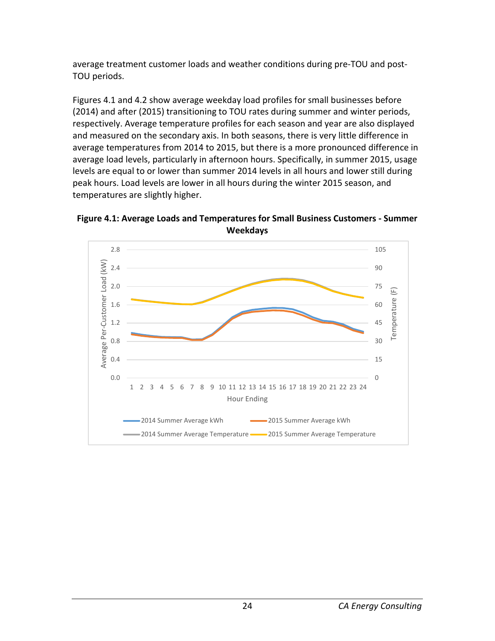average treatment customer loads and weather conditions during pre-TOU and post-TOU periods.

Figures 4.1 and 4.2 show average weekday load profiles for small businesses before (2014) and after (2015) transitioning to TOU rates during summer and winter periods, respectively. Average temperature profiles for each season and year are also displayed and measured on the secondary axis. In both seasons, there is very little difference in average temperatures from 2014 to 2015, but there is a more pronounced difference in average load levels, particularly in afternoon hours. Specifically, in summer 2015, usage levels are equal to or lower than summer 2014 levels in all hours and lower still during peak hours. Load levels are lower in all hours during the winter 2015 season, and temperatures are slightly higher.

<span id="page-29-0"></span>**Figure 4.1: Average Loads and Temperatures for Small Business Customers - Summer Weekdays**

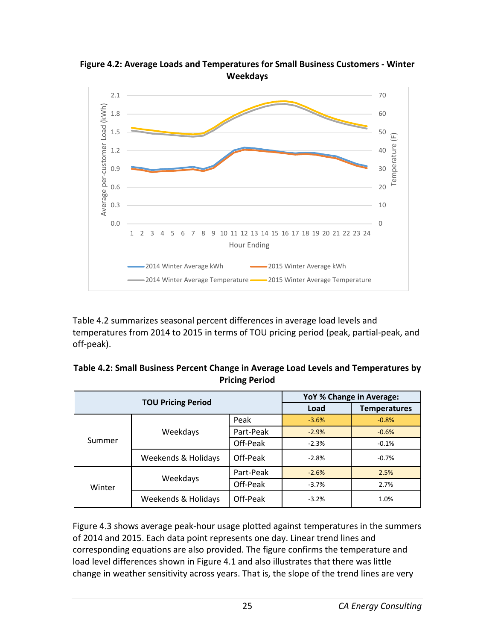

<span id="page-30-1"></span>**Figure 4.2: Average Loads and Temperatures for Small Business Customers - Winter Weekdays**

Table 4.2 summarizes seasonal percent differences in average load levels and temperatures from 2014 to 2015 in terms of TOU pricing period (peak, partial-peak, and off-peak).

<span id="page-30-0"></span>

| Table 4.2: Small Business Percent Change in Average Load Levels and Temperatures by |
|-------------------------------------------------------------------------------------|
| <b>Pricing Period</b>                                                               |

| <b>TOU Pricing Period</b> |                     |           | YoY % Change in Average: |                     |  |
|---------------------------|---------------------|-----------|--------------------------|---------------------|--|
|                           |                     |           | Load                     | <b>Temperatures</b> |  |
| Summer                    | Weekdays            | Peak      | $-3.6%$                  | $-0.8%$             |  |
|                           |                     | Part-Peak | $-2.9%$                  | $-0.6%$             |  |
|                           |                     | Off-Peak  | $-2.3%$                  | $-0.1%$             |  |
|                           | Weekends & Holidays | Off-Peak  | $-2.8%$                  | $-0.7%$             |  |
| Winter                    | Weekdays            | Part-Peak | $-2.6%$                  | 2.5%                |  |
|                           |                     | Off-Peak  | $-3.7%$                  | 2.7%                |  |
|                           | Weekends & Holidays | Off-Peak  | $-3.2%$                  | 1.0%                |  |

Figure 4.3 shows average peak-hour usage plotted against temperatures in the summers of 2014 and 2015. Each data point represents one day. Linear trend lines and corresponding equations are also provided. The figure confirms the temperature and load level differences shown in Figure 4.1 and also illustrates that there was little change in weather sensitivity across years. That is, the slope of the trend lines are very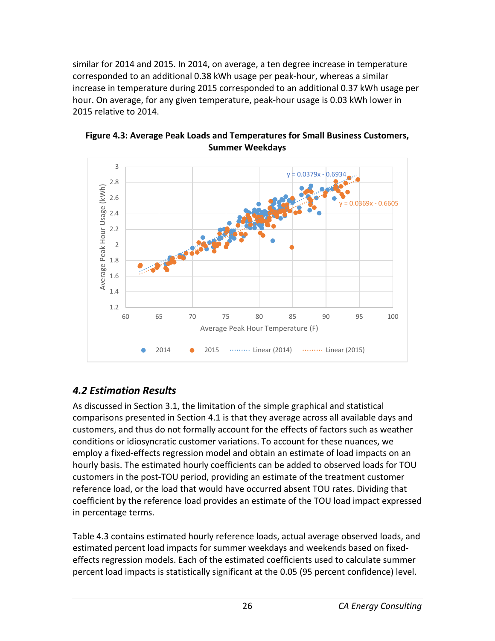similar for 2014 and 2015. In 2014, on average, a ten degree increase in temperature corresponded to an additional 0.38 kWh usage per peak-hour, whereas a similar increase in temperature during 2015 corresponded to an additional 0.37 kWh usage per hour. On average, for any given temperature, peak-hour usage is 0.03 kWh lower in 2015 relative to 2014.



<span id="page-31-1"></span>**Figure 4.3: Average Peak Loads and Temperatures for Small Business Customers, Summer Weekdays**

# <span id="page-31-0"></span>*4.2 Estimation Results*

As discussed in Section 3.1, the limitation of the simple graphical and statistical comparisons presented in Section 4.1 is that they average across all available days and customers, and thus do not formally account for the effects of factors such as weather conditions or idiosyncratic customer variations. To account for these nuances, we employ a fixed-effects regression model and obtain an estimate of load impacts on an hourly basis. The estimated hourly coefficients can be added to observed loads for TOU customers in the post-TOU period, providing an estimate of the treatment customer reference load, or the load that would have occurred absent TOU rates. Dividing that coefficient by the reference load provides an estimate of the TOU load impact expressed in percentage terms.

Table 4.3 contains estimated hourly reference loads, actual average observed loads, and estimated percent load impacts for summer weekdays and weekends based on fixedeffects regression models. Each of the estimated coefficients used to calculate summer percent load impacts is statistically significant at the 0.05 (95 percent confidence) level.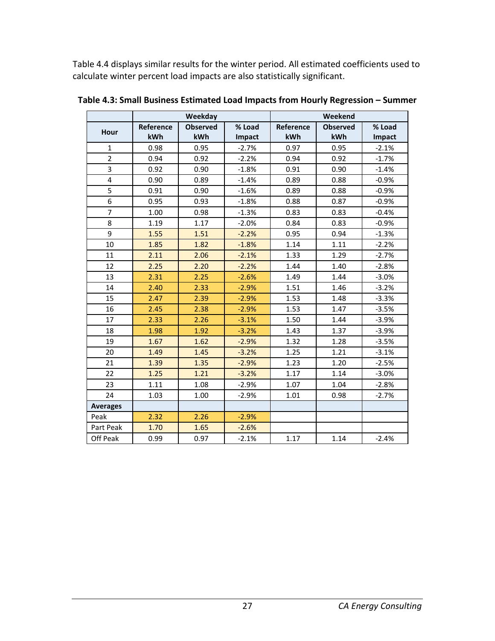Table 4.4 displays similar results for the winter period. All estimated coefficients used to calculate winter percent load impacts are also statistically significant.

|                 | Weekday   |                 |         | Weekend   |                 |         |
|-----------------|-----------|-----------------|---------|-----------|-----------------|---------|
| Hour            | Reference | <b>Observed</b> | % Load  | Reference | <b>Observed</b> | % Load  |
|                 | kWh       | kWh             | Impact  | kWh       | kWh             | Impact  |
| $\mathbf{1}$    | 0.98      | 0.95            | $-2.7%$ | 0.97      | 0.95            | $-2.1%$ |
| $\overline{2}$  | 0.94      | 0.92            | $-2.2%$ | 0.94      | 0.92            | $-1.7%$ |
| 3               | 0.92      | 0.90            | $-1.8%$ | 0.91      | 0.90            | $-1.4%$ |
| 4               | 0.90      | 0.89            | $-1.4%$ | 0.89      | 0.88            | $-0.9%$ |
| 5               | 0.91      | 0.90            | $-1.6%$ | 0.89      | 0.88            | $-0.9%$ |
| 6               | 0.95      | 0.93            | $-1.8%$ | 0.88      | 0.87            | $-0.9%$ |
| $\overline{7}$  | 1.00      | 0.98            | $-1.3%$ | 0.83      | 0.83            | $-0.4%$ |
| 8               | 1.19      | 1.17            | $-2.0%$ | 0.84      | 0.83            | $-0.9%$ |
| 9               | 1.55      | 1.51            | $-2.2%$ | 0.95      | 0.94            | $-1.3%$ |
| 10              | 1.85      | 1.82            | $-1.8%$ | 1.14      | 1.11            | $-2.2%$ |
| 11              | 2.11      | 2.06            | $-2.1%$ | 1.33      | 1.29            | $-2.7%$ |
| 12              | 2.25      | 2.20            | $-2.2%$ | 1.44      | 1.40            | $-2.8%$ |
| 13              | 2.31      | 2.25            | $-2.6%$ | 1.49      | 1.44            | $-3.0%$ |
| 14              | 2.40      | 2.33            | $-2.9%$ | 1.51      | 1.46            | $-3.2%$ |
| 15              | 2.47      | 2.39            | $-2.9%$ | 1.53      | 1.48            | $-3.3%$ |
| 16              | 2.45      | 2.38            | $-2.9%$ | 1.53      | 1.47            | $-3.5%$ |
| 17              | 2.33      | 2.26            | $-3.1%$ | 1.50      | 1.44            | $-3.9%$ |
| 18              | 1.98      | 1.92            | $-3.2%$ | 1.43      | 1.37            | $-3.9%$ |
| 19              | 1.67      | 1.62            | $-2.9%$ | 1.32      | 1.28            | $-3.5%$ |
| 20              | 1.49      | 1.45            | $-3.2%$ | 1.25      | 1.21            | $-3.1%$ |
| 21              | 1.39      | 1.35            | $-2.9%$ | 1.23      | 1.20            | $-2.5%$ |
| 22              | 1.25      | 1.21            | $-3.2%$ | 1.17      | 1.14            | $-3.0%$ |
| 23              | 1.11      | 1.08            | $-2.9%$ | 1.07      | 1.04            | $-2.8%$ |
| 24              | 1.03      | 1.00            | $-2.9%$ | 1.01      | 0.98            | $-2.7%$ |
| <b>Averages</b> |           |                 |         |           |                 |         |
| Peak            | 2.32      | 2.26            | $-2.9%$ |           |                 |         |
| Part Peak       | 1.70      | 1.65            | $-2.6%$ |           |                 |         |
| Off Peak        | 0.99      | 0.97            | $-2.1%$ | 1.17      | 1.14            | $-2.4%$ |

<span id="page-32-0"></span>**Table 4.3: Small Business Estimated Load Impacts from Hourly Regression – Summer**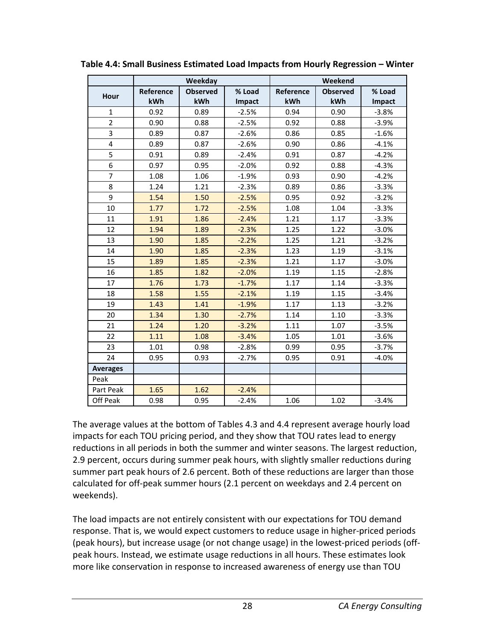|                         | Weekday   |                 |         | Weekend   |                 |         |
|-------------------------|-----------|-----------------|---------|-----------|-----------------|---------|
|                         | Reference | <b>Observed</b> | % Load  | Reference | <b>Observed</b> | % Load  |
| Hour                    | kWh       | kWh             | Impact  | kWh       | kWh             | Impact  |
| $\mathbf{1}$            | 0.92      | 0.89            | $-2.5%$ | 0.94      | 0.90            | $-3.8%$ |
| $\overline{2}$          | 0.90      | 0.88            | $-2.5%$ | 0.92      | 0.88            | $-3.9%$ |
| 3                       | 0.89      | 0.87            | $-2.6%$ | 0.86      | 0.85            | $-1.6%$ |
| $\overline{\mathbf{4}}$ | 0.89      | 0.87            | $-2.6%$ | 0.90      | 0.86            | $-4.1%$ |
| 5                       | 0.91      | 0.89            | $-2.4%$ | 0.91      | 0.87            | $-4.2%$ |
| 6                       | 0.97      | 0.95            | $-2.0%$ | 0.92      | 0.88            | $-4.3%$ |
| $\overline{7}$          | 1.08      | 1.06            | $-1.9%$ | 0.93      | 0.90            | $-4.2%$ |
| 8                       | 1.24      | 1.21            | $-2.3%$ | 0.89      | 0.86            | $-3.3%$ |
| 9                       | 1.54      | 1.50            | $-2.5%$ | 0.95      | 0.92            | $-3.2%$ |
| 10                      | 1.77      | 1.72            | $-2.5%$ | 1.08      | 1.04            | $-3.3%$ |
| 11                      | 1.91      | 1.86            | $-2.4%$ | 1.21      | 1.17            | $-3.3%$ |
| 12                      | 1.94      | 1.89            | $-2.3%$ | 1.25      | 1.22            | $-3.0%$ |
| 13                      | 1.90      | 1.85            | $-2.2%$ | 1.25      | 1.21            | $-3.2%$ |
| 14                      | 1.90      | 1.85            | $-2.3%$ | 1.23      | 1.19            | $-3.1%$ |
| 15                      | 1.89      | 1.85            | $-2.3%$ | 1.21      | 1.17            | $-3.0%$ |
| 16                      | 1.85      | 1.82            | $-2.0%$ | 1.19      | 1.15            | $-2.8%$ |
| 17                      | 1.76      | 1.73            | $-1.7%$ | 1.17      | 1.14            | $-3.3%$ |
| 18                      | 1.58      | 1.55            | $-2.1%$ | 1.19      | 1.15            | $-3.4%$ |
| 19                      | 1.43      | 1.41            | $-1.9%$ | 1.17      | 1.13            | $-3.2%$ |
| 20                      | 1.34      | 1.30            | $-2.7%$ | 1.14      | 1.10            | $-3.3%$ |
| 21                      | 1.24      | 1.20            | $-3.2%$ | 1.11      | 1.07            | $-3.5%$ |
| 22                      | 1.11      | 1.08            | $-3.4%$ | 1.05      | 1.01            | $-3.6%$ |
| 23                      | 1.01      | 0.98            | $-2.8%$ | 0.99      | 0.95            | $-3.7%$ |
| 24                      | 0.95      | 0.93            | $-2.7%$ | 0.95      | 0.91            | $-4.0%$ |
| <b>Averages</b>         |           |                 |         |           |                 |         |
| Peak                    |           |                 |         |           |                 |         |
| Part Peak               | 1.65      | 1.62            | $-2.4%$ |           |                 |         |
| Off Peak                | 0.98      | 0.95            | $-2.4%$ | 1.06      | 1.02            | $-3.4%$ |

<span id="page-33-0"></span>**Table 4.4: Small Business Estimated Load Impacts from Hourly Regression – Winter**

The average values at the bottom of Tables 4.3 and 4.4 represent average hourly load impacts for each TOU pricing period, and they show that TOU rates lead to energy reductions in all periods in both the summer and winter seasons. The largest reduction, 2.9 percent, occurs during summer peak hours, with slightly smaller reductions during summer part peak hours of 2.6 percent. Both of these reductions are larger than those calculated for off-peak summer hours (2.1 percent on weekdays and 2.4 percent on weekends).

The load impacts are not entirely consistent with our expectations for TOU demand response. That is, we would expect customers to reduce usage in higher-priced periods (peak hours), but increase usage (or not change usage) in the lowest-priced periods (offpeak hours. Instead, we estimate usage reductions in all hours. These estimates look more like conservation in response to increased awareness of energy use than TOU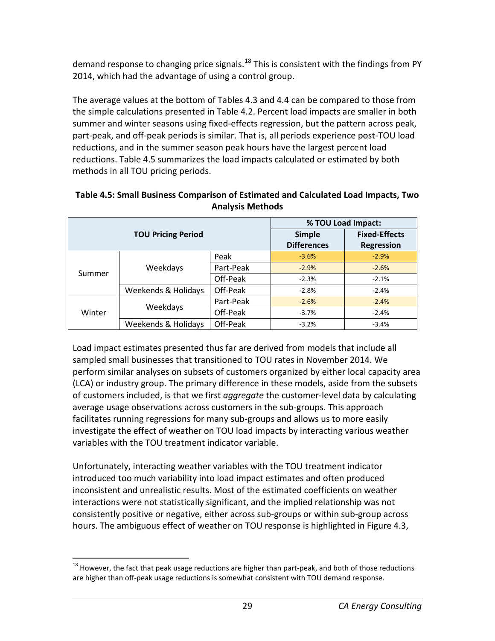demand response to changing price signals.<sup>[18](#page-34-1)</sup> This is consistent with the findings from PY 2014, which had the advantage of using a control group.

The average values at the bottom of Tables 4.3 and 4.4 can be compared to those from the simple calculations presented in Table 4.2. Percent load impacts are smaller in both summer and winter seasons using fixed-effects regression, but the pattern across peak, part-peak, and off-peak periods is similar. That is, all periods experience post-TOU load reductions, and in the summer season peak hours have the largest percent load reductions. Table 4.5 summarizes the load impacts calculated or estimated by both methods in all TOU pricing periods.

| <b>TOU Pricing Period</b> |                     |           | % TOU Load Impact: |                      |  |
|---------------------------|---------------------|-----------|--------------------|----------------------|--|
|                           |                     |           | <b>Simple</b>      | <b>Fixed-Effects</b> |  |
|                           |                     |           | <b>Differences</b> | <b>Regression</b>    |  |
| Summer                    | Weekdays            | Peak      | $-3.6%$            | $-2.9%$              |  |
|                           |                     | Part-Peak | $-2.9%$            | $-2.6%$              |  |
|                           |                     | Off-Peak  | $-2.3%$            | $-2.1%$              |  |
|                           | Weekends & Holidays | Off-Peak  | $-2.8%$            | $-2.4%$              |  |
| Winter                    | Weekdays            | Part-Peak | $-2.6%$            | $-2.4%$              |  |
|                           |                     | Off-Peak  | $-3.7%$            | $-2.4%$              |  |
|                           | Weekends & Holidays | Off-Peak  | $-3.2%$            | $-3.4%$              |  |

#### <span id="page-34-0"></span>**Table 4.5: Small Business Comparison of Estimated and Calculated Load Impacts, Two Analysis Methods**

Load impact estimates presented thus far are derived from models that include all sampled small businesses that transitioned to TOU rates in November 2014. We perform similar analyses on subsets of customers organized by either local capacity area (LCA) or industry group. The primary difference in these models, aside from the subsets of customers included, is that we first *aggregate* the customer-level data by calculating average usage observations across customers in the sub-groups. This approach facilitates running regressions for many sub-groups and allows us to more easily investigate the effect of weather on TOU load impacts by interacting various weather variables with the TOU treatment indicator variable.

Unfortunately, interacting weather variables with the TOU treatment indicator introduced too much variability into load impact estimates and often produced inconsistent and unrealistic results. Most of the estimated coefficients on weather interactions were not statistically significant, and the implied relationship was not consistently positive or negative, either across sub-groups or within sub-group across hours. The ambiguous effect of weather on TOU response is highlighted in Figure 4.3,

<span id="page-34-1"></span> $18$  However, the fact that peak usage reductions are higher than part-peak, and both of those reductions are higher than off-peak usage reductions is somewhat consistent with TOU demand response.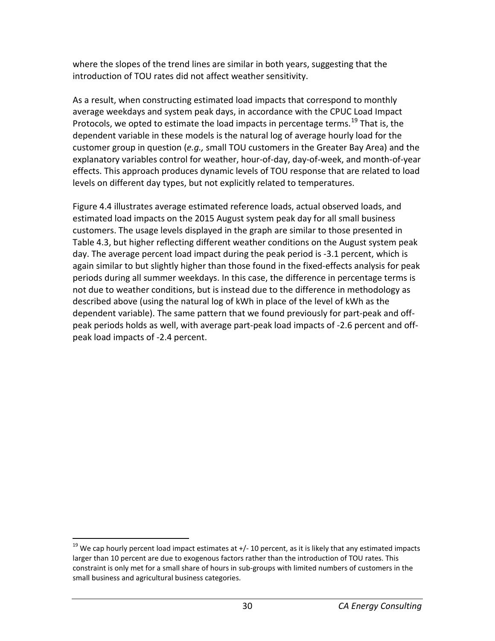where the slopes of the trend lines are similar in both years, suggesting that the introduction of TOU rates did not affect weather sensitivity.

As a result, when constructing estimated load impacts that correspond to monthly average weekdays and system peak days, in accordance with the CPUC Load Impact Protocols, we opted to estimate the load impacts in percentage terms.<sup>[19](#page-35-0)</sup> That is, the dependent variable in these models is the natural log of average hourly load for the customer group in question (*e.g.,* small TOU customers in the Greater Bay Area) and the explanatory variables control for weather, hour-of-day, day-of-week, and month-of-year effects. This approach produces dynamic levels of TOU response that are related to load levels on different day types, but not explicitly related to temperatures.

Figure 4.4 illustrates average estimated reference loads, actual observed loads, and estimated load impacts on the 2015 August system peak day for all small business customers. The usage levels displayed in the graph are similar to those presented in Table 4.3, but higher reflecting different weather conditions on the August system peak day. The average percent load impact during the peak period is -3.1 percent, which is again similar to but slightly higher than those found in the fixed-effects analysis for peak periods during all summer weekdays. In this case, the difference in percentage terms is not due to weather conditions, but is instead due to the difference in methodology as described above (using the natural log of kWh in place of the level of kWh as the dependent variable). The same pattern that we found previously for part-peak and offpeak periods holds as well, with average part-peak load impacts of -2.6 percent and offpeak load impacts of -2.4 percent.

<span id="page-35-0"></span> $19$  We cap hourly percent load impact estimates at  $+/-10$  percent, as it is likely that any estimated impacts larger than 10 percent are due to exogenous factors rather than the introduction of TOU rates. This constraint is only met for a small share of hours in sub-groups with limited numbers of customers in the small business and agricultural business categories.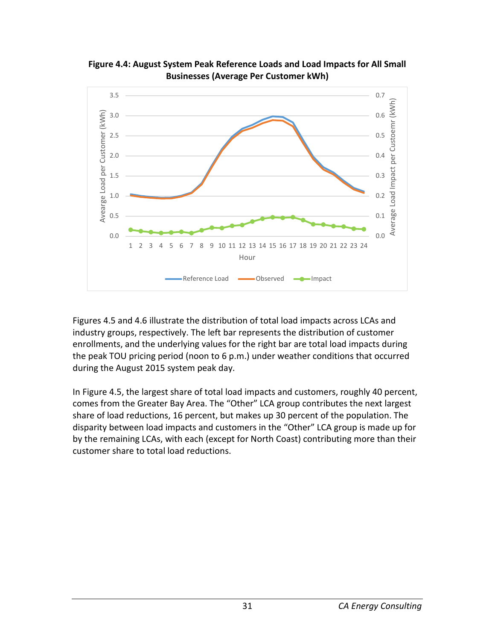

**Figure 4.4: August System Peak Reference Loads and Load Impacts for All Small Businesses (Average Per Customer kWh)**

Figures 4.5 and 4.6 illustrate the distribution of total load impacts across LCAs and industry groups, respectively. The left bar represents the distribution of customer enrollments, and the underlying values for the right bar are total load impacts during the peak TOU pricing period (noon to 6 p.m.) under weather conditions that occurred during the August 2015 system peak day.

In Figure 4.5, the largest share of total load impacts and customers, roughly 40 percent, comes from the Greater Bay Area. The "Other" LCA group contributes the next largest share of load reductions, 16 percent, but makes up 30 percent of the population. The disparity between load impacts and customers in the "Other" LCA group is made up for by the remaining LCAs, with each (except for North Coast) contributing more than their customer share to total load reductions.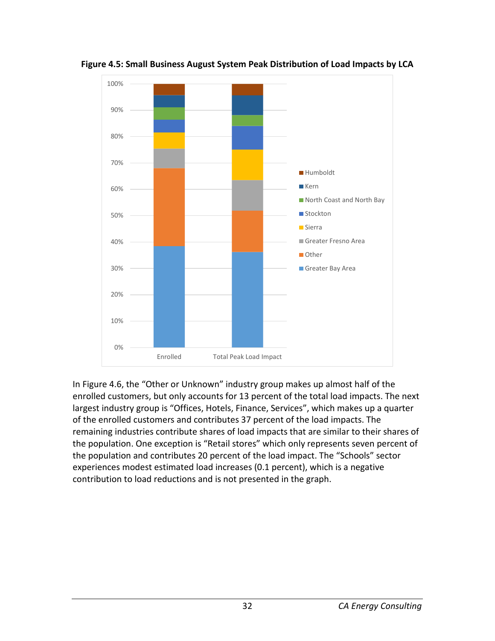

**Figure 4.5: Small Business August System Peak Distribution of Load Impacts by LCA**

In Figure 4.6, the "Other or Unknown" industry group makes up almost half of the enrolled customers, but only accounts for 13 percent of the total load impacts. The next largest industry group is "Offices, Hotels, Finance, Services", which makes up a quarter of the enrolled customers and contributes 37 percent of the load impacts. The remaining industries contribute shares of load impacts that are similar to their shares of the population. One exception is "Retail stores" which only represents seven percent of the population and contributes 20 percent of the load impact. The "Schools" sector experiences modest estimated load increases (0.1 percent), which is a negative contribution to load reductions and is not presented in the graph.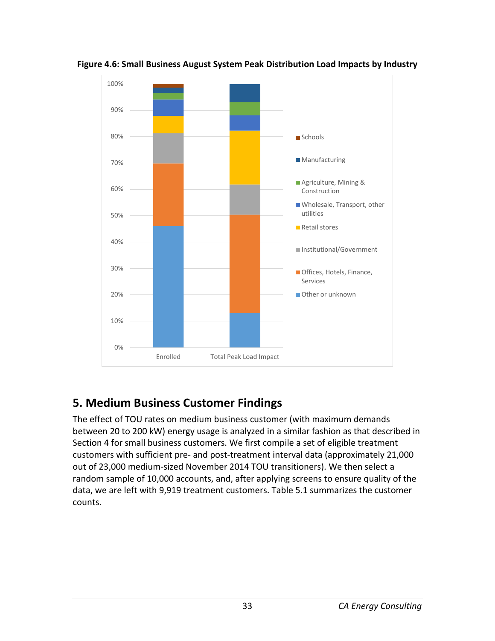

**Figure 4.6: Small Business August System Peak Distribution Load Impacts by Industry** 

# **5. Medium Business Customer Findings**

The effect of TOU rates on medium business customer (with maximum demands between 20 to 200 kW) energy usage is analyzed in a similar fashion as that described in Section 4 for small business customers. We first compile a set of eligible treatment customers with sufficient pre- and post-treatment interval data (approximately 21,000 out of 23,000 medium-sized November 2014 TOU transitioners). We then select a random sample of 10,000 accounts, and, after applying screens to ensure quality of the data, we are left with 9,919 treatment customers. Table 5.1 summarizes the customer counts.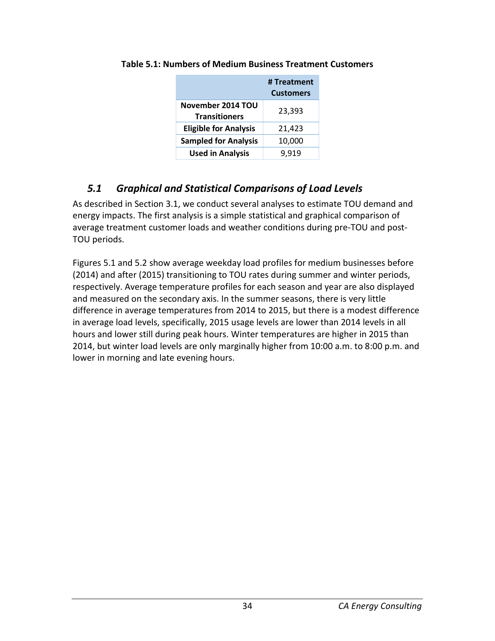|                                           | # Treatment<br><b>Customers</b> |
|-------------------------------------------|---------------------------------|
| November 2014 TOU<br><b>Transitioners</b> | 23,393                          |
| <b>Eligible for Analysis</b>              | 21,423                          |
| <b>Sampled for Analysis</b>               | 10,000                          |
| <b>Used in Analysis</b>                   | 9.919                           |

#### **Table 5.1: Numbers of Medium Business Treatment Customers**

## *5.1 Graphical and Statistical Comparisons of Load Levels*

As described in Section 3.1, we conduct several analyses to estimate TOU demand and energy impacts. The first analysis is a simple statistical and graphical comparison of average treatment customer loads and weather conditions during pre-TOU and post-TOU periods.

Figures 5.1 and 5.2 show average weekday load profiles for medium businesses before (2014) and after (2015) transitioning to TOU rates during summer and winter periods, respectively. Average temperature profiles for each season and year are also displayed and measured on the secondary axis. In the summer seasons, there is very little difference in average temperatures from 2014 to 2015, but there is a modest difference in average load levels, specifically, 2015 usage levels are lower than 2014 levels in all hours and lower still during peak hours. Winter temperatures are higher in 2015 than 2014, but winter load levels are only marginally higher from 10:00 a.m. to 8:00 p.m. and lower in morning and late evening hours.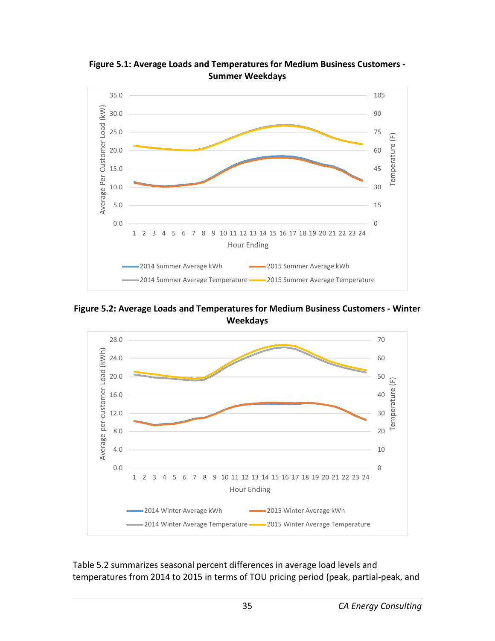

**Figure 5.1: Average Loads and Temperatures for Medium Business Customers - Summer Weekdays**

**Figure 5.2: Average Loads and Temperatures for Medium Business Customers - Winter Weekdays**



Table 5.2 summarizes seasonal percent differences in average load levels and temperatures from 2014 to 2015 in terms of TOU pricing period (peak, partial-peak, and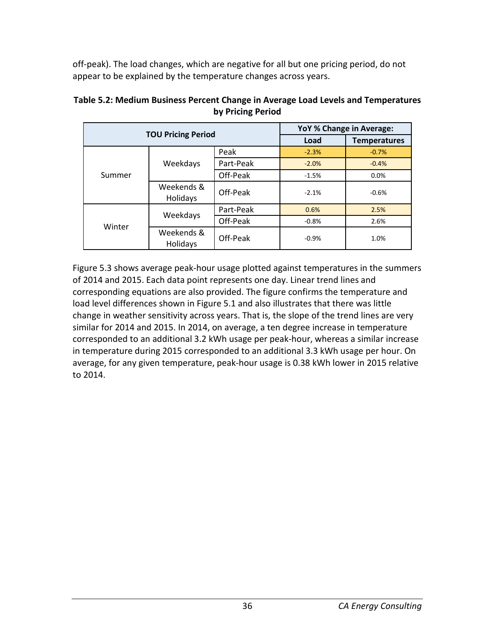off-peak). The load changes, which are negative for all but one pricing period, do not appear to be explained by the temperature changes across years.

|                           |                               | YoY % Change in Average: |         |                     |
|---------------------------|-------------------------------|--------------------------|---------|---------------------|
| <b>TOU Pricing Period</b> |                               |                          | Load    | <b>Temperatures</b> |
|                           |                               | Peak                     | $-2.3%$ | $-0.7%$             |
|                           | Weekdays                      | Part-Peak                | $-2.0%$ | $-0.4%$             |
| Summer                    |                               | Off-Peak                 | $-1.5%$ | 0.0%                |
|                           | Weekends &<br>Holidays        | Off-Peak                 | $-2.1%$ | $-0.6%$             |
|                           | Weekdays                      | Part-Peak                | 0.6%    | 2.5%                |
| Winter                    |                               | Off-Peak                 | $-0.8%$ | 2.6%                |
|                           | Weekends &<br><b>Holidays</b> | Off-Peak                 | $-0.9%$ | 1.0%                |

#### **Table 5.2: Medium Business Percent Change in Average Load Levels and Temperatures by Pricing Period**

Figure 5.3 shows average peak-hour usage plotted against temperatures in the summers of 2014 and 2015. Each data point represents one day. Linear trend lines and corresponding equations are also provided. The figure confirms the temperature and load level differences shown in Figure 5.1 and also illustrates that there was little change in weather sensitivity across years. That is, the slope of the trend lines are very similar for 2014 and 2015. In 2014, on average, a ten degree increase in temperature corresponded to an additional 3.2 kWh usage per peak-hour, whereas a similar increase in temperature during 2015 corresponded to an additional 3.3 kWh usage per hour. On average, for any given temperature, peak-hour usage is 0.38 kWh lower in 2015 relative to 2014.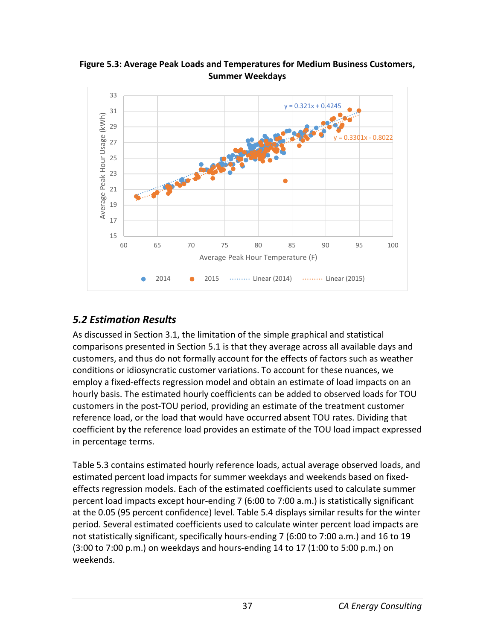

**Figure 5.3: Average Peak Loads and Temperatures for Medium Business Customers, Summer Weekdays**

## *5.2 Estimation Results*

As discussed in Section 3.1, the limitation of the simple graphical and statistical comparisons presented in Section 5.1 is that they average across all available days and customers, and thus do not formally account for the effects of factors such as weather conditions or idiosyncratic customer variations. To account for these nuances, we employ a fixed-effects regression model and obtain an estimate of load impacts on an hourly basis. The estimated hourly coefficients can be added to observed loads for TOU customers in the post-TOU period, providing an estimate of the treatment customer reference load, or the load that would have occurred absent TOU rates. Dividing that coefficient by the reference load provides an estimate of the TOU load impact expressed in percentage terms.

Table 5.3 contains estimated hourly reference loads, actual average observed loads, and estimated percent load impacts for summer weekdays and weekends based on fixedeffects regression models. Each of the estimated coefficients used to calculate summer percent load impacts except hour-ending 7 (6:00 to 7:00 a.m.) is statistically significant at the 0.05 (95 percent confidence) level. Table 5.4 displays similar results for the winter period. Several estimated coefficients used to calculate winter percent load impacts are not statistically significant, specifically hours-ending 7 (6:00 to 7:00 a.m.) and 16 to 19 (3:00 to 7:00 p.m.) on weekdays and hours-ending 14 to 17 (1:00 to 5:00 p.m.) on weekends.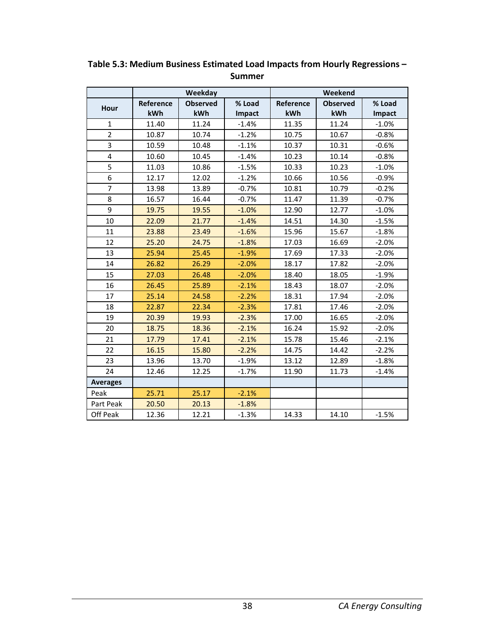|                 | Weekday   |                 | Weekend |           |                 |               |
|-----------------|-----------|-----------------|---------|-----------|-----------------|---------------|
| Hour            | Reference | <b>Observed</b> | % Load  | Reference | <b>Observed</b> | % Load        |
|                 | kWh       | kWh             | Impact  | kWh       | kWh             | <b>Impact</b> |
| $\mathbf{1}$    | 11.40     | 11.24           | $-1.4%$ | 11.35     | 11.24           | $-1.0%$       |
| $\overline{2}$  | 10.87     | 10.74           | $-1.2%$ | 10.75     | 10.67           | $-0.8%$       |
| 3               | 10.59     | 10.48           | $-1.1%$ | 10.37     | 10.31           | $-0.6%$       |
| 4               | 10.60     | 10.45           | $-1.4%$ | 10.23     | 10.14           | $-0.8%$       |
| 5               | 11.03     | 10.86           | $-1.5%$ | 10.33     | 10.23           | $-1.0%$       |
| 6               | 12.17     | 12.02           | $-1.2%$ | 10.66     | 10.56           | $-0.9%$       |
| $\overline{7}$  | 13.98     | 13.89           | $-0.7%$ | 10.81     | 10.79           | $-0.2%$       |
| 8               | 16.57     | 16.44           | $-0.7%$ | 11.47     | 11.39           | $-0.7%$       |
| 9               | 19.75     | 19.55           | $-1.0%$ | 12.90     | 12.77           | $-1.0%$       |
| 10              | 22.09     | 21.77           | $-1.4%$ | 14.51     | 14.30           | $-1.5%$       |
| 11              | 23.88     | 23.49           | $-1.6%$ | 15.96     | 15.67           | $-1.8%$       |
| 12              | 25.20     | 24.75           | $-1.8%$ | 17.03     | 16.69           | $-2.0%$       |
| 13              | 25.94     | 25.45           | $-1.9%$ | 17.69     | 17.33           | $-2.0%$       |
| 14              | 26.82     | 26.29           | $-2.0%$ | 18.17     | 17.82           | $-2.0%$       |
| 15              | 27.03     | 26.48           | $-2.0%$ | 18.40     | 18.05           | $-1.9%$       |
| 16              | 26.45     | 25.89           | $-2.1%$ | 18.43     | 18.07           | $-2.0%$       |
| 17              | 25.14     | 24.58           | $-2.2%$ | 18.31     | 17.94           | $-2.0%$       |
| 18              | 22.87     | 22.34           | $-2.3%$ | 17.81     | 17.46           | $-2.0%$       |
| 19              | 20.39     | 19.93           | $-2.3%$ | 17.00     | 16.65           | $-2.0%$       |
| 20              | 18.75     | 18.36           | $-2.1%$ | 16.24     | 15.92           | $-2.0%$       |
| 21              | 17.79     | 17.41           | $-2.1%$ | 15.78     | 15.46           | $-2.1%$       |
| 22              | 16.15     | 15.80           | $-2.2%$ | 14.75     | 14.42           | $-2.2%$       |
| 23              | 13.96     | 13.70           | $-1.9%$ | 13.12     | 12.89           | $-1.8%$       |
| 24              | 12.46     | 12.25           | $-1.7%$ | 11.90     | 11.73           | $-1.4%$       |
| <b>Averages</b> |           |                 |         |           |                 |               |
| Peak            | 25.71     | 25.17           | $-2.1%$ |           |                 |               |
| Part Peak       | 20.50     | 20.13           | $-1.8%$ |           |                 |               |
| Off Peak        | 12.36     | 12.21           | $-1.3%$ | 14.33     | 14.10           | $-1.5%$       |

**Table 5.3: Medium Business Estimated Load Impacts from Hourly Regressions – Summer**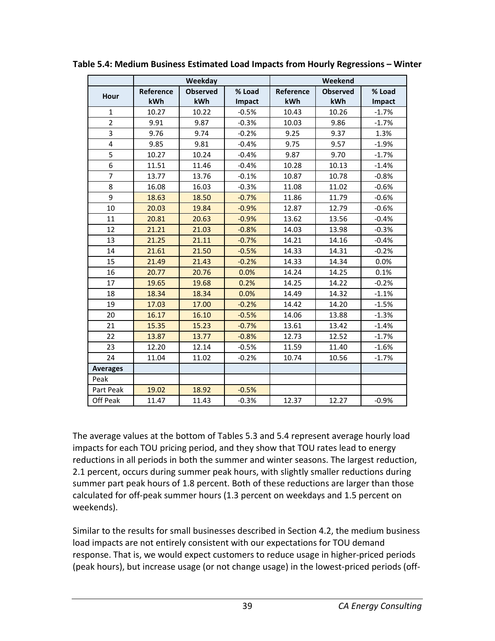|                         | <b>Weekday</b> |                 | Weekend |           |                 |         |
|-------------------------|----------------|-----------------|---------|-----------|-----------------|---------|
|                         | Reference      | <b>Observed</b> | % Load  | Reference | <b>Observed</b> | % Load  |
| Hour                    | kWh            | kWh             | Impact  | kWh       | kWh             | Impact  |
| $\mathbf{1}$            | 10.27          | 10.22           | $-0.5%$ | 10.43     | 10.26           | $-1.7%$ |
| $\overline{2}$          | 9.91           | 9.87            | $-0.3%$ | 10.03     | 9.86            | $-1.7%$ |
| 3                       | 9.76           | 9.74            | $-0.2%$ | 9.25      | 9.37            | 1.3%    |
| $\overline{\mathbf{4}}$ | 9.85           | 9.81            | $-0.4%$ | 9.75      | 9.57            | $-1.9%$ |
| 5                       | 10.27          | 10.24           | $-0.4%$ | 9.87      | 9.70            | $-1.7%$ |
| 6                       | 11.51          | 11.46           | $-0.4%$ | 10.28     | 10.13           | $-1.4%$ |
| $\overline{7}$          | 13.77          | 13.76           | $-0.1%$ | 10.87     | 10.78           | $-0.8%$ |
| 8                       | 16.08          | 16.03           | $-0.3%$ | 11.08     | 11.02           | $-0.6%$ |
| 9                       | 18.63          | 18.50           | $-0.7%$ | 11.86     | 11.79           | $-0.6%$ |
| 10                      | 20.03          | 19.84           | $-0.9%$ | 12.87     | 12.79           | $-0.6%$ |
| 11                      | 20.81          | 20.63           | $-0.9%$ | 13.62     | 13.56           | $-0.4%$ |
| 12                      | 21.21          | 21.03           | $-0.8%$ | 14.03     | 13.98           | $-0.3%$ |
| 13                      | 21.25          | 21.11           | $-0.7%$ | 14.21     | 14.16           | $-0.4%$ |
| 14                      | 21.61          | 21.50           | $-0.5%$ | 14.33     | 14.31           | $-0.2%$ |
| 15                      | 21.49          | 21.43           | $-0.2%$ | 14.33     | 14.34           | 0.0%    |
| 16                      | 20.77          | 20.76           | 0.0%    | 14.24     | 14.25           | 0.1%    |
| 17                      | 19.65          | 19.68           | 0.2%    | 14.25     | 14.22           | $-0.2%$ |
| 18                      | 18.34          | 18.34           | 0.0%    | 14.49     | 14.32           | $-1.1%$ |
| 19                      | 17.03          | 17.00           | $-0.2%$ | 14.42     | 14.20           | $-1.5%$ |
| 20                      | 16.17          | 16.10           | $-0.5%$ | 14.06     | 13.88           | $-1.3%$ |
| 21                      | 15.35          | 15.23           | $-0.7%$ | 13.61     | 13.42           | $-1.4%$ |
| 22                      | 13.87          | 13.77           | $-0.8%$ | 12.73     | 12.52           | $-1.7%$ |
| 23                      | 12.20          | 12.14           | $-0.5%$ | 11.59     | 11.40           | $-1.6%$ |
| 24                      | 11.04          | 11.02           | $-0.2%$ | 10.74     | 10.56           | $-1.7%$ |
| <b>Averages</b>         |                |                 |         |           |                 |         |
| Peak                    |                |                 |         |           |                 |         |
| Part Peak               | 19.02          | 18.92           | $-0.5%$ |           |                 |         |
| Off Peak                | 11.47          | 11.43           | $-0.3%$ | 12.37     | 12.27           | $-0.9%$ |

**Table 5.4: Medium Business Estimated Load Impacts from Hourly Regressions – Winter**

The average values at the bottom of Tables 5.3 and 5.4 represent average hourly load impacts for each TOU pricing period, and they show that TOU rates lead to energy reductions in all periods in both the summer and winter seasons. The largest reduction, 2.1 percent, occurs during summer peak hours, with slightly smaller reductions during summer part peak hours of 1.8 percent. Both of these reductions are larger than those calculated for off-peak summer hours (1.3 percent on weekdays and 1.5 percent on weekends).

Similar to the results for small businesses described in Section 4.2, the medium business load impacts are not entirely consistent with our expectations for TOU demand response. That is, we would expect customers to reduce usage in higher-priced periods (peak hours), but increase usage (or not change usage) in the lowest-priced periods (off-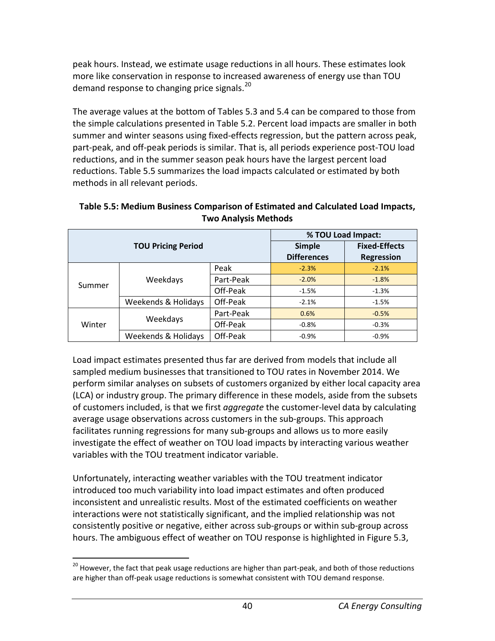peak hours. Instead, we estimate usage reductions in all hours. These estimates look more like conservation in response to increased awareness of energy use than TOU demand response to changing price signals.<sup>[20](#page-45-0)</sup>

The average values at the bottom of Tables 5.3 and 5.4 can be compared to those from the simple calculations presented in Table 5.2. Percent load impacts are smaller in both summer and winter seasons using fixed-effects regression, but the pattern across peak, part-peak, and off-peak periods is similar. That is, all periods experience post-TOU load reductions, and in the summer season peak hours have the largest percent load reductions. Table 5.5 summarizes the load impacts calculated or estimated by both methods in all relevant periods.

| <b>TOU Pricing Period</b> |                     |           | % TOU Load Impact: |                      |  |
|---------------------------|---------------------|-----------|--------------------|----------------------|--|
|                           |                     |           | <b>Simple</b>      | <b>Fixed-Effects</b> |  |
|                           |                     |           | <b>Differences</b> | <b>Regression</b>    |  |
|                           |                     | Peak      | $-2.3%$            | $-2.1%$              |  |
| Summer                    | Weekdays            | Part-Peak | $-2.0%$            | $-1.8%$              |  |
|                           |                     | Off-Peak  | $-1.5%$            | $-1.3%$              |  |
|                           | Weekends & Holidays | Off-Peak  | $-2.1%$            | $-1.5%$              |  |
|                           | Weekdays            | Part-Peak | 0.6%               | $-0.5%$              |  |
| Winter                    |                     | Off-Peak  | $-0.8%$            | $-0.3%$              |  |
|                           | Weekends & Holidays | Off-Peak  | $-0.9%$            | $-0.9%$              |  |

#### **Table 5.5: Medium Business Comparison of Estimated and Calculated Load Impacts, Two Analysis Methods**

Load impact estimates presented thus far are derived from models that include all sampled medium businesses that transitioned to TOU rates in November 2014. We perform similar analyses on subsets of customers organized by either local capacity area (LCA) or industry group. The primary difference in these models, aside from the subsets of customers included, is that we first *aggregate* the customer-level data by calculating average usage observations across customers in the sub-groups. This approach facilitates running regressions for many sub-groups and allows us to more easily investigate the effect of weather on TOU load impacts by interacting various weather variables with the TOU treatment indicator variable.

Unfortunately, interacting weather variables with the TOU treatment indicator introduced too much variability into load impact estimates and often produced inconsistent and unrealistic results. Most of the estimated coefficients on weather interactions were not statistically significant, and the implied relationship was not consistently positive or negative, either across sub-groups or within sub-group across hours. The ambiguous effect of weather on TOU response is highlighted in Figure 5.3,

<span id="page-45-0"></span><sup>&</sup>lt;sup>20</sup> However, the fact that peak usage reductions are higher than part-peak, and both of those reductions are higher than off-peak usage reductions is somewhat consistent with TOU demand response.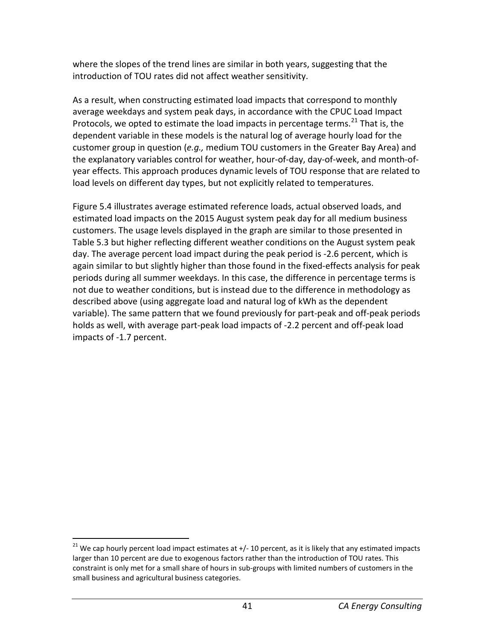where the slopes of the trend lines are similar in both years, suggesting that the introduction of TOU rates did not affect weather sensitivity.

As a result, when constructing estimated load impacts that correspond to monthly average weekdays and system peak days, in accordance with the CPUC Load Impact Protocols, we opted to estimate the load impacts in percentage terms.<sup>[21](#page-46-0)</sup> That is, the dependent variable in these models is the natural log of average hourly load for the customer group in question (*e.g.,* medium TOU customers in the Greater Bay Area) and the explanatory variables control for weather, hour-of-day, day-of-week, and month-ofyear effects. This approach produces dynamic levels of TOU response that are related to load levels on different day types, but not explicitly related to temperatures.

Figure 5.4 illustrates average estimated reference loads, actual observed loads, and estimated load impacts on the 2015 August system peak day for all medium business customers. The usage levels displayed in the graph are similar to those presented in Table 5.3 but higher reflecting different weather conditions on the August system peak day. The average percent load impact during the peak period is -2.6 percent, which is again similar to but slightly higher than those found in the fixed-effects analysis for peak periods during all summer weekdays. In this case, the difference in percentage terms is not due to weather conditions, but is instead due to the difference in methodology as described above (using aggregate load and natural log of kWh as the dependent variable). The same pattern that we found previously for part-peak and off-peak periods holds as well, with average part-peak load impacts of -2.2 percent and off-peak load impacts of -1.7 percent.

<span id="page-46-0"></span> $21$  We cap hourly percent load impact estimates at  $+/$ -10 percent, as it is likely that any estimated impacts larger than 10 percent are due to exogenous factors rather than the introduction of TOU rates. This constraint is only met for a small share of hours in sub-groups with limited numbers of customers in the small business and agricultural business categories.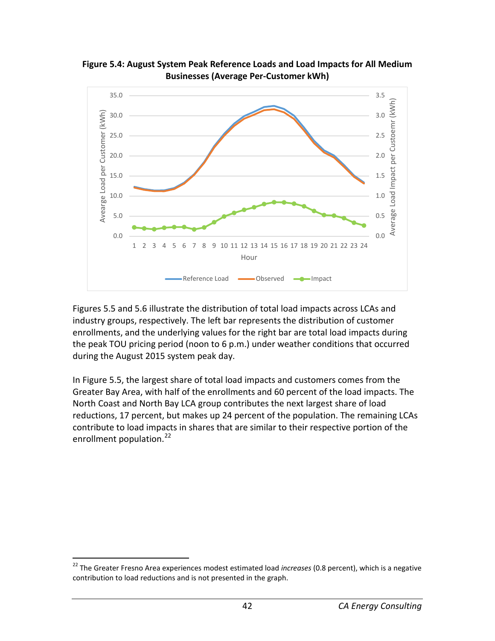

**Figure 5.4: August System Peak Reference Loads and Load Impacts for All Medium Businesses (Average Per-Customer kWh)**

Figures 5.5 and 5.6 illustrate the distribution of total load impacts across LCAs and industry groups, respectively. The left bar represents the distribution of customer enrollments, and the underlying values for the right bar are total load impacts during the peak TOU pricing period (noon to 6 p.m.) under weather conditions that occurred during the August 2015 system peak day.

In Figure 5.5, the largest share of total load impacts and customers comes from the Greater Bay Area, with half of the enrollments and 60 percent of the load impacts. The North Coast and North Bay LCA group contributes the next largest share of load reductions, 17 percent, but makes up 24 percent of the population. The remaining LCAs contribute to load impacts in shares that are similar to their respective portion of the enrollment population.<sup>[22](#page-47-0)</sup>

<span id="page-47-0"></span> <sup>22</sup> The Greater Fresno Area experiences modest estimated load *increases* (0.8 percent), which is a negative contribution to load reductions and is not presented in the graph.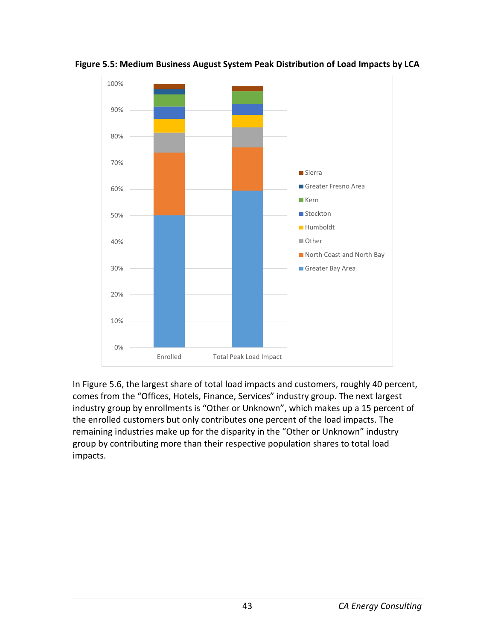

**Figure 5.5: Medium Business August System Peak Distribution of Load Impacts by LCA**

In Figure 5.6, the largest share of total load impacts and customers, roughly 40 percent, comes from the "Offices, Hotels, Finance, Services" industry group. The next largest industry group by enrollments is "Other or Unknown", which makes up a 15 percent of the enrolled customers but only contributes one percent of the load impacts. The remaining industries make up for the disparity in the "Other or Unknown" industry group by contributing more than their respective population shares to total load impacts.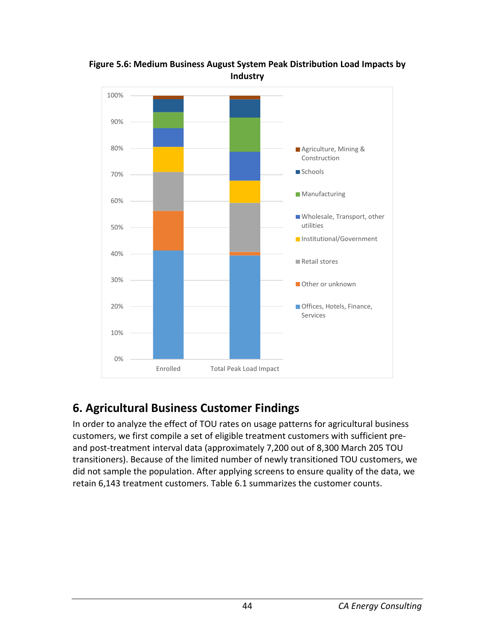

#### **Figure 5.6: Medium Business August System Peak Distribution Load Impacts by Industry**

# **6. Agricultural Business Customer Findings**

In order to analyze the effect of TOU rates on usage patterns for agricultural business customers, we first compile a set of eligible treatment customers with sufficient preand post-treatment interval data (approximately 7,200 out of 8,300 March 205 TOU transitioners). Because of the limited number of newly transitioned TOU customers, we did not sample the population. After applying screens to ensure quality of the data, we retain 6,143 treatment customers. Table 6.1 summarizes the customer counts.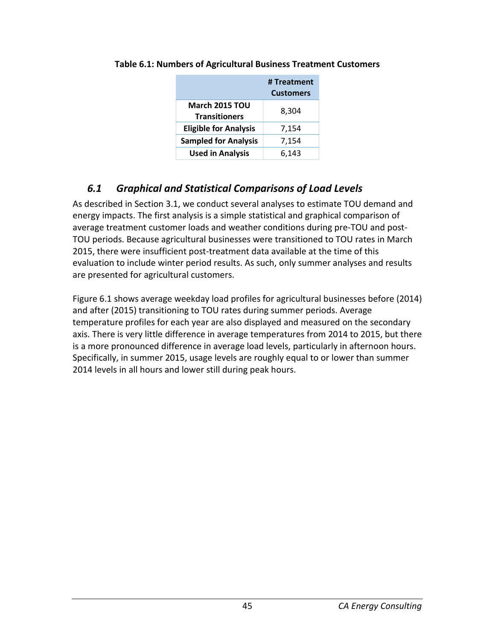|                                               | # Treatment<br><b>Customers</b> |
|-----------------------------------------------|---------------------------------|
| <b>March 2015 TOU</b><br><b>Transitioners</b> | 8,304                           |
| <b>Eligible for Analysis</b>                  | 7,154                           |
| <b>Sampled for Analysis</b>                   | 7,154                           |
| <b>Used in Analysis</b>                       | 6,143                           |

#### **Table 6.1: Numbers of Agricultural Business Treatment Customers**

## *6.1 Graphical and Statistical Comparisons of Load Levels*

As described in Section 3.1, we conduct several analyses to estimate TOU demand and energy impacts. The first analysis is a simple statistical and graphical comparison of average treatment customer loads and weather conditions during pre-TOU and post-TOU periods. Because agricultural businesses were transitioned to TOU rates in March 2015, there were insufficient post-treatment data available at the time of this evaluation to include winter period results. As such, only summer analyses and results are presented for agricultural customers.

Figure 6.1 shows average weekday load profiles for agricultural businesses before (2014) and after (2015) transitioning to TOU rates during summer periods. Average temperature profiles for each year are also displayed and measured on the secondary axis. There is very little difference in average temperatures from 2014 to 2015, but there is a more pronounced difference in average load levels, particularly in afternoon hours. Specifically, in summer 2015, usage levels are roughly equal to or lower than summer 2014 levels in all hours and lower still during peak hours.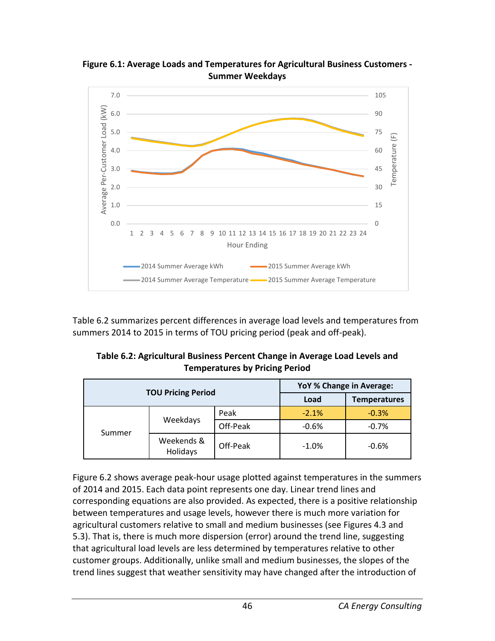

**Figure 6.1: Average Loads and Temperatures for Agricultural Business Customers - Summer Weekdays**

Table 6.2 summarizes percent differences in average load levels and temperatures from summers 2014 to 2015 in terms of TOU pricing period (peak and off-peak).

| Table 6.2: Agricultural Business Percent Change in Average Load Levels and |
|----------------------------------------------------------------------------|
| <b>Temperatures by Pricing Period</b>                                      |

| <b>TOU Pricing Period</b> |                        |          | YoY % Change in Average: |                     |  |
|---------------------------|------------------------|----------|--------------------------|---------------------|--|
|                           |                        |          | Load                     | <b>Temperatures</b> |  |
| Weekdays<br>Summer        |                        | Peak     | $-2.1%$                  | $-0.3%$             |  |
|                           |                        | Off-Peak | $-0.6%$                  | $-0.7%$             |  |
|                           | Weekends &<br>Holidays | Off-Peak | $-1.0%$                  | $-0.6%$             |  |

Figure 6.2 shows average peak-hour usage plotted against temperatures in the summers of 2014 and 2015. Each data point represents one day. Linear trend lines and corresponding equations are also provided. As expected, there is a positive relationship between temperatures and usage levels, however there is much more variation for agricultural customers relative to small and medium businesses (see Figures 4.3 and 5.3). That is, there is much more dispersion (error) around the trend line, suggesting that agricultural load levels are less determined by temperatures relative to other customer groups. Additionally, unlike small and medium businesses, the slopes of the trend lines suggest that weather sensitivity may have changed after the introduction of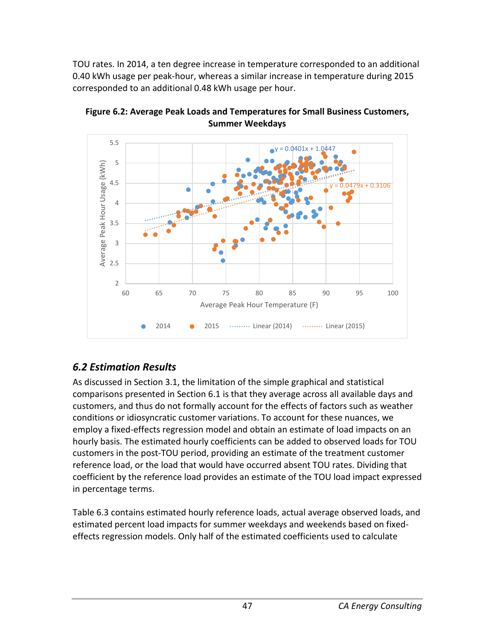TOU rates. In 2014, a ten degree increase in temperature corresponded to an additional 0.40 kWh usage per peak-hour, whereas a similar increase in temperature during 2015 corresponded to an additional 0.48 kWh usage per hour.



**Figure 6.2: Average Peak Loads and Temperatures for Small Business Customers, Summer Weekdays**

# *6.2 Estimation Results*

As discussed in Section 3.1, the limitation of the simple graphical and statistical comparisons presented in Section 6.1 is that they average across all available days and customers, and thus do not formally account for the effects of factors such as weather conditions or idiosyncratic customer variations. To account for these nuances, we employ a fixed-effects regression model and obtain an estimate of load impacts on an hourly basis. The estimated hourly coefficients can be added to observed loads for TOU customers in the post-TOU period, providing an estimate of the treatment customer reference load, or the load that would have occurred absent TOU rates. Dividing that coefficient by the reference load provides an estimate of the TOU load impact expressed in percentage terms.

Table 6.3 contains estimated hourly reference loads, actual average observed loads, and estimated percent load impacts for summer weekdays and weekends based on fixedeffects regression models. Only half of the estimated coefficients used to calculate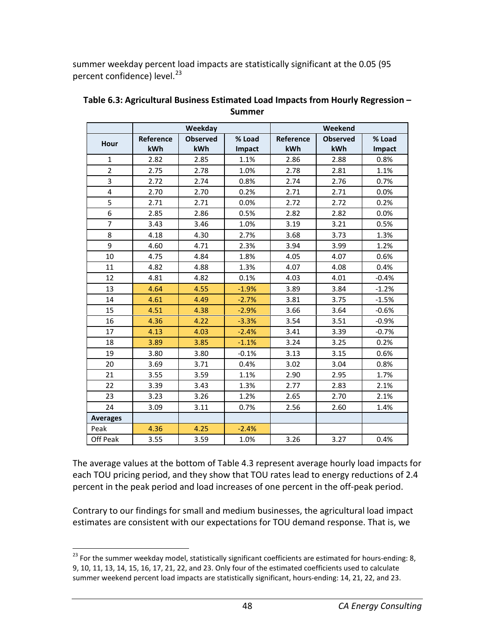summer weekday percent load impacts are statistically significant at the 0.05 (95 percent confidence) level.<sup>[23](#page-53-0)</sup>

|                 | Weekday          |                 | Weekend |           |                 |         |
|-----------------|------------------|-----------------|---------|-----------|-----------------|---------|
|                 | <b>Reference</b> | <b>Observed</b> | % Load  | Reference | <b>Observed</b> | % Load  |
| Hour            | kWh              | kWh             | Impact  | kWh       | kWh             | Impact  |
| $\mathbf{1}$    | 2.82             | 2.85            | 1.1%    | 2.86      | 2.88            | 0.8%    |
| $\overline{2}$  | 2.75             | 2.78            | 1.0%    | 2.78      | 2.81            | 1.1%    |
| 3               | 2.72             | 2.74            | 0.8%    | 2.74      | 2.76            | 0.7%    |
| 4               | 2.70             | 2.70            | 0.2%    | 2.71      | 2.71            | 0.0%    |
| 5               | 2.71             | 2.71            | 0.0%    | 2.72      | 2.72            | 0.2%    |
| 6               | 2.85             | 2.86            | 0.5%    | 2.82      | 2.82            | 0.0%    |
| $\overline{7}$  | 3.43             | 3.46            | 1.0%    | 3.19      | 3.21            | 0.5%    |
| 8               | 4.18             | 4.30            | 2.7%    | 3.68      | 3.73            | 1.3%    |
| 9               | 4.60             | 4.71            | 2.3%    | 3.94      | 3.99            | 1.2%    |
| 10              | 4.75             | 4.84            | 1.8%    | 4.05      | 4.07            | 0.6%    |
| 11              | 4.82             | 4.88            | 1.3%    | 4.07      | 4.08            | 0.4%    |
| 12              | 4.81             | 4.82            | 0.1%    | 4.03      | 4.01            | $-0.4%$ |
| 13              | 4.64             | 4.55            | $-1.9%$ | 3.89      | 3.84            | $-1.2%$ |
| 14              | 4.61             | 4.49            | $-2.7%$ | 3.81      | 3.75            | $-1.5%$ |
| 15              | 4.51             | 4.38            | $-2.9%$ | 3.66      | 3.64            | $-0.6%$ |
| 16              | 4.36             | 4.22            | $-3.3%$ | 3.54      | 3.51            | $-0.9%$ |
| 17              | 4.13             | 4.03            | $-2.4%$ | 3.41      | 3.39            | $-0.7%$ |
| 18              | 3.89             | 3.85            | $-1.1%$ | 3.24      | 3.25            | 0.2%    |
| 19              | 3.80             | 3.80            | $-0.1%$ | 3.13      | 3.15            | 0.6%    |
| 20              | 3.69             | 3.71            | 0.4%    | 3.02      | 3.04            | 0.8%    |
| 21              | 3.55             | 3.59            | 1.1%    | 2.90      | 2.95            | 1.7%    |
| 22              | 3.39             | 3.43            | 1.3%    | 2.77      | 2.83            | 2.1%    |
| 23              | 3.23             | 3.26            | 1.2%    | 2.65      | 2.70            | 2.1%    |
| 24              | 3.09             | 3.11            | 0.7%    | 2.56      | 2.60            | 1.4%    |
| <b>Averages</b> |                  |                 |         |           |                 |         |
| Peak            | 4.36             | 4.25            | $-2.4%$ |           |                 |         |
| Off Peak        | 3.55             | 3.59            | 1.0%    | 3.26      | 3.27            | 0.4%    |

| Table 6.3: Agricultural Business Estimated Load Impacts from Hourly Regression – |
|----------------------------------------------------------------------------------|
| Summer                                                                           |

The average values at the bottom of Table 4.3 represent average hourly load impacts for each TOU pricing period, and they show that TOU rates lead to energy reductions of 2.4 percent in the peak period and load increases of one percent in the off-peak period.

Contrary to our findings for small and medium businesses, the agricultural load impact estimates are consistent with our expectations for TOU demand response. That is, we

<span id="page-53-0"></span><sup>&</sup>lt;sup>23</sup> For the summer weekday model, statistically significant coefficients are estimated for hours-ending: 8, 9, 10, 11, 13, 14, 15, 16, 17, 21, 22, and 23. Only four of the estimated coefficients used to calculate summer weekend percent load impacts are statistically significant, hours-ending: 14, 21, 22, and 23.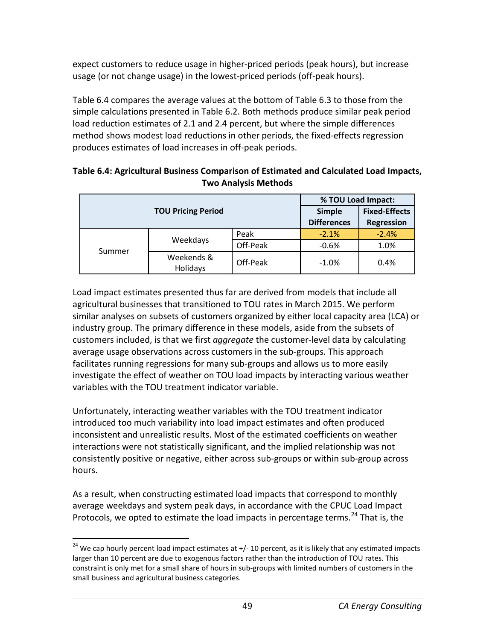expect customers to reduce usage in higher-priced periods (peak hours), but increase usage (or not change usage) in the lowest-priced periods (off-peak hours).

Table 6.4 compares the average values at the bottom of Table 6.3 to those from the simple calculations presented in Table 6.2. Both methods produce similar peak period load reduction estimates of 2.1 and 2.4 percent, but where the simple differences method shows modest load reductions in other periods, the fixed-effects regression produces estimates of load increases in off-peak periods.

| Table 6.4: Agricultural Business Comparison of Estimated and Calculated Load Impacts, |
|---------------------------------------------------------------------------------------|
| <b>Two Analysis Methods</b>                                                           |

|        |                           | % TOU Load Impact: |                      |         |
|--------|---------------------------|--------------------|----------------------|---------|
|        | <b>TOU Pricing Period</b> | <b>Simple</b>      | <b>Fixed-Effects</b> |         |
|        |                           | <b>Differences</b> | <b>Regression</b>    |         |
|        | Weekdays                  | Peak               | $-2.1%$              | $-2.4%$ |
|        |                           | Off-Peak           | $-0.6%$              | 1.0%    |
| Summer | Weekends &<br>Holidays    | Off-Peak           | $-1.0%$              | 0.4%    |

Load impact estimates presented thus far are derived from models that include all agricultural businesses that transitioned to TOU rates in March 2015. We perform similar analyses on subsets of customers organized by either local capacity area (LCA) or industry group. The primary difference in these models, aside from the subsets of customers included, is that we first *aggregate* the customer-level data by calculating average usage observations across customers in the sub-groups. This approach facilitates running regressions for many sub-groups and allows us to more easily investigate the effect of weather on TOU load impacts by interacting various weather variables with the TOU treatment indicator variable.

Unfortunately, interacting weather variables with the TOU treatment indicator introduced too much variability into load impact estimates and often produced inconsistent and unrealistic results. Most of the estimated coefficients on weather interactions were not statistically significant, and the implied relationship was not consistently positive or negative, either across sub-groups or within sub-group across hours.

As a result, when constructing estimated load impacts that correspond to monthly average weekdays and system peak days, in accordance with the CPUC Load Impact Protocols, we opted to estimate the load impacts in percentage terms.<sup>[24](#page-54-0)</sup> That is, the

<span id="page-54-0"></span> $24$  We cap hourly percent load impact estimates at  $+/-10$  percent, as it is likely that any estimated impacts larger than 10 percent are due to exogenous factors rather than the introduction of TOU rates. This constraint is only met for a small share of hours in sub-groups with limited numbers of customers in the small business and agricultural business categories.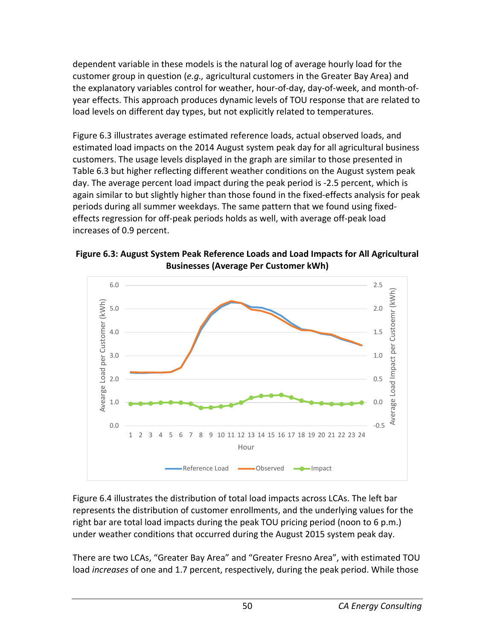dependent variable in these models is the natural log of average hourly load for the customer group in question (*e.g.,* agricultural customers in the Greater Bay Area) and the explanatory variables control for weather, hour-of-day, day-of-week, and month-ofyear effects. This approach produces dynamic levels of TOU response that are related to load levels on different day types, but not explicitly related to temperatures.

Figure 6.3 illustrates average estimated reference loads, actual observed loads, and estimated load impacts on the 2014 August system peak day for all agricultural business customers. The usage levels displayed in the graph are similar to those presented in Table 6.3 but higher reflecting different weather conditions on the August system peak day. The average percent load impact during the peak period is -2.5 percent, which is again similar to but slightly higher than those found in the fixed-effects analysis for peak periods during all summer weekdays. The same pattern that we found using fixedeffects regression for off-peak periods holds as well, with average off-peak load increases of 0.9 percent.

**Figure 6.3: August System Peak Reference Loads and Load Impacts for All Agricultural Businesses (Average Per Customer kWh)**



Figure 6.4 illustrates the distribution of total load impacts across LCAs. The left bar represents the distribution of customer enrollments, and the underlying values for the right bar are total load impacts during the peak TOU pricing period (noon to 6 p.m.) under weather conditions that occurred during the August 2015 system peak day.

There are two LCAs, "Greater Bay Area" and "Greater Fresno Area", with estimated TOU load *increases* of one and 1.7 percent, respectively, during the peak period. While those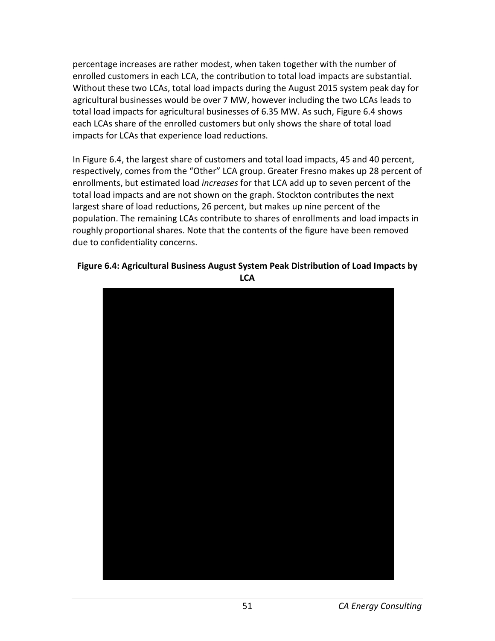percentage increases are rather modest, when taken together with the number of enrolled customers in each LCA, the contribution to total load impacts are substantial. Without these two LCAs, total load impacts during the August 2015 system peak day for agricultural businesses would be over 7 MW, however including the two LCAs leads to total load impacts for agricultural businesses of 6.35 MW. As such, Figure 6.4 shows each LCAs share of the enrolled customers but only shows the share of total load impacts for LCAs that experience load reductions.

In Figure 6.4, the largest share of customers and total load impacts, 45 and 40 percent, respectively, comes from the "Other" LCA group. Greater Fresno makes up 28 percent of enrollments, but estimated load *increases* for that LCA add up to seven percent of the total load impacts and are not shown on the graph. Stockton contributes the next largest share of load reductions, 26 percent, but makes up nine percent of the population. The remaining LCAs contribute to shares of enrollments and load impacts in roughly proportional shares. Note that the contents of the figure have been removed due to confidentiality concerns.

#### **Figure 6.4: Agricultural Business August System Peak Distribution of Load Impacts by LCA**

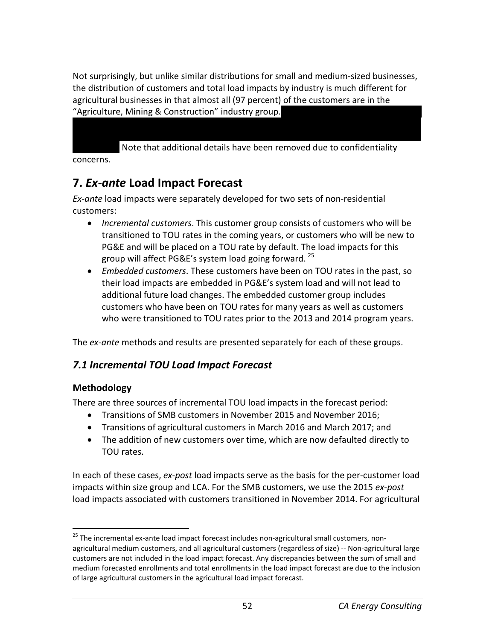Not surprisingly, but unlike similar distributions for small and medium-sized businesses, the distribution of customers and total load impacts by industry is much different for agricultural businesses in that almost all (97 percent) of the customers are in the "Agriculture, Mining & Construction" industry group.

Note that additional details have been removed due to confidentiality

concerns.

# **7.** *Ex-ante* **Load Impact Forecast**

*Ex-ante* load impacts were separately developed for two sets of non-residential customers:

- *Incremental customers*. This customer group consists of customers who will be transitioned to TOU rates in the coming years, or customers who will be new to PG&E and will be placed on a TOU rate by default. The load impacts for this group will affect PG&E's system load going forward. [25](#page-57-0)
- *Embedded customers*. These customers have been on TOU rates in the past, so their load impacts are embedded in PG&E's system load and will not lead to additional future load changes. The embedded customer group includes customers who have been on TOU rates for many years as well as customers who were transitioned to TOU rates prior to the 2013 and 2014 program years.

The *ex-ante* methods and results are presented separately for each of these groups.

## *7.1 Incremental TOU Load Impact Forecast*

#### **Methodology**

There are three sources of incremental TOU load impacts in the forecast period:

- Transitions of SMB customers in November 2015 and November 2016;
- Transitions of agricultural customers in March 2016 and March 2017; and
- The addition of new customers over time, which are now defaulted directly to TOU rates.

In each of these cases, *ex-post* load impacts serve as the basis for the per-customer load impacts within size group and LCA. For the SMB customers, we use the 2015 *ex-post* load impacts associated with customers transitioned in November 2014. For agricultural

<span id="page-57-0"></span><sup>&</sup>lt;sup>25</sup> The incremental ex-ante load impact forecast includes non-agricultural small customers, nonagricultural medium customers, and all agricultural customers (regardless of size) -- Non-agricultural large customers are not included in the load impact forecast. Any discrepancies between the sum of small and medium forecasted enrollments and total enrollments in the load impact forecast are due to the inclusion of large agricultural customers in the agricultural load impact forecast.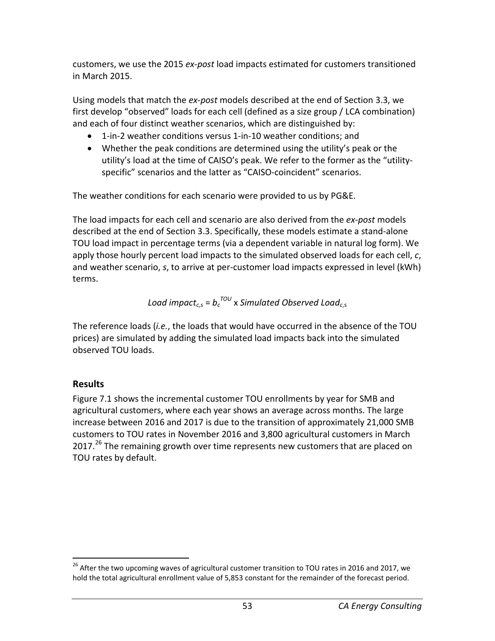customers, we use the 2015 *ex-post* load impacts estimated for customers transitioned in March 2015.

Using models that match the *ex-post* models described at the end of Section 3.3, we first develop "observed" loads for each cell (defined as a size group / LCA combination) and each of four distinct weather scenarios, which are distinguished by:

- 1-in-2 weather conditions versus 1-in-10 weather conditions; and
- Whether the peak conditions are determined using the utility's peak or the utility's load at the time of CAISO's peak. We refer to the former as the "utilityspecific" scenarios and the latter as "CAISO-coincident" scenarios.

The weather conditions for each scenario were provided to us by PG&E.

The load impacts for each cell and scenario are also derived from the *ex-post* models described at the end of Section 3.3. Specifically, these models estimate a stand-alone TOU load impact in percentage terms (via a dependent variable in natural log form). We apply those hourly percent load impacts to the simulated observed loads for each cell, *c*, and weather scenario, *s*, to arrive at per-customer load impacts expressed in level (kWh) terms.

*Load impactc,s* = *bc TOU* x *Simulated Observed Loadc*,s

The reference loads (*i.e.*, the loads that would have occurred in the absence of the TOU prices) are simulated by adding the simulated load impacts back into the simulated observed TOU loads.

## **Results**

Figure 7.1 shows the incremental customer TOU enrollments by year for SMB and agricultural customers, where each year shows an average across months. The large increase between 2016 and 2017 is due to the transition of approximately 21,000 SMB customers to TOU rates in November 2016 and 3,800 agricultural customers in March 2017. $^{26}$  $^{26}$  $^{26}$  The remaining growth over time represents new customers that are placed on TOU rates by default.

<span id="page-58-0"></span><sup>&</sup>lt;sup>26</sup> After the two upcoming waves of agricultural customer transition to TOU rates in 2016 and 2017, we hold the total agricultural enrollment value of 5,853 constant for the remainder of the forecast period.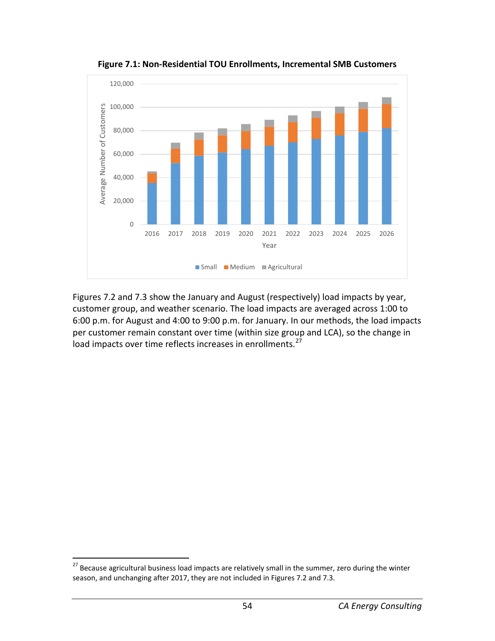

**Figure 7.1: Non-Residential TOU Enrollments, Incremental SMB Customers**

Figures 7.2 and 7.3 show the January and August (respectively) load impacts by year, customer group, and weather scenario. The load impacts are averaged across 1:00 to 6:00 p.m. for August and 4:00 to 9:00 p.m. for January. In our methods, the load impacts per customer remain constant over time (within size group and LCA), so the change in load impacts over time reflects increases in enrollments.<sup>[27](#page-59-0)</sup>

<span id="page-59-0"></span> $27$  Because agricultural business load impacts are relatively small in the summer, zero during the winter season, and unchanging after 2017, they are not included in Figures 7.2 and 7.3.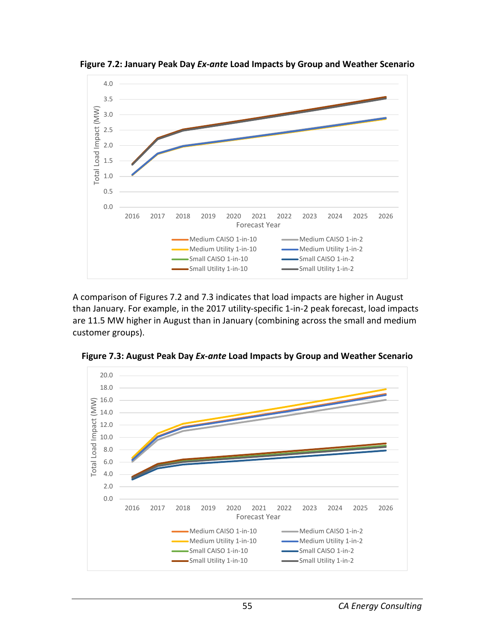

**Figure 7.2: January Peak Day** *Ex-ante* **Load Impacts by Group and Weather Scenario**

A comparison of Figures 7.2 and 7.3 indicates that load impacts are higher in August than January. For example, in the 2017 utility-specific 1-in-2 peak forecast, load impacts are 11.5 MW higher in August than in January (combining across the small and medium customer groups).



**Figure 7.3: August Peak Day** *Ex-ante* **Load Impacts by Group and Weather Scenario**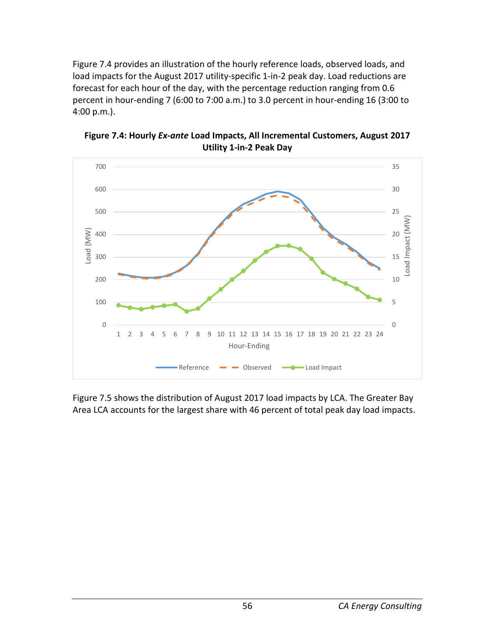Figure 7.4 provides an illustration of the hourly reference loads, observed loads, and load impacts for the August 2017 utility-specific 1-in-2 peak day. Load reductions are forecast for each hour of the day, with the percentage reduction ranging from 0.6 percent in hour-ending 7 (6:00 to 7:00 a.m.) to 3.0 percent in hour-ending 16 (3:00 to 4:00 p.m.).



**Figure 7.4: Hourly** *Ex-ante* **Load Impacts, All Incremental Customers, August 2017 Utility 1-in-2 Peak Day**

Figure 7.5 shows the distribution of August 2017 load impacts by LCA. The Greater Bay Area LCA accounts for the largest share with 46 percent of total peak day load impacts.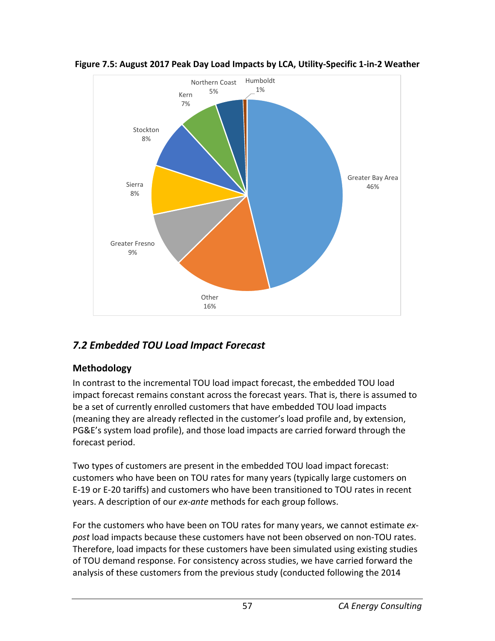



## *7.2 Embedded TOU Load Impact Forecast*

#### **Methodology**

In contrast to the incremental TOU load impact forecast, the embedded TOU load impact forecast remains constant across the forecast years. That is, there is assumed to be a set of currently enrolled customers that have embedded TOU load impacts (meaning they are already reflected in the customer's load profile and, by extension, PG&E's system load profile), and those load impacts are carried forward through the forecast period.

Two types of customers are present in the embedded TOU load impact forecast: customers who have been on TOU rates for many years (typically large customers on E-19 or E-20 tariffs) and customers who have been transitioned to TOU rates in recent years. A description of our *ex-ante* methods for each group follows.

For the customers who have been on TOU rates for many years, we cannot estimate *expost* load impacts because these customers have not been observed on non-TOU rates. Therefore, load impacts for these customers have been simulated using existing studies of TOU demand response. For consistency across studies, we have carried forward the analysis of these customers from the previous study (conducted following the 2014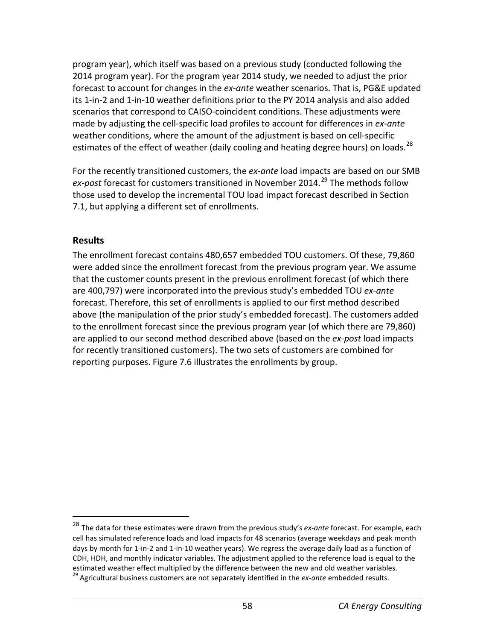program year), which itself was based on a previous study (conducted following the 2014 program year). For the program year 2014 study, we needed to adjust the prior forecast to account for changes in the *ex-ante* weather scenarios. That is, PG&E updated its 1-in-2 and 1-in-10 weather definitions prior to the PY 2014 analysis and also added scenarios that correspond to CAISO-coincident conditions. These adjustments were made by adjusting the cell-specific load profiles to account for differences in *ex-ante* weather conditions, where the amount of the adjustment is based on cell-specific estimates of the effect of weather (daily cooling and heating degree hours) on loads.<sup>[28](#page-63-0)</sup>

For the recently transitioned customers, the *ex-ante* load impacts are based on our SMB *ex-post* forecast for customers transitioned in November 2014. [29](#page-63-1) The methods follow those used to develop the incremental TOU load impact forecast described in Section 7.1, but applying a different set of enrollments.

#### **Results**

The enrollment forecast contains 480,657 embedded TOU customers. Of these, 79,860 were added since the enrollment forecast from the previous program year. We assume that the customer counts present in the previous enrollment forecast (of which there are 400,797) were incorporated into the previous study's embedded TOU *ex-ante* forecast. Therefore, this set of enrollments is applied to our first method described above (the manipulation of the prior study's embedded forecast). The customers added to the enrollment forecast since the previous program year (of which there are 79,860) are applied to our second method described above (based on the *ex-post* load impacts for recently transitioned customers). The two sets of customers are combined for reporting purposes. Figure 7.6 illustrates the enrollments by group.

<span id="page-63-1"></span><span id="page-63-0"></span> <sup>28</sup> The data for these estimates were drawn from the previous study's *ex-ante* forecast. For example, each cell has simulated reference loads and load impacts for 48 scenarios (average weekdays and peak month days by month for 1-in-2 and 1-in-10 weather years). We regress the average daily load as a function of CDH, HDH, and monthly indicator variables. The adjustment applied to the reference load is equal to the estimated weather effect multiplied by the difference between the new and old weather variables. <sup>29</sup> Agricultural business customers are not separately identified in the *ex-ante* embedded results.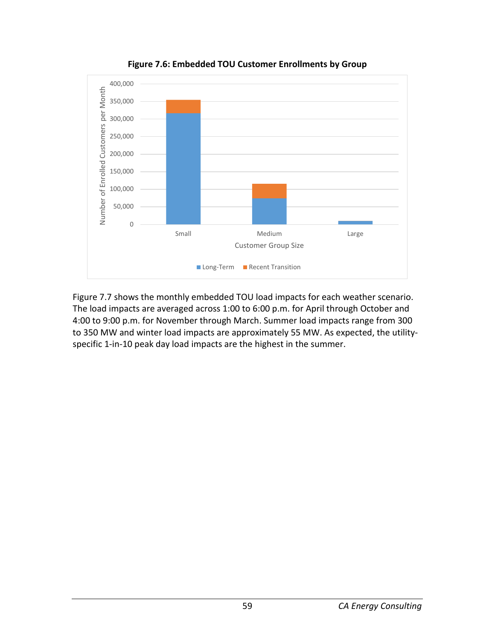

**Figure 7.6: Embedded TOU Customer Enrollments by Group**

Figure 7.7 shows the monthly embedded TOU load impacts for each weather scenario. The load impacts are averaged across 1:00 to 6:00 p.m. for April through October and 4:00 to 9:00 p.m. for November through March. Summer load impacts range from 300 to 350 MW and winter load impacts are approximately 55 MW. As expected, the utilityspecific 1-in-10 peak day load impacts are the highest in the summer.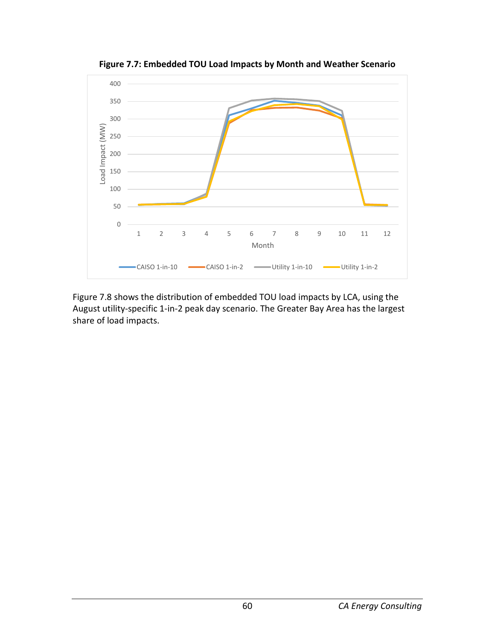

**Figure 7.7: Embedded TOU Load Impacts by Month and Weather Scenario**

Figure 7.8 shows the distribution of embedded TOU load impacts by LCA, using the August utility-specific 1-in-2 peak day scenario. The Greater Bay Area has the largest share of load impacts.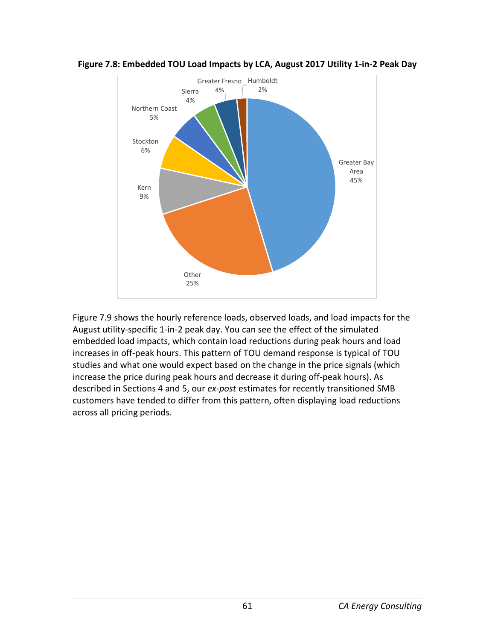



Figure 7.9 shows the hourly reference loads, observed loads, and load impacts for the August utility-specific 1-in-2 peak day. You can see the effect of the simulated embedded load impacts, which contain load reductions during peak hours and load increases in off-peak hours. This pattern of TOU demand response is typical of TOU studies and what one would expect based on the change in the price signals (which increase the price during peak hours and decrease it during off-peak hours). As described in Sections 4 and 5, our *ex-post* estimates for recently transitioned SMB customers have tended to differ from this pattern, often displaying load reductions across all pricing periods.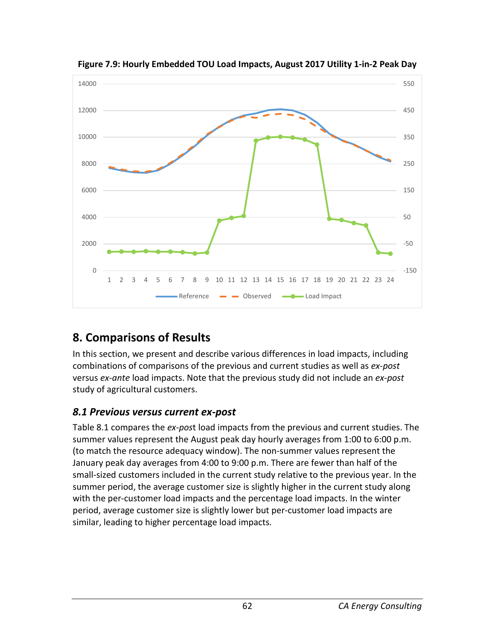

**Figure 7.9: Hourly Embedded TOU Load Impacts, August 2017 Utility 1-in-2 Peak Day**

# **8. Comparisons of Results**

In this section, we present and describe various differences in load impacts, including combinations of comparisons of the previous and current studies as well as *ex-post* versus *ex-ante* load impacts. Note that the previous study did not include an *ex-post* study of agricultural customers.

## *8.1 Previous versus current ex-post*

Table 8.1 compares the *ex-pos*t load impacts from the previous and current studies. The summer values represent the August peak day hourly averages from 1:00 to 6:00 p.m. (to match the resource adequacy window). The non-summer values represent the January peak day averages from 4:00 to 9:00 p.m. There are fewer than half of the small-sized customers included in the current study relative to the previous year. In the summer period, the average customer size is slightly higher in the current study along with the per-customer load impacts and the percentage load impacts. In the winter period, average customer size is slightly lower but per-customer load impacts are similar, leading to higher percentage load impacts.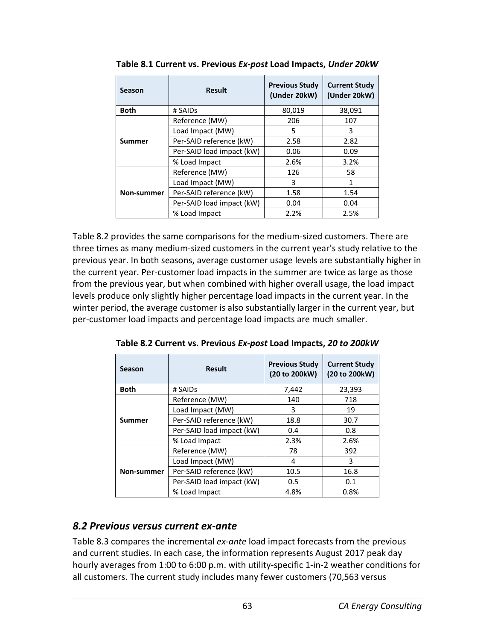| Season        | <b>Result</b>             | <b>Previous Study</b><br>(Under 20kW) | <b>Current Study</b><br>(Under 20kW) |
|---------------|---------------------------|---------------------------------------|--------------------------------------|
| <b>Both</b>   | # SAIDs                   | 80,019                                | 38,091                               |
|               | Reference (MW)            | 206                                   | 107                                  |
|               | Load Impact (MW)          | 5                                     | 3                                    |
| <b>Summer</b> | Per-SAID reference (kW)   | 2.58                                  | 2.82                                 |
|               | Per-SAID load impact (kW) | 0.06                                  | 0.09                                 |
|               | % Load Impact             | 2.6%                                  | 3.2%                                 |
|               | Reference (MW)            | 126                                   | 58                                   |
|               | Load Impact (MW)          | 3                                     | 1                                    |
| Non-summer    | Per-SAID reference (kW)   | 1.58                                  | 1.54                                 |
|               | Per-SAID load impact (kW) | 0.04                                  | 0.04                                 |
|               | % Load Impact             | 2.2%                                  | 2.5%                                 |

**Table 8.1 Current vs. Previous** *Ex-post* **Load Impacts,** *Under 20kW*

Table 8.2 provides the same comparisons for the medium-sized customers. There are three times as many medium-sized customers in the current year's study relative to the previous year. In both seasons, average customer usage levels are substantially higher in the current year. Per-customer load impacts in the summer are twice as large as those from the previous year, but when combined with higher overall usage, the load impact levels produce only slightly higher percentage load impacts in the current year. In the winter period, the average customer is also substantially larger in the current year, but per-customer load impacts and percentage load impacts are much smaller.

**Table 8.2 Current vs. Previous** *Ex-post* **Load Impacts,** *20 to 200kW*

| Season      | <b>Result</b>             | <b>Previous Study</b><br>(20 to 200kW) | <b>Current Study</b><br>(20 to 200kW) |
|-------------|---------------------------|----------------------------------------|---------------------------------------|
| <b>Both</b> | # SAIDs                   | 7,442                                  | 23,393                                |
|             | Reference (MW)            | 140                                    | 718                                   |
|             | Load Impact (MW)          | 3                                      | 19                                    |
| Summer      | Per-SAID reference (kW)   | 18.8                                   | 30.7                                  |
|             | Per-SAID load impact (kW) | 0.4                                    | 0.8                                   |
|             | % Load Impact             | 2.3%                                   | 2.6%                                  |
|             | Reference (MW)            | 78                                     | 392                                   |
|             | Load Impact (MW)          | 4                                      | 3                                     |
| Non-summer  | Per-SAID reference (kW)   | 10.5                                   | 16.8                                  |
|             | Per-SAID load impact (kW) | 0.5                                    | 0.1                                   |
|             | % Load Impact             | 4.8%                                   | 0.8%                                  |

## *8.2 Previous versus current ex-ante*

Table 8.3 compares the incremental *ex-ante* load impact forecasts from the previous and current studies. In each case, the information represents August 2017 peak day hourly averages from 1:00 to 6:00 p.m. with utility-specific 1-in-2 weather conditions for all customers. The current study includes many fewer customers (70,563 versus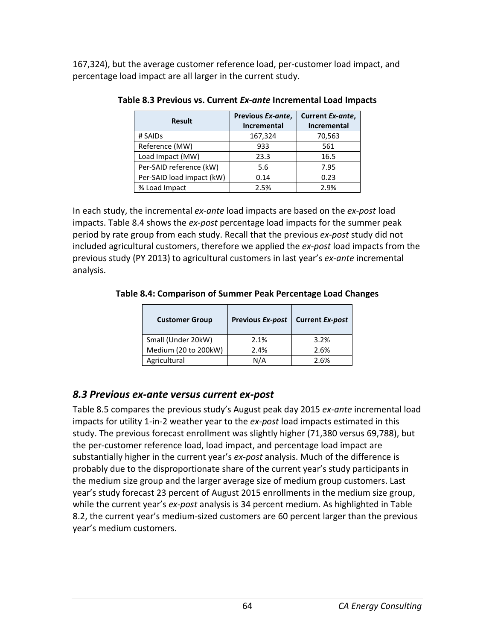167,324), but the average customer reference load, per-customer load impact, and percentage load impact are all larger in the current study.

| <b>Result</b>             | Previous Ex-ante,<br><b>Incremental</b> | Current Ex-ante,<br><b>Incremental</b> |
|---------------------------|-----------------------------------------|----------------------------------------|
| # SAIDs                   | 167,324                                 | 70,563                                 |
| Reference (MW)            | 933                                     | 561                                    |
| Load Impact (MW)          | 23.3                                    | 16.5                                   |
| Per-SAID reference (kW)   | 5.6                                     | 7.95                                   |
| Per-SAID load impact (kW) | 0.14                                    | 0.23                                   |
| % Load Impact             | 2.5%                                    | 2.9%                                   |

**Table 8.3 Previous vs. Current** *Ex-ante* **Incremental Load Impacts**

In each study, the incremental *ex-ante* load impacts are based on the *ex-post* load impacts. Table 8.4 shows the *ex-post* percentage load impacts for the summer peak period by rate group from each study. Recall that the previous *ex-post* study did not included agricultural customers, therefore we applied the *ex-post* load impacts from the previous study (PY 2013) to agricultural customers in last year's *ex-ante* incremental analysis.

**Table 8.4: Comparison of Summer Peak Percentage Load Changes**

| <b>Customer Group</b> | <b>Previous Ex-post</b> | <b>Current Ex-post</b> |
|-----------------------|-------------------------|------------------------|
| Small (Under 20kW)    | 2.1%                    | 3.2%                   |
| Medium (20 to 200kW)  | 2.4%                    | 2.6%                   |
| Agricultural          | N/A                     | 2.6%                   |

## *8.3 Previous ex-ante versus current ex-post*

Table 8.5 compares the previous study's August peak day 2015 *ex-ante* incremental load impacts for utility 1-in-2 weather year to the *ex-post* load impacts estimated in this study. The previous forecast enrollment was slightly higher (71,380 versus 69,788), but the per-customer reference load, load impact, and percentage load impact are substantially higher in the current year's *ex-post* analysis. Much of the difference is probably due to the disproportionate share of the current year's study participants in the medium size group and the larger average size of medium group customers. Last year's study forecast 23 percent of August 2015 enrollments in the medium size group, while the current year's *ex-post* analysis is 34 percent medium. As highlighted in Table 8.2, the current year's medium-sized customers are 60 percent larger than the previous year's medium customers.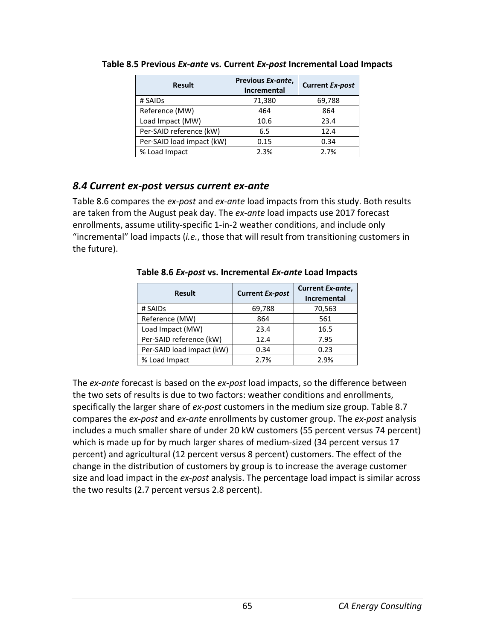| <b>Result</b>             | Previous Ex-ante,<br><b>Incremental</b> | <b>Current Ex-post</b> |
|---------------------------|-----------------------------------------|------------------------|
| # SAIDs                   | 71,380                                  | 69,788                 |
| Reference (MW)            | 464                                     | 864                    |
| Load Impact (MW)          | 10.6                                    | 23.4                   |
| Per-SAID reference (kW)   | 6.5                                     | 12.4                   |
| Per-SAID load impact (kW) | 0.15                                    | 0.34                   |
| % Load Impact             | 2.3%                                    | 2.7%                   |

**Table 8.5 Previous** *Ex-ante* **vs. Current** *Ex-post* **Incremental Load Impacts**

### *8.4 Current ex-post versus current ex-ante*

Table 8.6 compares the *ex-post* and *ex-ante* load impacts from this study. Both results are taken from the August peak day. The *ex-ante* load impacts use 2017 forecast enrollments, assume utility-specific 1-in-2 weather conditions, and include only "incremental" load impacts (*i.e.*, those that will result from transitioning customers in the future).

**Result Current** *Ex-post* **Current** *Ex-ante***, Incremental** # SAIDs 69,788 70,563 Reference (MW)  $864$  7561 Load Impact (MW) | 23.4 | 16.5 Per-SAID reference (kW) | 12.4 | 7.95 Per-SAID load impact (kW)  $\begin{array}{|c|c|c|c|c|c|c|c|c|} \hline 0.34 & 0.23 \end{array}$ % Load Impact 2.7% 2.9%

**Table 8.6** *Ex-post* **vs. Incremental** *Ex-ante* **Load Impacts**

The *ex-ante* forecast is based on the *ex-post* load impacts, so the difference between the two sets of results is due to two factors: weather conditions and enrollments, specifically the larger share of *ex-post* customers in the medium size group. Table 8.7 compares the *ex-post* and *ex-ante* enrollments by customer group. The *ex-post* analysis includes a much smaller share of under 20 kW customers (55 percent versus 74 percent) which is made up for by much larger shares of medium-sized (34 percent versus 17 percent) and agricultural (12 percent versus 8 percent) customers. The effect of the change in the distribution of customers by group is to increase the average customer size and load impact in the *ex-post* analysis. The percentage load impact is similar across the two results (2.7 percent versus 2.8 percent).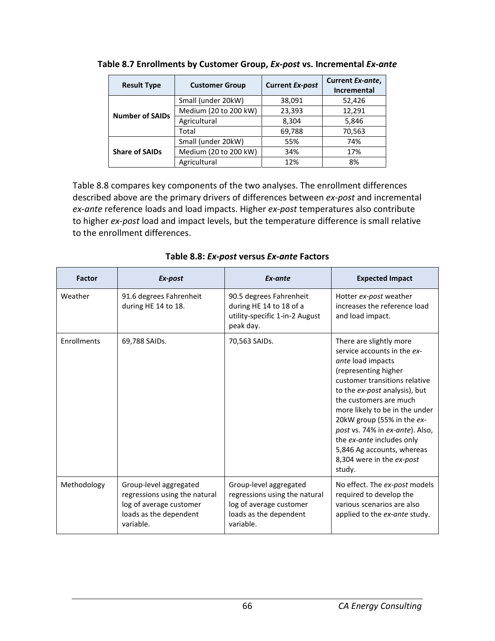| <b>Result Type</b>     | <b>Customer Group</b> | <b>Current Ex-post</b> | Current Ex-ante,<br>Incremental |
|------------------------|-----------------------|------------------------|---------------------------------|
| <b>Number of SAIDs</b> | Small (under 20kW)    | 38,091                 | 52,426                          |
|                        | Medium (20 to 200 kW) | 23,393                 | 12,291                          |
|                        | Agricultural          | 8,304                  | 5,846                           |
|                        | Total                 | 69,788                 | 70,563                          |
| <b>Share of SAIDs</b>  | Small (under 20kW)    | 55%                    | 74%                             |
|                        | Medium (20 to 200 kW) | 34%                    | 17%                             |
|                        | Agricultural          | 12%                    | 8%                              |

| Table 8.7 Enrollments by Customer Group, Ex-post vs. Incremental Ex-ante |  |
|--------------------------------------------------------------------------|--|
|--------------------------------------------------------------------------|--|

Table 8.8 compares key components of the two analyses. The enrollment differences described above are the primary drivers of differences between *ex-post* and incremental *ex-ante* reference loads and load impacts. Higher *ex-post* temperatures also contribute to higher *ex-post* load and impact levels, but the temperature difference is small relative to the enrollment differences.

| <b>Factor</b> | Ex-post                                                                                                                   | Ex-ante                                                                                                                   | <b>Expected Impact</b>                                                                                                                                                                                                                                                                                                                                                                               |
|---------------|---------------------------------------------------------------------------------------------------------------------------|---------------------------------------------------------------------------------------------------------------------------|------------------------------------------------------------------------------------------------------------------------------------------------------------------------------------------------------------------------------------------------------------------------------------------------------------------------------------------------------------------------------------------------------|
| Weather       | 91.6 degrees Fahrenheit<br>during HE 14 to 18.                                                                            | 90.5 degrees Fahrenheit<br>during HE 14 to 18 of a<br>utility-specific 1-in-2 August<br>peak day.                         | Hotter ex-post weather<br>increases the reference load<br>and load impact.                                                                                                                                                                                                                                                                                                                           |
| Enrollments   | 69,788 SAIDs.                                                                                                             | 70,563 SAIDs.                                                                                                             | There are slightly more<br>service accounts in the ex-<br>ante load impacts<br>(representing higher<br>customer transitions relative<br>to the ex-post analysis), but<br>the customers are much<br>more likely to be in the under<br>20kW group (55% in the ex-<br>post vs. 74% in ex-ante). Also,<br>the ex-ante includes only<br>5,846 Ag accounts, whereas<br>8,304 were in the ex-post<br>study. |
| Methodology   | Group-level aggregated<br>regressions using the natural<br>log of average customer<br>loads as the dependent<br>variable. | Group-level aggregated<br>regressions using the natural<br>log of average customer<br>loads as the dependent<br>variable. | No effect. The ex-post models<br>required to develop the<br>various scenarios are also<br>applied to the ex-ante study.                                                                                                                                                                                                                                                                              |

**Table 8.8:** *Ex-post* **versus** *Ex-ante* **Factors**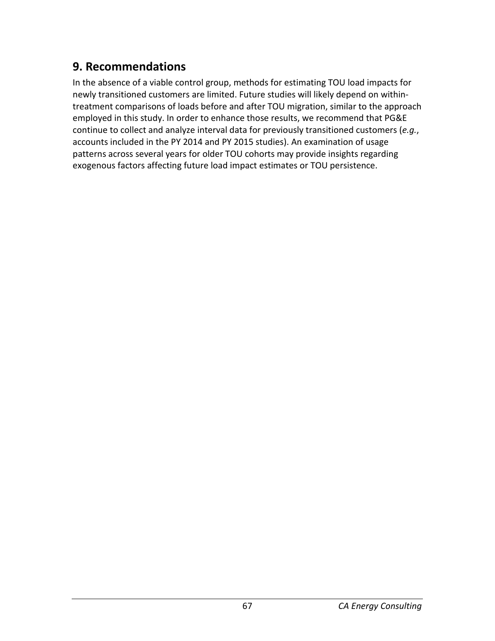### **9. Recommendations**

In the absence of a viable control group, methods for estimating TOU load impacts for newly transitioned customers are limited. Future studies will likely depend on withintreatment comparisons of loads before and after TOU migration, similar to the approach employed in this study. In order to enhance those results, we recommend that PG&E continue to collect and analyze interval data for previously transitioned customers (*e.g.*, accounts included in the PY 2014 and PY 2015 studies). An examination of usage patterns across several years for older TOU cohorts may provide insights regarding exogenous factors affecting future load impact estimates or TOU persistence.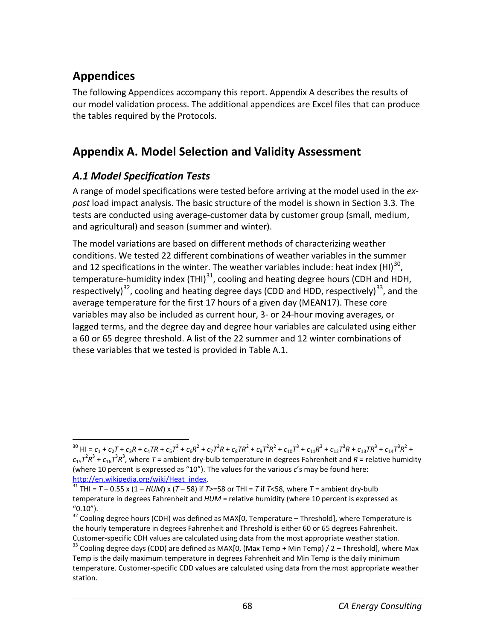# **Appendices**

The following Appendices accompany this report. Appendix A describes the results of our model validation process. The additional appendices are Excel files that can produce the tables required by the Protocols.

## **Appendix A. Model Selection and Validity Assessment**

### *A.1 Model Specification Tests*

A range of model specifications were tested before arriving at the model used in the *expost* load impact analysis. The basic structure of the model is shown in Section 3.3. The tests are conducted using average-customer data by customer group (small, medium, and agricultural) and season (summer and winter).

The model variations are based on different methods of characterizing weather conditions. We tested 22 different combinations of weather variables in the summer and 12 specifications in the winter. The weather variables include: heat index (HI) $^{30}$ , temperature-humidity index (THI) $^{31}$ , cooling and heating degree hours (CDH and HDH, respectively)<sup>32</sup>, cooling and heating degree days (CDD and HDD, respectively)<sup>[33](#page-73-3)</sup>, and the average temperature for the first 17 hours of a given day (MEAN17). These core variables may also be included as current hour, 3- or 24-hour moving averages, or lagged terms, and the degree day and degree hour variables are calculated using either a 60 or 65 degree threshold. A list of the 22 summer and 12 winter combinations of these variables that we tested is provided in Table A.1.

<span id="page-73-0"></span><sup>&</sup>lt;sup>30</sup> HI =  $c_1$  +  $c_2$ T +  $c_3$ R +  $c_4$ TR +  $c_5$ T<sup>2</sup> +  $c_6$ R<sup>2</sup> +  $c_7$ T<sup>2</sup>R +  $c_8$ TR<sup>2</sup> +  $c_9$ T<sup>2</sup>R<sup>2</sup> +  $c_{10}$ T<sup>3</sup> +  $c_{11}$ R<sup>3</sup> +  $c_{12}$ T<sup>3</sup>R +  $c_{13}$ TR<sup>3</sup> +  $c_{14}$ T<sup>3</sup>R<sup>2</sup> +  $c_{15}$  $7^2R^3$  +  $c_{16}$  $7^3R^3$ , where  $T$  = ambient dry-bulb temperature in degrees Fahrenheit and  $R$  = relative humidity (where 10 percent is expressed as "10"). The values for the various *c*'s may be found here:<br>http://en.wikipedia.org/wiki/Heat\_index.

<span id="page-73-1"></span> $h^{31}$  THI =  $T$  – 0.55 x (1 – *HUM*) x (*T* – 58) if *T*>=58 or THI = *T* if *T*<58, where *T* = ambient dry-bulb temperature in degrees Fahrenheit and *HUM* = relative humidity (where 10 percent is expressed as "0.10").

<span id="page-73-2"></span> $32$  Cooling degree hours (CDH) was defined as MAX[0, Temperature – Threshold], where Temperature is the hourly temperature in degrees Fahrenheit and Threshold is either 60 or 65 degrees Fahrenheit. Customer-specific CDH values are calculated using data from the most appropriate weather station.<br><sup>33</sup> Cooling degree days (CDD) are defined as MAX[0, (Max Temp + Min Temp) / 2 – Threshold], where Max

<span id="page-73-3"></span>Temp is the daily maximum temperature in degrees Fahrenheit and Min Temp is the daily minimum temperature. Customer-specific CDD values are calculated using data from the most appropriate weather station.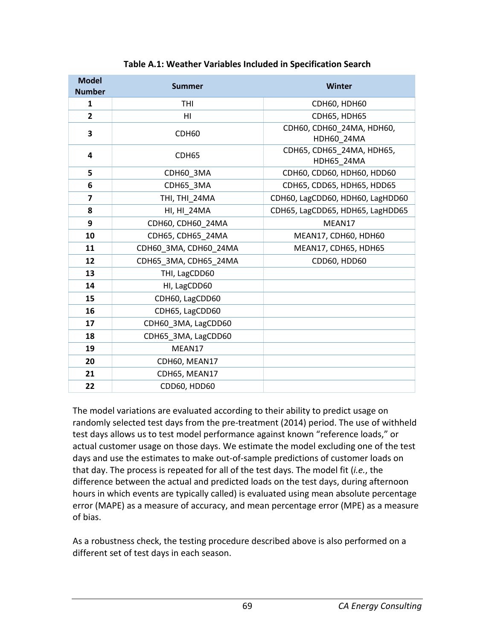| <b>Model</b><br><b>Number</b> | <b>Summer</b>         | Winter                                  |  |  |
|-------------------------------|-----------------------|-----------------------------------------|--|--|
| $\mathbf{1}$                  | <b>THI</b>            | <b>СDH60, HDH60</b>                     |  |  |
| $\overline{2}$                | HI                    | <b>CDH65, HDH65</b>                     |  |  |
| 3                             | CDH60                 | СDH60, СDH60 24МА, НDН60,<br>HDH60_24MA |  |  |
| 4                             | CDH65                 | CDH65, CDH65 24MA, HDH65,<br>HDH65 24MA |  |  |
| 5                             | CDH60 3MA             | CDH60, CDD60, HDH60, HDD60              |  |  |
| 6                             | CDH65 3MA             | CDH65, CDD65, HDH65, HDD65              |  |  |
| 7                             | THI, THI 24MA         | CDH60, LagCDD60, HDH60, LagHDD60        |  |  |
| 8                             | HI, HI 24MA           | CDH65, LagCDD65, HDH65, LagHDD65        |  |  |
| 9                             | CDH60, CDH60 24MA     | MEAN17                                  |  |  |
| 10                            | CDH65, CDH65 24MA     | MEAN17, CDH60, HDH60                    |  |  |
| 11                            | CDH60 3MA, CDH60 24MA | MEAN17, CDH65, HDH65                    |  |  |
| 12                            | CDH65 3MA, CDH65 24MA | CDD60, HDD60                            |  |  |
| 13                            | THI, LagCDD60         |                                         |  |  |
| 14                            | HI, LagCDD60          |                                         |  |  |
| 15                            | CDH60, LagCDD60       |                                         |  |  |
| 16                            | CDH65, LagCDD60       |                                         |  |  |
| 17                            | CDH60 3MA, LagCDD60   |                                         |  |  |
| 18                            | CDH65 3MA, LagCDD60   |                                         |  |  |
| 19                            | MEAN17                |                                         |  |  |
| 20                            | CDH60, MEAN17         |                                         |  |  |
| 21                            | CDH65, MEAN17         |                                         |  |  |
| 22                            | CDD60, HDD60          |                                         |  |  |

#### **Table A.1: Weather Variables Included in Specification Search**

The model variations are evaluated according to their ability to predict usage on randomly selected test days from the pre-treatment (2014) period. The use of withheld test days allows us to test model performance against known "reference loads," or actual customer usage on those days. We estimate the model excluding one of the test days and use the estimates to make out-of-sample predictions of customer loads on that day. The process is repeated for all of the test days. The model fit (*i.e.*, the difference between the actual and predicted loads on the test days, during afternoon hours in which events are typically called) is evaluated using mean absolute percentage error (MAPE) as a measure of accuracy, and mean percentage error (MPE) as a measure of bias.

As a robustness check, the testing procedure described above is also performed on a different set of test days in each season.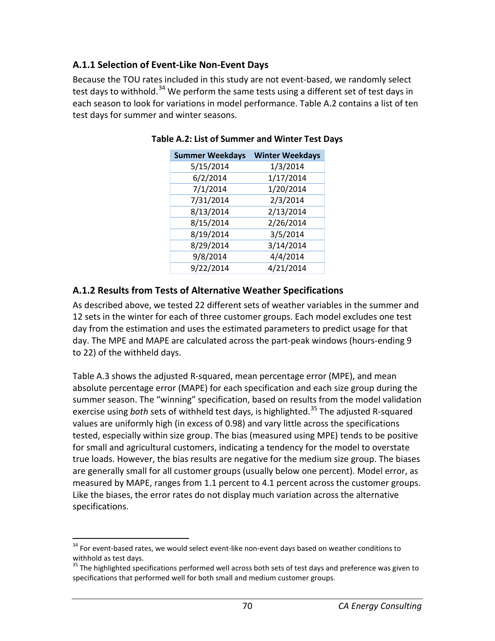### **A.1.1 Selection of Event-Like Non-Event Days**

Because the TOU rates included in this study are not event-based, we randomly select test days to withhold.<sup>[34](#page-75-0)</sup> We perform the same tests using a different set of test days in each season to look for variations in model performance. Table A.2 contains a list of ten test days for summer and winter seasons.

| <b>Summer Weekdays</b> | <b>Winter Weekdays</b> |
|------------------------|------------------------|
| 5/15/2014              | 1/3/2014               |
| 6/2/2014               | 1/17/2014              |
| 7/1/2014               | 1/20/2014              |
| 7/31/2014              | 2/3/2014               |
| 8/13/2014              | 2/13/2014              |
| 8/15/2014              | 2/26/2014              |
| 8/19/2014              | 3/5/2014               |
| 8/29/2014              | 3/14/2014              |
| 9/8/2014               | 4/4/2014               |
| 9/22/2014              | 4/21/2014              |

**Table A.2: List of Summer and Winter Test Days**

### **A.1.2 Results from Tests of Alternative Weather Specifications**

As described above, we tested 22 different sets of weather variables in the summer and 12 sets in the winter for each of three customer groups. Each model excludes one test day from the estimation and uses the estimated parameters to predict usage for that day. The MPE and MAPE are calculated across the part-peak windows (hours-ending 9 to 22) of the withheld days.

Table A.3 shows the adjusted R-squared, mean percentage error (MPE), and mean absolute percentage error (MAPE) for each specification and each size group during the summer season. The "winning" specification, based on results from the model validation exercise using *both* sets of withheld test days, is highlighted.<sup>[35](#page-75-1)</sup> The adjusted R-squared values are uniformly high (in excess of 0.98) and vary little across the specifications tested, especially within size group. The bias (measured using MPE) tends to be positive for small and agricultural customers, indicating a tendency for the model to overstate true loads. However, the bias results are negative for the medium size group. The biases are generally small for all customer groups (usually below one percent). Model error, as measured by MAPE, ranges from 1.1 percent to 4.1 percent across the customer groups. Like the biases, the error rates do not display much variation across the alternative specifications.

<span id="page-75-0"></span><sup>&</sup>lt;sup>34</sup> For event-based rates, we would select event-like non-event days based on weather conditions to withhold as test days.

<span id="page-75-1"></span><sup>&</sup>lt;sup>35</sup> The highlighted specifications performed well across both sets of test days and preference was given to specifications that performed well for both small and medium customer groups.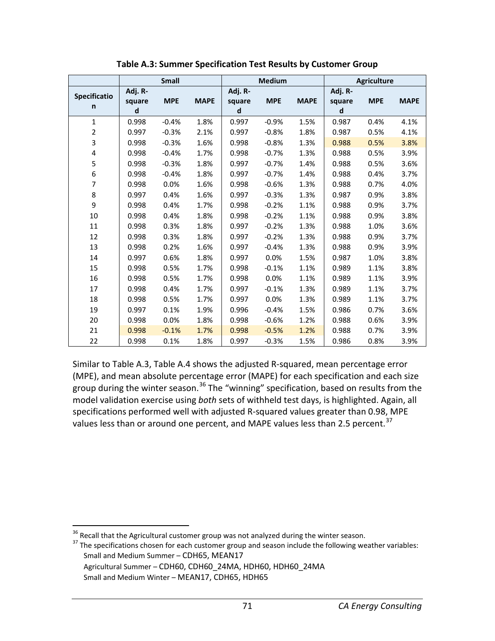|                   |                        | <b>Small</b> |             |                        | <b>Medium</b> |             |                        | <b>Agriculture</b> |             |
|-------------------|------------------------|--------------|-------------|------------------------|---------------|-------------|------------------------|--------------------|-------------|
| Specificatio<br>n | Adj. R-<br>square<br>d | <b>MPE</b>   | <b>MAPE</b> | Adj. R-<br>square<br>d | <b>MPE</b>    | <b>MAPE</b> | Adj. R-<br>square<br>d | <b>MPE</b>         | <b>MAPE</b> |
| $\mathbf{1}$      | 0.998                  | $-0.4%$      | 1.8%        | 0.997                  | $-0.9%$       | 1.5%        | 0.987                  | 0.4%               | 4.1%        |
| $\overline{2}$    | 0.997                  | $-0.3%$      | 2.1%        | 0.997                  | $-0.8%$       | 1.8%        | 0.987                  | 0.5%               | 4.1%        |
| 3                 | 0.998                  | $-0.3%$      | 1.6%        | 0.998                  | $-0.8%$       | 1.3%        | 0.988                  | 0.5%               | 3.8%        |
| 4                 | 0.998                  | $-0.4%$      | 1.7%        | 0.998                  | $-0.7%$       | 1.3%        | 0.988                  | 0.5%               | 3.9%        |
| 5                 | 0.998                  | $-0.3%$      | 1.8%        | 0.997                  | $-0.7%$       | 1.4%        | 0.988                  | 0.5%               | 3.6%        |
| 6                 | 0.998                  | $-0.4%$      | 1.8%        | 0.997                  | $-0.7%$       | 1.4%        | 0.988                  | 0.4%               | 3.7%        |
| $\overline{7}$    | 0.998                  | 0.0%         | 1.6%        | 0.998                  | $-0.6%$       | 1.3%        | 0.988                  | 0.7%               | 4.0%        |
| 8                 | 0.997                  | 0.4%         | 1.6%        | 0.997                  | $-0.3%$       | 1.3%        | 0.987                  | 0.9%               | 3.8%        |
| 9                 | 0.998                  | 0.4%         | 1.7%        | 0.998                  | $-0.2%$       | 1.1%        | 0.988                  | 0.9%               | 3.7%        |
| 10                | 0.998                  | 0.4%         | 1.8%        | 0.998                  | $-0.2%$       | 1.1%        | 0.988                  | 0.9%               | 3.8%        |
| 11                | 0.998                  | 0.3%         | 1.8%        | 0.997                  | $-0.2%$       | 1.3%        | 0.988                  | 1.0%               | 3.6%        |
| 12                | 0.998                  | 0.3%         | 1.8%        | 0.997                  | $-0.2%$       | 1.3%        | 0.988                  | 0.9%               | 3.7%        |
| 13                | 0.998                  | 0.2%         | 1.6%        | 0.997                  | $-0.4%$       | 1.3%        | 0.988                  | 0.9%               | 3.9%        |
| 14                | 0.997                  | 0.6%         | 1.8%        | 0.997                  | 0.0%          | 1.5%        | 0.987                  | 1.0%               | 3.8%        |
| 15                | 0.998                  | 0.5%         | 1.7%        | 0.998                  | $-0.1%$       | 1.1%        | 0.989                  | 1.1%               | 3.8%        |
| 16                | 0.998                  | 0.5%         | 1.7%        | 0.998                  | 0.0%          | 1.1%        | 0.989                  | 1.1%               | 3.9%        |
| 17                | 0.998                  | 0.4%         | 1.7%        | 0.997                  | $-0.1%$       | 1.3%        | 0.989                  | 1.1%               | 3.7%        |
| 18                | 0.998                  | 0.5%         | 1.7%        | 0.997                  | 0.0%          | 1.3%        | 0.989                  | 1.1%               | 3.7%        |
| 19                | 0.997                  | 0.1%         | 1.9%        | 0.996                  | $-0.4%$       | 1.5%        | 0.986                  | 0.7%               | 3.6%        |
| 20                | 0.998                  | 0.0%         | 1.8%        | 0.998                  | $-0.6%$       | 1.2%        | 0.988                  | 0.6%               | 3.9%        |
| 21                | 0.998                  | $-0.1%$      | 1.7%        | 0.998                  | $-0.5%$       | 1.2%        | 0.988                  | 0.7%               | 3.9%        |
| 22                | 0.998                  | 0.1%         | 1.8%        | 0.997                  | $-0.3%$       | 1.5%        | 0.986                  | 0.8%               | 3.9%        |

**Table A.3: Summer Specification Test Results by Customer Group**

Similar to Table A.3, Table A.4 shows the adjusted R-squared, mean percentage error (MPE), and mean absolute percentage error (MAPE) for each specification and each size group during the winter season.<sup>[36](#page-76-0)</sup> The "winning" specification, based on results from the model validation exercise using *both* sets of withheld test days, is highlighted. Again, all specifications performed well with adjusted R-squared values greater than 0.98, MPE values less than or around one percent, and MAPE values less than 2.5 percent.<sup>[37](#page-76-1)</sup>

<span id="page-76-1"></span><span id="page-76-0"></span><sup>&</sup>lt;sup>36</sup> Recall that the Agricultural customer group was not analyzed during the winter season.<br><sup>37</sup> The specifications chosen for each customer group and season include the following weather variables: Small and Medium Summer – CDH65, MEAN17

Agricultural Summer – CDH60, CDH60\_24MA, HDH60, HDH60\_24MA

Small and Medium Winter – MEAN17, CDH65, HDH65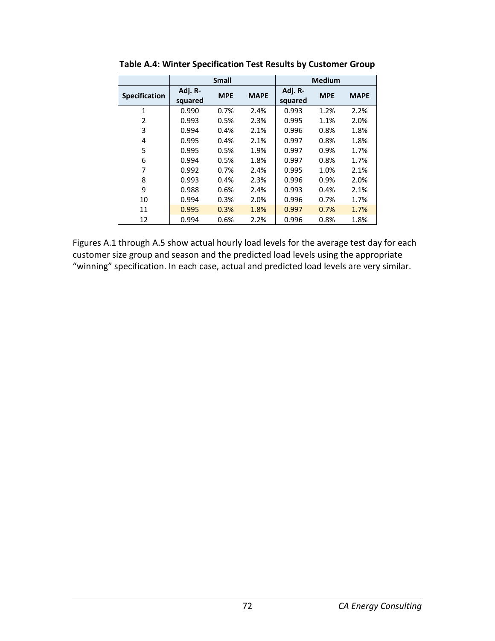|                      | <b>Small</b>       |            |             | <b>Medium</b>      |            |             |
|----------------------|--------------------|------------|-------------|--------------------|------------|-------------|
| <b>Specification</b> | Adj. R-<br>squared | <b>MPE</b> | <b>MAPE</b> | Adj. R-<br>squared | <b>MPE</b> | <b>MAPE</b> |
| 1                    | 0.990              | 0.7%       | 2.4%        | 0.993              | 1.2%       | 2.2%        |
| 2                    | 0.993              | 0.5%       | 2.3%        | 0.995              | 1.1%       | 2.0%        |
| 3                    | 0.994              | 0.4%       | 2.1%        | 0.996              | 0.8%       | 1.8%        |
| 4                    | 0.995              | 0.4%       | 2.1%        | 0.997              | 0.8%       | 1.8%        |
| 5                    | 0.995              | 0.5%       | 1.9%        | 0.997              | 0.9%       | 1.7%        |
| 6                    | 0.994              | 0.5%       | 1.8%        | 0.997              | 0.8%       | 1.7%        |
| 7                    | 0.992              | 0.7%       | 2.4%        | 0.995              | 1.0%       | 2.1%        |
| 8                    | 0.993              | 0.4%       | 2.3%        | 0.996              | 0.9%       | 2.0%        |
| 9                    | 0.988              | 0.6%       | 2.4%        | 0.993              | 0.4%       | 2.1%        |
| 10                   | 0.994              | 0.3%       | 2.0%        | 0.996              | 0.7%       | 1.7%        |
| 11                   | 0.995              | 0.3%       | 1.8%        | 0.997              | 0.7%       | 1.7%        |
| 12                   | 0.994              | 0.6%       | 2.2%        | 0.996              | 0.8%       | 1.8%        |

**Table A.4: Winter Specification Test Results by Customer Group**

Figures A.1 through A.5 show actual hourly load levels for the average test day for each customer size group and season and the predicted load levels using the appropriate "winning" specification. In each case, actual and predicted load levels are very similar.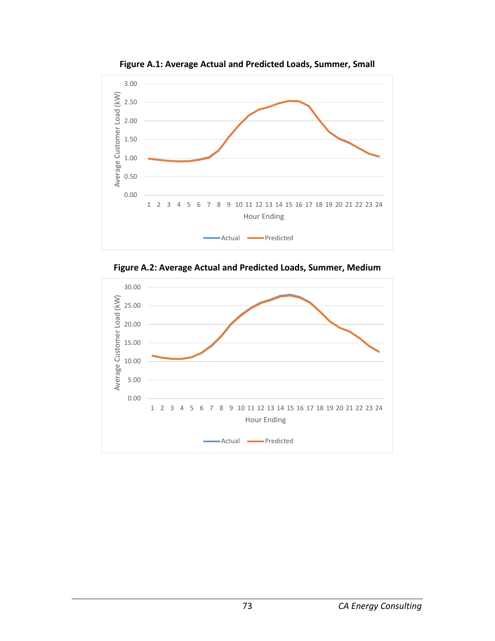

**Figure A.1: Average Actual and Predicted Loads, Summer, Small**



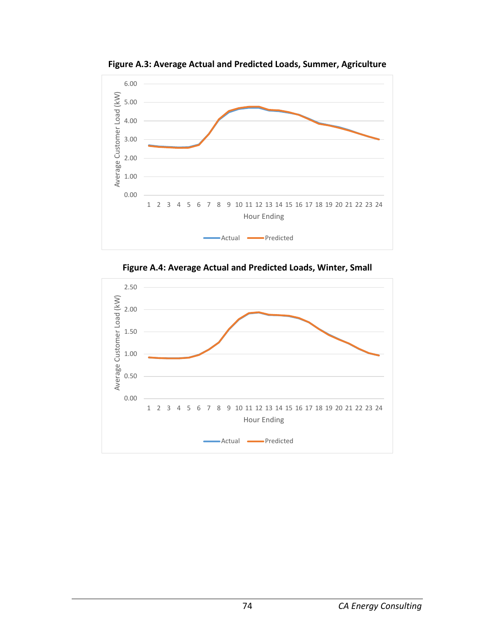

**Figure A.3: Average Actual and Predicted Loads, Summer, Agriculture**

**Figure A.4: Average Actual and Predicted Loads, Winter, Small**